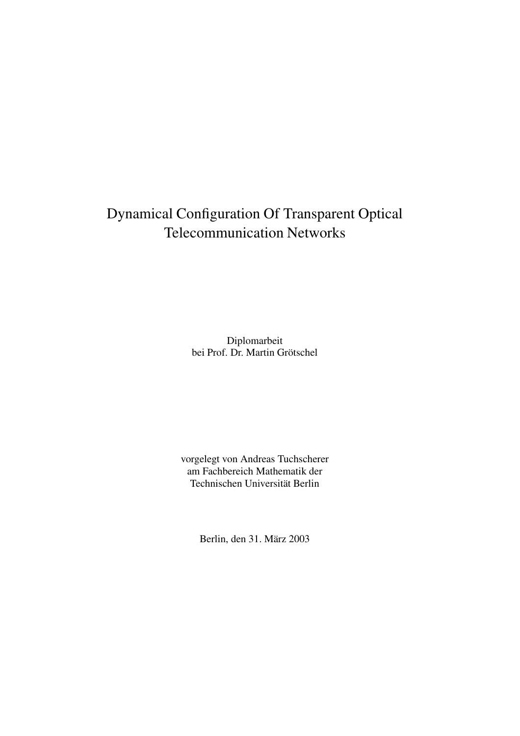## Dynamical Configuration Of Transparent Optical Telecommunication Networks

Diplomarbeit bei Prof. Dr. Martin Grötschel

vorgelegt von Andreas Tuchscherer am Fachbereich Mathematik der Technischen Universität Berlin

Berlin, den 31. März 2003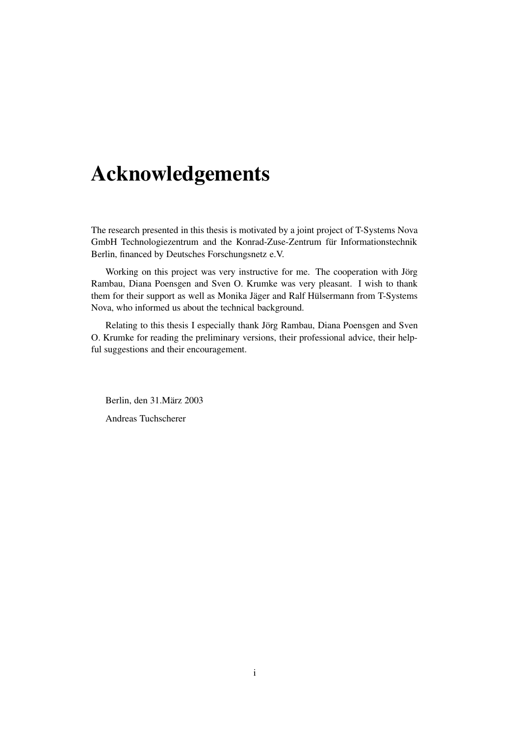# **Acknowledgements**

The research presented in this thesis is motivated by a joint project of T-Systems Nova GmbH Technologiezentrum and the Konrad-Zuse-Zentrum für Informationstechnik Berlin, financed by Deutsches Forschungsnetz e.V.

Working on this project was very instructive for me. The cooperation with Jörg Rambau, Diana Poensgen and Sven O. Krumke was very pleasant. I wish to thank them for their support as well as Monika Jäger and Ralf Hülsermann from T-Systems Nova, who informed us about the technical background.

Relating to this thesis I especially thank Jörg Rambau, Diana Poensgen and Sven O. Krumke for reading the preliminary versions, their professional advice, their helpful suggestions and their encouragement.

Berlin, den 31.März 2003 Andreas Tuchscherer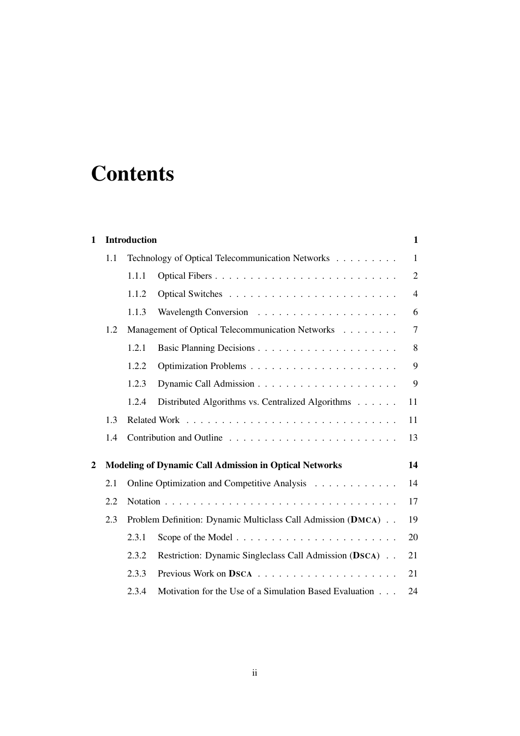# **Contents**

| $\mathbf{1}$   |                                                                     | <b>Introduction</b>                              |                                                                   | $\mathbf{1}$   |
|----------------|---------------------------------------------------------------------|--------------------------------------------------|-------------------------------------------------------------------|----------------|
|                | 1.1                                                                 |                                                  | Technology of Optical Telecommunication Networks                  | $\mathbf{1}$   |
|                |                                                                     | 1.1.1                                            | Optical Fibers                                                    | $\overline{2}$ |
|                |                                                                     | 1.1.2                                            |                                                                   | $\overline{4}$ |
|                |                                                                     | 1.1.3                                            | Wavelength Conversion $\ldots \ldots \ldots \ldots \ldots \ldots$ | 6              |
|                | 1.2                                                                 | Management of Optical Telecommunication Networks |                                                                   | $\overline{7}$ |
|                |                                                                     | 1.2.1                                            |                                                                   | 8              |
|                |                                                                     | 1.2.2                                            |                                                                   | 9              |
|                |                                                                     | 1.2.3                                            |                                                                   | 9              |
|                |                                                                     | 1.2.4                                            | Distributed Algorithms vs. Centralized Algorithms                 | 11             |
|                | 1.3                                                                 |                                                  |                                                                   |                |
|                | 1.4                                                                 |                                                  |                                                                   | 13             |
| $\overline{2}$ |                                                                     |                                                  | <b>Modeling of Dynamic Call Admission in Optical Networks</b>     | 14             |
|                | 2.1                                                                 |                                                  | Online Optimization and Competitive Analysis                      | 14             |
|                | 2.2                                                                 |                                                  | 17                                                                |                |
|                | 2.3<br>Problem Definition: Dynamic Multiclass Call Admission (DMCA) |                                                  |                                                                   |                |
|                |                                                                     | 2.3.1                                            |                                                                   | 20             |
|                |                                                                     | 2.3.2                                            | Restriction: Dynamic Singleclass Call Admission (DSCA)            | 21             |
|                |                                                                     | 2.3.3                                            |                                                                   | 21             |
|                |                                                                     | 2.3.4                                            | Motivation for the Use of a Simulation Based Evaluation           | 24             |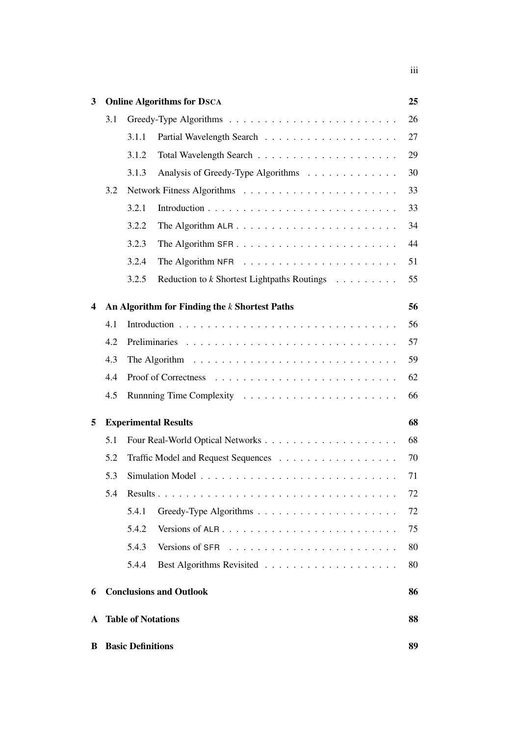| 3 |                             |                                | <b>Online Algorithms for DSCA</b>                  | 25 |  |
|---|-----------------------------|--------------------------------|----------------------------------------------------|----|--|
|   | 3.1                         |                                |                                                    | 26 |  |
|   |                             | 3.1.1                          |                                                    | 27 |  |
|   |                             | 3.1.2                          |                                                    | 29 |  |
|   |                             | 3.1.3                          | Analysis of Greedy-Type Algorithms                 | 30 |  |
|   | 3.2                         |                                |                                                    | 33 |  |
|   |                             | 3.2.1                          |                                                    | 33 |  |
|   |                             | 3.2.2                          |                                                    | 34 |  |
|   |                             | 3.2.3                          |                                                    | 44 |  |
|   |                             | 3.2.4                          |                                                    | 51 |  |
|   |                             | 3.2.5                          | Reduction to <i>k</i> Shortest Lightpaths Routings | 55 |  |
| 4 |                             |                                | An Algorithm for Finding the $k$ Shortest Paths    | 56 |  |
|   | 4.1                         |                                |                                                    | 56 |  |
|   | 4.2                         |                                |                                                    | 57 |  |
|   | 4.3                         |                                |                                                    | 59 |  |
|   | 4.4                         |                                |                                                    | 62 |  |
|   | 4.5                         |                                |                                                    | 66 |  |
| 5 | <b>Experimental Results</b> |                                |                                                    | 68 |  |
|   | 5.1                         |                                |                                                    | 68 |  |
|   | 5.2                         |                                |                                                    | 70 |  |
|   | 5.3                         |                                |                                                    | 71 |  |
|   | 5.4                         |                                |                                                    | 72 |  |
|   |                             | 5.4.1                          |                                                    | 72 |  |
|   |                             | 5.4.2                          |                                                    | 75 |  |
|   |                             | 5.4.3                          | Versions of SFR                                    | 80 |  |
|   |                             | 5.4.4                          |                                                    | 80 |  |
| 6 |                             |                                | <b>Conclusions and Outlook</b>                     | 86 |  |
| A |                             | <b>Table of Notations</b>      |                                                    | 88 |  |
| В |                             | <b>Basic Definitions</b><br>89 |                                                    |    |  |

iii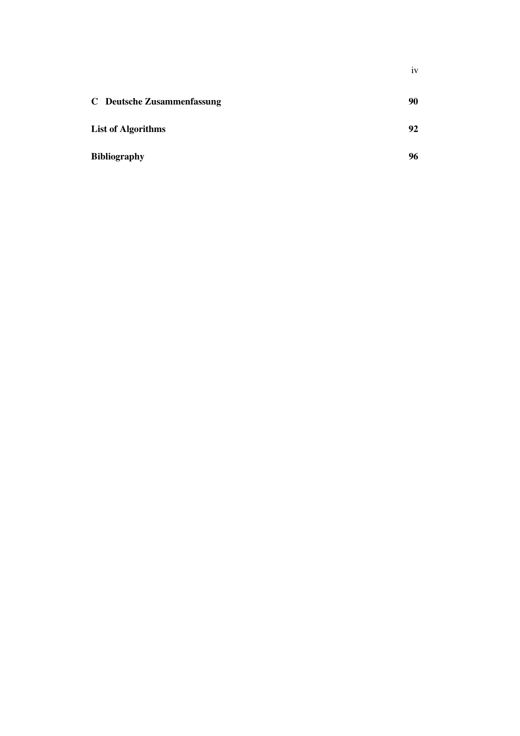|                                   | ٠<br>1V |
|-----------------------------------|---------|
| <b>C</b> Deutsche Zusammenfassung | 90      |
| <b>List of Algorithms</b>         | 92      |
| <b>Bibliography</b>               | 96      |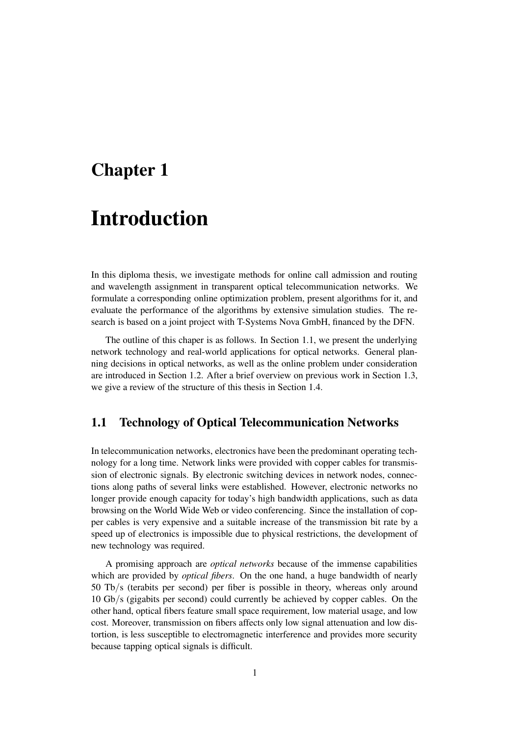## **Chapter 1**

## **Introduction**

In this diploma thesis, we investigate methods for online call admission and routing and wavelength assignment in transparent optical telecommunication networks. We formulate a corresponding online optimization problem, present algorithms for it, and evaluate the performance of the algorithms by extensive simulation studies. The research is based on a joint project with T-Systems Nova GmbH, financed by the DFN.

The outline of this chaper is as follows. In Section 1.1, we present the underlying network technology and real-world applications for optical networks. General planning decisions in optical networks, as well as the online problem under consideration are introduced in Section 1.2. After a brief overview on previous work in Section 1.3, we give a review of the structure of this thesis in Section 1.4.

## **1.1 Technology of Optical Telecommunication Networks**

In telecommunication networks, electronics have been the predominant operating technology for a long time. Network links were provided with copper cables for transmission of electronic signals. By electronic switching devices in network nodes, connections along paths of several links were established. However, electronic networks no longer provide enough capacity for today's high bandwidth applications, such as data browsing on the World Wide Web or video conferencing. Since the installation of copper cables is very expensive and a suitable increase of the transmission bit rate by a speed up of electronics is impossible due to physical restrictions, the development of new technology was required.

A promising approach are *optical networks* because of the immense capabilities which are provided by *optical fibers*. On the one hand, a huge bandwidth of nearly 50 Tb/s (terabits per second) per fiber is possible in theory, whereas only around 10 Gb/s (gigabits per second) could currently be achieved by copper cables. On the other hand, optical fibers feature small space requirement, low material usage, and low cost. Moreover, transmission on fibers affects only low signal attenuation and low distortion, is less susceptible to electromagnetic interference and provides more security because tapping optical signals is difficult.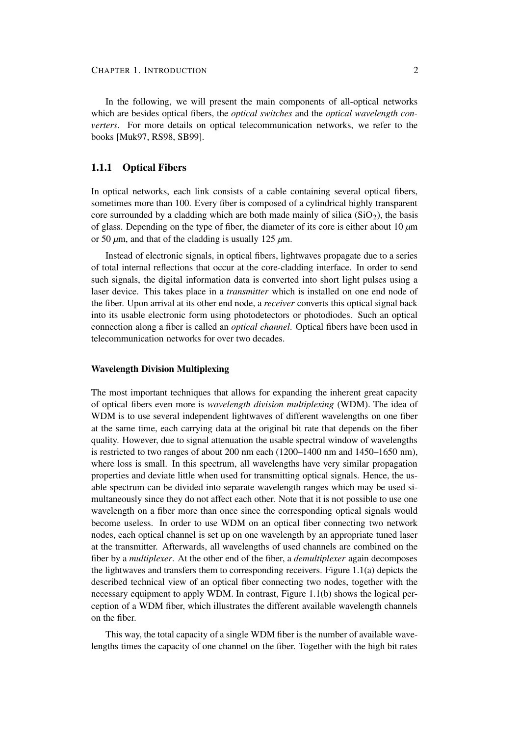In the following, we will present the main components of all-optical networks which are besides optical fibers, the *optical switches* and the *optical wavelength converters*. For more details on optical telecommunication networks, we refer to the books [Muk97, RS98, SB99].

## **1.1.1 Optical Fibers**

In optical networks, each link consists of a cable containing several optical fibers, sometimes more than 100. Every fiber is composed of a cylindrical highly transparent core surrounded by a cladding which are both made mainly of silica  $(SiO<sub>2</sub>)$ , the basis of glass. Depending on the type of fiber, the diameter of its core is either about 10 *µ*m or 50  $\mu$ m, and that of the cladding is usually 125  $\mu$ m.

Instead of electronic signals, in optical fibers, lightwaves propagate due to a series of total internal reflections that occur at the core-cladding interface. In order to send such signals, the digital information data is converted into short light pulses using a laser device. This takes place in a *transmitter* which is installed on one end node of the fiber. Upon arrival at its other end node, a *receiver* converts this optical signal back into its usable electronic form using photodetectors or photodiodes. Such an optical connection along a fiber is called an *optical channel*. Optical fibers have been used in telecommunication networks for over two decades.

#### **Wavelength Division Multiplexing**

The most important techniques that allows for expanding the inherent great capacity of optical fibers even more is *wavelength division multiplexing* (WDM). The idea of WDM is to use several independent lightwaves of different wavelengths on one fiber at the same time, each carrying data at the original bit rate that depends on the fiber quality. However, due to signal attenuation the usable spectral window of wavelengths is restricted to two ranges of about 200 nm each (1200–1400 nm and 1450–1650 nm), where loss is small. In this spectrum, all wavelengths have very similar propagation properties and deviate little when used for transmitting optical signals. Hence, the usable spectrum can be divided into separate wavelength ranges which may be used simultaneously since they do not affect each other. Note that it is not possible to use one wavelength on a fiber more than once since the corresponding optical signals would become useless. In order to use WDM on an optical fiber connecting two network nodes, each optical channel is set up on one wavelength by an appropriate tuned laser at the transmitter. Afterwards, all wavelengths of used channels are combined on the fiber by a *multiplexer*. At the other end of the fiber, a *demultiplexer* again decomposes the lightwaves and transfers them to corresponding receivers. Figure 1.1(a) depicts the described technical view of an optical fiber connecting two nodes, together with the necessary equipment to apply WDM. In contrast, Figure 1.1(b) shows the logical perception of a WDM fiber, which illustrates the different available wavelength channels on the fiber.

This way, the total capacity of a single WDM fiber is the number of available wavelengths times the capacity of one channel on the fiber. Together with the high bit rates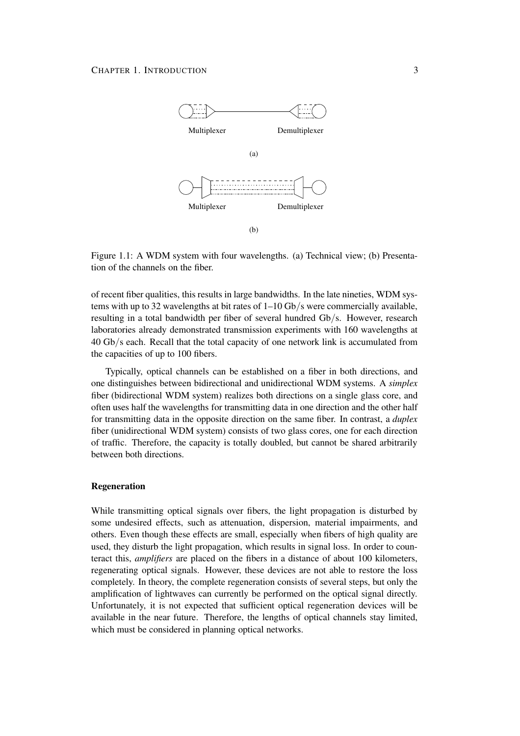

Figure 1.1: A WDM system with four wavelengths. (a) Technical view; (b) Presentation of the channels on the fiber.

of recent fiber qualities, this results in large bandwidths. In the late nineties, WDM systems with up to 32 wavelengths at bit rates of 1–10 Gb/s were commercially available, resulting in a total bandwidth per fiber of several hundred Gb/s. However, research laboratories already demonstrated transmission experiments with 160 wavelengths at 40 Gb/s each. Recall that the total capacity of one network link is accumulated from the capacities of up to 100 fibers.

Typically, optical channels can be established on a fiber in both directions, and one distinguishes between bidirectional and unidirectional WDM systems. A *simplex* fiber (bidirectional WDM system) realizes both directions on a single glass core, and often uses half the wavelengths for transmitting data in one direction and the other half for transmitting data in the opposite direction on the same fiber. In contrast, a *duplex* fiber (unidirectional WDM system) consists of two glass cores, one for each direction of traffic. Therefore, the capacity is totally doubled, but cannot be shared arbitrarily between both directions.

#### **Regeneration**

While transmitting optical signals over fibers, the light propagation is disturbed by some undesired effects, such as attenuation, dispersion, material impairments, and others. Even though these effects are small, especially when fibers of high quality are used, they disturb the light propagation, which results in signal loss. In order to counteract this, *amplifiers* are placed on the fibers in a distance of about 100 kilometers, regenerating optical signals. However, these devices are not able to restore the loss completely. In theory, the complete regeneration consists of several steps, but only the amplification of lightwaves can currently be performed on the optical signal directly. Unfortunately, it is not expected that sufficient optical regeneration devices will be available in the near future. Therefore, the lengths of optical channels stay limited, which must be considered in planning optical networks.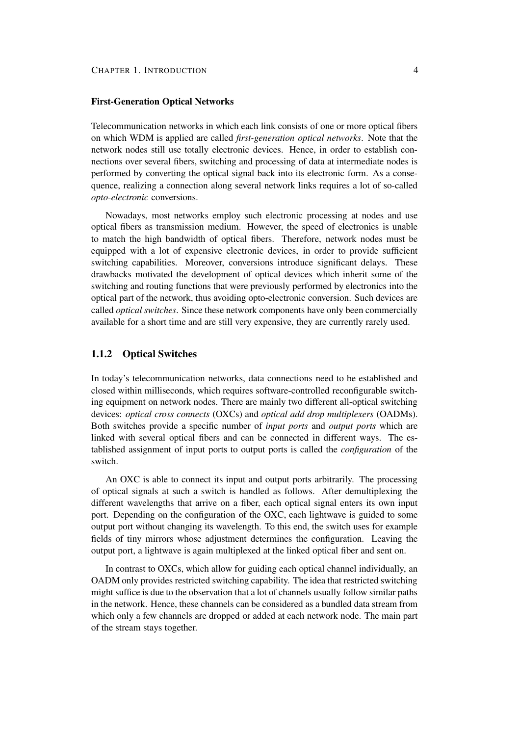### **First-Generation Optical Networks**

Telecommunication networks in which each link consists of one or more optical fibers on which WDM is applied are called *first-generation optical networks*. Note that the network nodes still use totally electronic devices. Hence, in order to establish connections over several fibers, switching and processing of data at intermediate nodes is performed by converting the optical signal back into its electronic form. As a consequence, realizing a connection along several network links requires a lot of so-called *opto-electronic* conversions.

Nowadays, most networks employ such electronic processing at nodes and use optical fibers as transmission medium. However, the speed of electronics is unable to match the high bandwidth of optical fibers. Therefore, network nodes must be equipped with a lot of expensive electronic devices, in order to provide sufficient switching capabilities. Moreover, conversions introduce significant delays. These drawbacks motivated the development of optical devices which inherit some of the switching and routing functions that were previously performed by electronics into the optical part of the network, thus avoiding opto-electronic conversion. Such devices are called *optical switches*. Since these network components have only been commercially available for a short time and are still very expensive, they are currently rarely used.

## **1.1.2 Optical Switches**

In today's telecommunication networks, data connections need to be established and closed within milliseconds, which requires software-controlled reconfigurable switching equipment on network nodes. There are mainly two different all-optical switching devices: *optical cross connects* (OXCs) and *optical add drop multiplexers* (OADMs). Both switches provide a specific number of *input ports* and *output ports* which are linked with several optical fibers and can be connected in different ways. The established assignment of input ports to output ports is called the *configuration* of the switch.

An OXC is able to connect its input and output ports arbitrarily. The processing of optical signals at such a switch is handled as follows. After demultiplexing the different wavelengths that arrive on a fiber, each optical signal enters its own input port. Depending on the configuration of the OXC, each lightwave is guided to some output port without changing its wavelength. To this end, the switch uses for example fields of tiny mirrors whose adjustment determines the configuration. Leaving the output port, a lightwave is again multiplexed at the linked optical fiber and sent on.

In contrast to OXCs, which allow for guiding each optical channel individually, an OADM only provides restricted switching capability. The idea that restricted switching might suffice is due to the observation that a lot of channels usually follow similar paths in the network. Hence, these channels can be considered as a bundled data stream from which only a few channels are dropped or added at each network node. The main part of the stream stays together.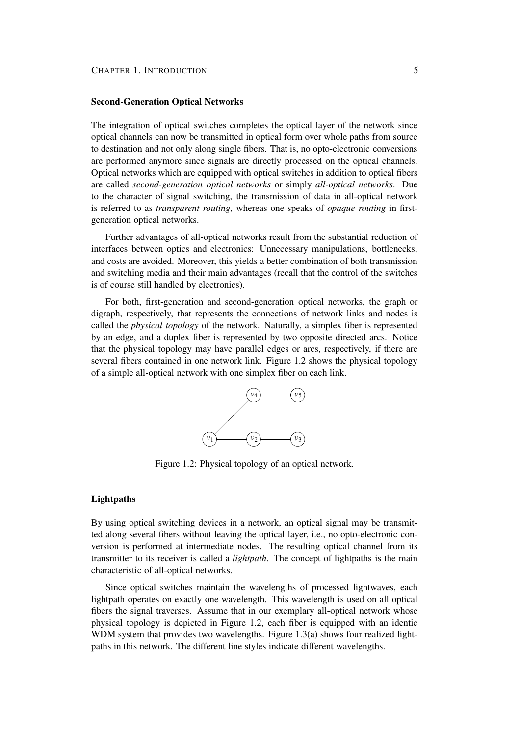#### **Second-Generation Optical Networks**

The integration of optical switches completes the optical layer of the network since optical channels can now be transmitted in optical form over whole paths from source to destination and not only along single fibers. That is, no opto-electronic conversions are performed anymore since signals are directly processed on the optical channels. Optical networks which are equipped with optical switches in addition to optical fibers are called *second-generation optical networks* or simply *all-optical networks*. Due to the character of signal switching, the transmission of data in all-optical network is referred to as *transparent routing*, whereas one speaks of *opaque routing* in firstgeneration optical networks.

Further advantages of all-optical networks result from the substantial reduction of interfaces between optics and electronics: Unnecessary manipulations, bottlenecks, and costs are avoided. Moreover, this yields a better combination of both transmission and switching media and their main advantages (recall that the control of the switches is of course still handled by electronics).

For both, first-generation and second-generation optical networks, the graph or digraph, respectively, that represents the connections of network links and nodes is called the *physical topology* of the network. Naturally, a simplex fiber is represented by an edge, and a duplex fiber is represented by two opposite directed arcs. Notice that the physical topology may have parallel edges or arcs, respectively, if there are several fibers contained in one network link. Figure 1.2 shows the physical topology of a simple all-optical network with one simplex fiber on each link.



Figure 1.2: Physical topology of an optical network.

#### **Lightpaths**

By using optical switching devices in a network, an optical signal may be transmitted along several fibers without leaving the optical layer, i.e., no opto-electronic conversion is performed at intermediate nodes. The resulting optical channel from its transmitter to its receiver is called a *lightpath*. The concept of lightpaths is the main characteristic of all-optical networks.

Since optical switches maintain the wavelengths of processed lightwaves, each lightpath operates on exactly one wavelength. This wavelength is used on all optical fibers the signal traverses. Assume that in our exemplary all-optical network whose physical topology is depicted in Figure 1.2, each fiber is equipped with an identic WDM system that provides two wavelengths. Figure 1.3(a) shows four realized lightpaths in this network. The different line styles indicate different wavelengths.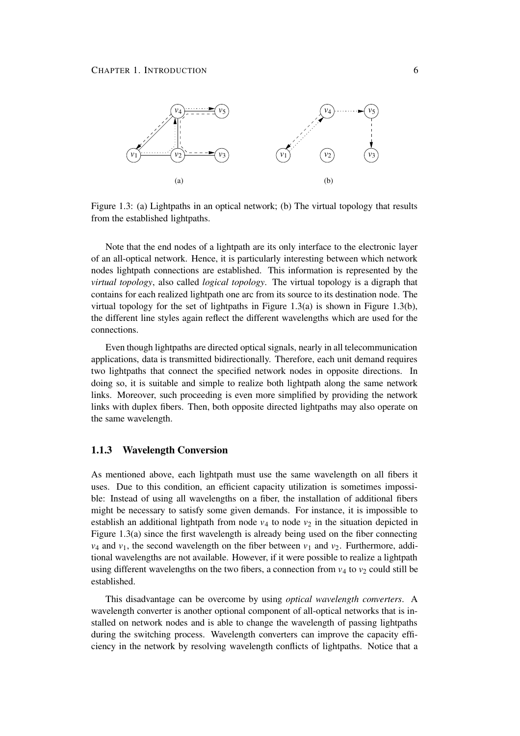

Figure 1.3: (a) Lightpaths in an optical network; (b) The virtual topology that results from the established lightpaths.

Note that the end nodes of a lightpath are its only interface to the electronic layer of an all-optical network. Hence, it is particularly interesting between which network nodes lightpath connections are established. This information is represented by the *virtual topology*, also called *logical topology*. The virtual topology is a digraph that contains for each realized lightpath one arc from its source to its destination node. The virtual topology for the set of lightpaths in Figure 1.3(a) is shown in Figure 1.3(b), the different line styles again reflect the different wavelengths which are used for the connections.

Even though lightpaths are directed optical signals, nearly in all telecommunication applications, data is transmitted bidirectionally. Therefore, each unit demand requires two lightpaths that connect the specified network nodes in opposite directions. In doing so, it is suitable and simple to realize both lightpath along the same network links. Moreover, such proceeding is even more simplified by providing the network links with duplex fibers. Then, both opposite directed lightpaths may also operate on the same wavelength.

### **1.1.3 Wavelength Conversion**

As mentioned above, each lightpath must use the same wavelength on all fibers it uses. Due to this condition, an efficient capacity utilization is sometimes impossible: Instead of using all wavelengths on a fiber, the installation of additional fibers might be necessary to satisfy some given demands. For instance, it is impossible to establish an additional lightpath from node  $v_4$  to node  $v_2$  in the situation depicted in Figure 1.3(a) since the first wavelength is already being used on the fiber connecting  $v_4$  and  $v_1$ , the second wavelength on the fiber between  $v_1$  and  $v_2$ . Furthermore, additional wavelengths are not available. However, if it were possible to realize a lightpath using different wavelengths on the two fibers, a connection from  $v_4$  to  $v_2$  could still be established.

This disadvantage can be overcome by using *optical wavelength converters*. A wavelength converter is another optional component of all-optical networks that is installed on network nodes and is able to change the wavelength of passing lightpaths during the switching process. Wavelength converters can improve the capacity efficiency in the network by resolving wavelength conflicts of lightpaths. Notice that a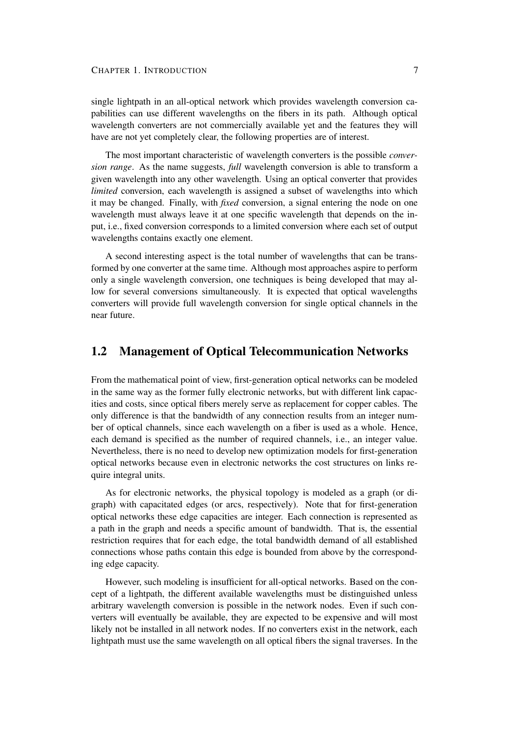single lightpath in an all-optical network which provides wavelength conversion capabilities can use different wavelengths on the fibers in its path. Although optical wavelength converters are not commercially available yet and the features they will have are not yet completely clear, the following properties are of interest.

The most important characteristic of wavelength converters is the possible *conversion range*. As the name suggests, *full* wavelength conversion is able to transform a given wavelength into any other wavelength. Using an optical converter that provides *limited* conversion, each wavelength is assigned a subset of wavelengths into which it may be changed. Finally, with *fixed* conversion, a signal entering the node on one wavelength must always leave it at one specific wavelength that depends on the input, i.e., fixed conversion corresponds to a limited conversion where each set of output wavelengths contains exactly one element.

A second interesting aspect is the total number of wavelengths that can be transformed by one converter at the same time. Although most approaches aspire to perform only a single wavelength conversion, one techniques is being developed that may allow for several conversions simultaneously. It is expected that optical wavelengths converters will provide full wavelength conversion for single optical channels in the near future.

## **1.2 Management of Optical Telecommunication Networks**

From the mathematical point of view, first-generation optical networks can be modeled in the same way as the former fully electronic networks, but with different link capacities and costs, since optical fibers merely serve as replacement for copper cables. The only difference is that the bandwidth of any connection results from an integer number of optical channels, since each wavelength on a fiber is used as a whole. Hence, each demand is specified as the number of required channels, i.e., an integer value. Nevertheless, there is no need to develop new optimization models for first-generation optical networks because even in electronic networks the cost structures on links require integral units.

As for electronic networks, the physical topology is modeled as a graph (or digraph) with capacitated edges (or arcs, respectively). Note that for first-generation optical networks these edge capacities are integer. Each connection is represented as a path in the graph and needs a specific amount of bandwidth. That is, the essential restriction requires that for each edge, the total bandwidth demand of all established connections whose paths contain this edge is bounded from above by the corresponding edge capacity.

However, such modeling is insufficient for all-optical networks. Based on the concept of a lightpath, the different available wavelengths must be distinguished unless arbitrary wavelength conversion is possible in the network nodes. Even if such converters will eventually be available, they are expected to be expensive and will most likely not be installed in all network nodes. If no converters exist in the network, each lightpath must use the same wavelength on all optical fibers the signal traverses. In the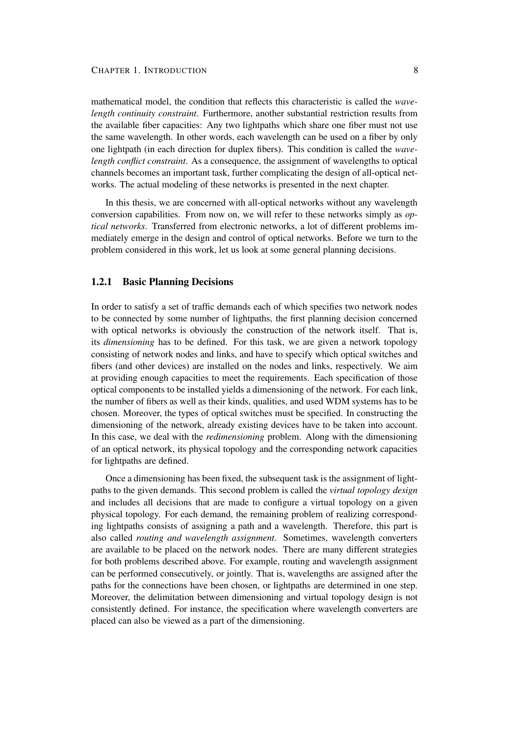mathematical model, the condition that reflects this characteristic is called the *wavelength continuity constraint*. Furthermore, another substantial restriction results from the available fiber capacities: Any two lightpaths which share one fiber must not use the same wavelength. In other words, each wavelength can be used on a fiber by only one lightpath (in each direction for duplex fibers). This condition is called the *wavelength conflict constraint*. As a consequence, the assignment of wavelengths to optical channels becomes an important task, further complicating the design of all-optical networks. The actual modeling of these networks is presented in the next chapter.

In this thesis, we are concerned with all-optical networks without any wavelength conversion capabilities. From now on, we will refer to these networks simply as *optical networks*. Transferred from electronic networks, a lot of different problems immediately emerge in the design and control of optical networks. Before we turn to the problem considered in this work, let us look at some general planning decisions.

## **1.2.1 Basic Planning Decisions**

In order to satisfy a set of traffic demands each of which specifies two network nodes to be connected by some number of lightpaths, the first planning decision concerned with optical networks is obviously the construction of the network itself. That is, its *dimensioning* has to be defined. For this task, we are given a network topology consisting of network nodes and links, and have to specify which optical switches and fibers (and other devices) are installed on the nodes and links, respectively. We aim at providing enough capacities to meet the requirements. Each specification of those optical components to be installed yields a dimensioning of the network. For each link, the number of fibers as well as their kinds, qualities, and used WDM systems has to be chosen. Moreover, the types of optical switches must be specified. In constructing the dimensioning of the network, already existing devices have to be taken into account. In this case, we deal with the *redimensioning* problem. Along with the dimensioning of an optical network, its physical topology and the corresponding network capacities for lightpaths are defined.

Once a dimensioning has been fixed, the subsequent task is the assignment of lightpaths to the given demands. This second problem is called the *virtual topology design* and includes all decisions that are made to configure a virtual topology on a given physical topology. For each demand, the remaining problem of realizing corresponding lightpaths consists of assigning a path and a wavelength. Therefore, this part is also called *routing and wavelength assignment*. Sometimes, wavelength converters are available to be placed on the network nodes. There are many different strategies for both problems described above. For example, routing and wavelength assignment can be performed consecutively, or jointly. That is, wavelengths are assigned after the paths for the connections have been chosen, or lightpaths are determined in one step. Moreover, the delimitation between dimensioning and virtual topology design is not consistently defined. For instance, the specification where wavelength converters are placed can also be viewed as a part of the dimensioning.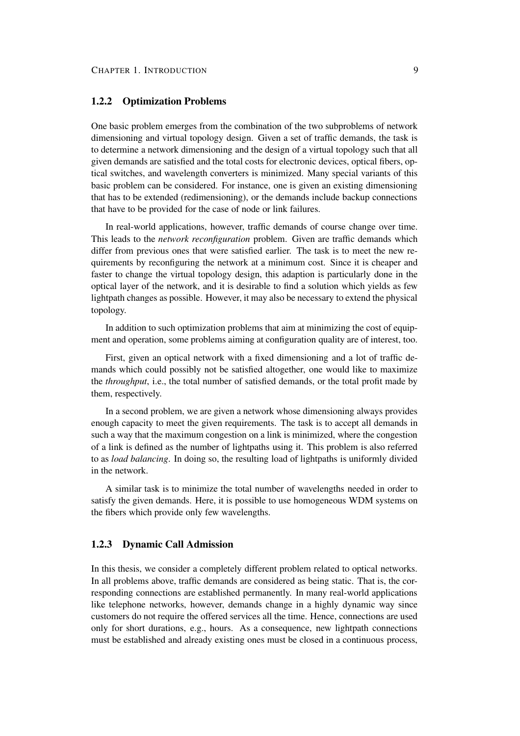### **1.2.2 Optimization Problems**

One basic problem emerges from the combination of the two subproblems of network dimensioning and virtual topology design. Given a set of traffic demands, the task is to determine a network dimensioning and the design of a virtual topology such that all given demands are satisfied and the total costs for electronic devices, optical fibers, optical switches, and wavelength converters is minimized. Many special variants of this basic problem can be considered. For instance, one is given an existing dimensioning that has to be extended (redimensioning), or the demands include backup connections that have to be provided for the case of node or link failures.

In real-world applications, however, traffic demands of course change over time. This leads to the *network reconfiguration* problem. Given are traffic demands which differ from previous ones that were satisfied earlier. The task is to meet the new requirements by reconfiguring the network at a minimum cost. Since it is cheaper and faster to change the virtual topology design, this adaption is particularly done in the optical layer of the network, and it is desirable to find a solution which yields as few lightpath changes as possible. However, it may also be necessary to extend the physical topology.

In addition to such optimization problems that aim at minimizing the cost of equipment and operation, some problems aiming at configuration quality are of interest, too.

First, given an optical network with a fixed dimensioning and a lot of traffic demands which could possibly not be satisfied altogether, one would like to maximize the *throughput*, i.e., the total number of satisfied demands, or the total profit made by them, respectively.

In a second problem, we are given a network whose dimensioning always provides enough capacity to meet the given requirements. The task is to accept all demands in such a way that the maximum congestion on a link is minimized, where the congestion of a link is defined as the number of lightpaths using it. This problem is also referred to as *load balancing*. In doing so, the resulting load of lightpaths is uniformly divided in the network.

A similar task is to minimize the total number of wavelengths needed in order to satisfy the given demands. Here, it is possible to use homogeneous WDM systems on the fibers which provide only few wavelengths.

#### **1.2.3 Dynamic Call Admission**

In this thesis, we consider a completely different problem related to optical networks. In all problems above, traffic demands are considered as being static. That is, the corresponding connections are established permanently. In many real-world applications like telephone networks, however, demands change in a highly dynamic way since customers do not require the offered services all the time. Hence, connections are used only for short durations, e.g., hours. As a consequence, new lightpath connections must be established and already existing ones must be closed in a continuous process,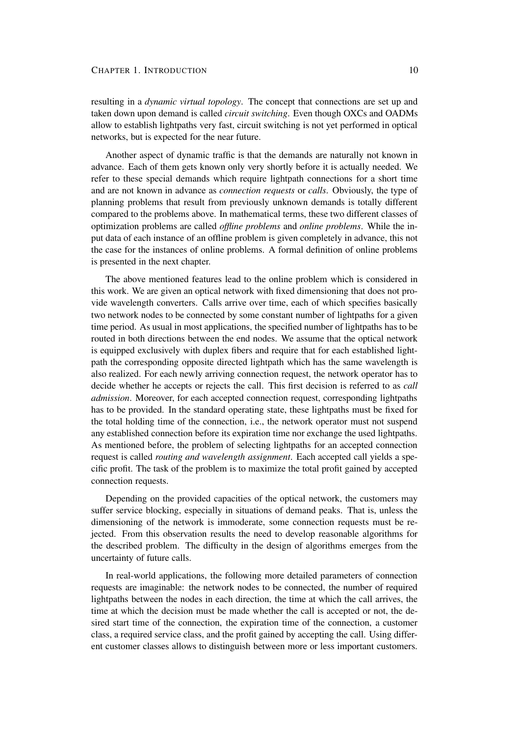resulting in a *dynamic virtual topology*. The concept that connections are set up and taken down upon demand is called *circuit switching*. Even though OXCs and OADMs allow to establish lightpaths very fast, circuit switching is not yet performed in optical networks, but is expected for the near future.

Another aspect of dynamic traffic is that the demands are naturally not known in advance. Each of them gets known only very shortly before it is actually needed. We refer to these special demands which require lightpath connections for a short time and are not known in advance as *connection requests* or *calls*. Obviously, the type of planning problems that result from previously unknown demands is totally different compared to the problems above. In mathematical terms, these two different classes of optimization problems are called *offline problems* and *online problems*. While the input data of each instance of an offline problem is given completely in advance, this not the case for the instances of online problems. A formal definition of online problems is presented in the next chapter.

The above mentioned features lead to the online problem which is considered in this work. We are given an optical network with fixed dimensioning that does not provide wavelength converters. Calls arrive over time, each of which specifies basically two network nodes to be connected by some constant number of lightpaths for a given time period. As usual in most applications, the specified number of lightpaths has to be routed in both directions between the end nodes. We assume that the optical network is equipped exclusively with duplex fibers and require that for each established lightpath the corresponding opposite directed lightpath which has the same wavelength is also realized. For each newly arriving connection request, the network operator has to decide whether he accepts or rejects the call. This first decision is referred to as *call admission*. Moreover, for each accepted connection request, corresponding lightpaths has to be provided. In the standard operating state, these lightpaths must be fixed for the total holding time of the connection, i.e., the network operator must not suspend any established connection before its expiration time nor exchange the used lightpaths. As mentioned before, the problem of selecting lightpaths for an accepted connection request is called *routing and wavelength assignment*. Each accepted call yields a specific profit. The task of the problem is to maximize the total profit gained by accepted connection requests.

Depending on the provided capacities of the optical network, the customers may suffer service blocking, especially in situations of demand peaks. That is, unless the dimensioning of the network is immoderate, some connection requests must be rejected. From this observation results the need to develop reasonable algorithms for the described problem. The difficulty in the design of algorithms emerges from the uncertainty of future calls.

In real-world applications, the following more detailed parameters of connection requests are imaginable: the network nodes to be connected, the number of required lightpaths between the nodes in each direction, the time at which the call arrives, the time at which the decision must be made whether the call is accepted or not, the desired start time of the connection, the expiration time of the connection, a customer class, a required service class, and the profit gained by accepting the call. Using different customer classes allows to distinguish between more or less important customers.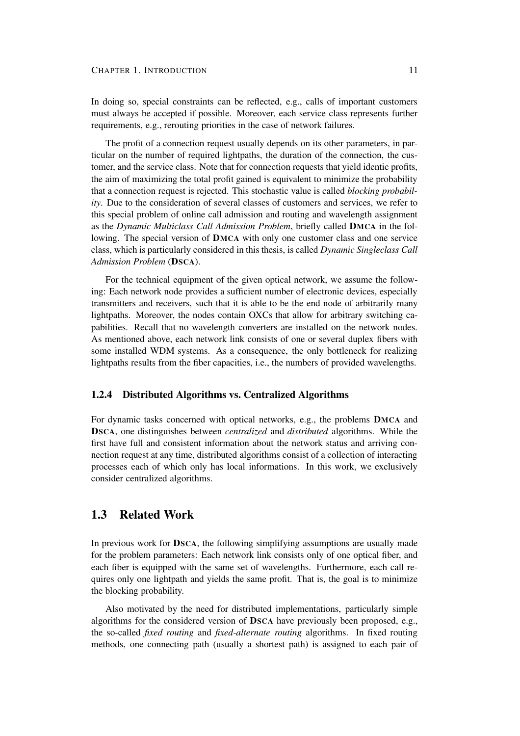In doing so, special constraints can be reflected, e.g., calls of important customers must always be accepted if possible. Moreover, each service class represents further requirements, e.g., rerouting priorities in the case of network failures.

The profit of a connection request usually depends on its other parameters, in particular on the number of required lightpaths, the duration of the connection, the customer, and the service class. Note that for connection requests that yield identic profits, the aim of maximizing the total profit gained is equivalent to minimize the probability that a connection request is rejected. This stochastic value is called *blocking probability*. Due to the consideration of several classes of customers and services, we refer to this special problem of online call admission and routing and wavelength assignment as the *Dynamic Multiclass Call Admission Problem*, briefly called **DMCA** in the following. The special version of **DMCA** with only one customer class and one service class, which is particularly considered in this thesis, is called *Dynamic Singleclass Call Admission Problem* (**DSCA**).

For the technical equipment of the given optical network, we assume the following: Each network node provides a sufficient number of electronic devices, especially transmitters and receivers, such that it is able to be the end node of arbitrarily many lightpaths. Moreover, the nodes contain OXCs that allow for arbitrary switching capabilities. Recall that no wavelength converters are installed on the network nodes. As mentioned above, each network link consists of one or several duplex fibers with some installed WDM systems. As a consequence, the only bottleneck for realizing lightpaths results from the fiber capacities, i.e., the numbers of provided wavelengths.

#### **1.2.4 Distributed Algorithms vs. Centralized Algorithms**

For dynamic tasks concerned with optical networks, e.g., the problems **DMCA** and **DSCA**, one distinguishes between *centralized* and *distributed* algorithms. While the first have full and consistent information about the network status and arriving connection request at any time, distributed algorithms consist of a collection of interacting processes each of which only has local informations. In this work, we exclusively consider centralized algorithms.

## **1.3 Related Work**

In previous work for **DSCA**, the following simplifying assumptions are usually made for the problem parameters: Each network link consists only of one optical fiber, and each fiber is equipped with the same set of wavelengths. Furthermore, each call requires only one lightpath and yields the same profit. That is, the goal is to minimize the blocking probability.

Also motivated by the need for distributed implementations, particularly simple algorithms for the considered version of **DSCA** have previously been proposed, e.g., the so-called *fixed routing* and *fixed-alternate routing* algorithms. In fixed routing methods, one connecting path (usually a shortest path) is assigned to each pair of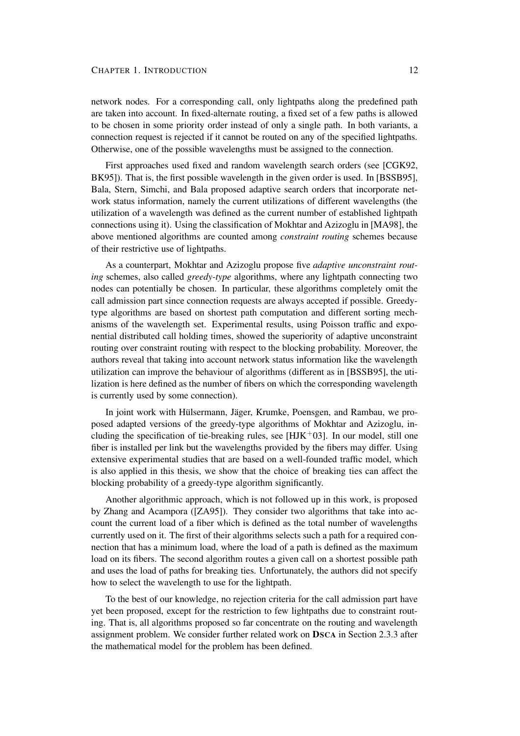#### CHAPTER 1. INTRODUCTION 12

network nodes. For a corresponding call, only lightpaths along the predefined path are taken into account. In fixed-alternate routing, a fixed set of a few paths is allowed to be chosen in some priority order instead of only a single path. In both variants, a connection request is rejected if it cannot be routed on any of the specified lightpaths. Otherwise, one of the possible wavelengths must be assigned to the connection.

First approaches used fixed and random wavelength search orders (see [CGK92, BK95]). That is, the first possible wavelength in the given order is used. In [BSSB95], Bala, Stern, Simchi, and Bala proposed adaptive search orders that incorporate network status information, namely the current utilizations of different wavelengths (the utilization of a wavelength was defined as the current number of established lightpath connections using it). Using the classification of Mokhtar and Azizoglu in [MA98], the above mentioned algorithms are counted among *constraint routing* schemes because of their restrictive use of lightpaths.

As a counterpart, Mokhtar and Azizoglu propose five *adaptive unconstraint routing* schemes, also called *greedy-type* algorithms, where any lightpath connecting two nodes can potentially be chosen. In particular, these algorithms completely omit the call admission part since connection requests are always accepted if possible. Greedytype algorithms are based on shortest path computation and different sorting mechanisms of the wavelength set. Experimental results, using Poisson traffic and exponential distributed call holding times, showed the superiority of adaptive unconstraint routing over constraint routing with respect to the blocking probability. Moreover, the authors reveal that taking into account network status information like the wavelength utilization can improve the behaviour of algorithms (different as in [BSSB95], the utilization is here defined as the number of fibers on which the corresponding wavelength is currently used by some connection).

In joint work with Hülsermann, Jäger, Krumke, Poensgen, and Rambau, we proposed adapted versions of the greedy-type algorithms of Mokhtar and Azizoglu, including the specification of tie-breaking rules, see  $[HJK^+03]$ . In our model, still one fiber is installed per link but the wavelengths provided by the fibers may differ. Using extensive experimental studies that are based on a well-founded traffic model, which is also applied in this thesis, we show that the choice of breaking ties can affect the blocking probability of a greedy-type algorithm significantly.

Another algorithmic approach, which is not followed up in this work, is proposed by Zhang and Acampora ([ZA95]). They consider two algorithms that take into account the current load of a fiber which is defined as the total number of wavelengths currently used on it. The first of their algorithms selects such a path for a required connection that has a minimum load, where the load of a path is defined as the maximum load on its fibers. The second algorithm routes a given call on a shortest possible path and uses the load of paths for breaking ties. Unfortunately, the authors did not specify how to select the wavelength to use for the lightpath.

To the best of our knowledge, no rejection criteria for the call admission part have yet been proposed, except for the restriction to few lightpaths due to constraint routing. That is, all algorithms proposed so far concentrate on the routing and wavelength assignment problem. We consider further related work on **DSCA** in Section 2.3.3 after the mathematical model for the problem has been defined.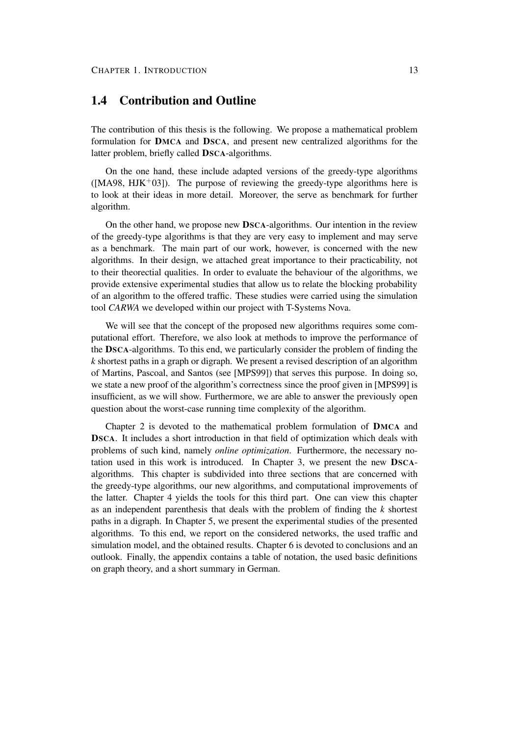## **1.4 Contribution and Outline**

The contribution of this thesis is the following. We propose a mathematical problem formulation for **DMCA** and **DSCA**, and present new centralized algorithms for the latter problem, briefly called **DSCA**-algorithms.

On the one hand, these include adapted versions of the greedy-type algorithms  $([MA98, HJK<sup>+</sup>03])$ . The purpose of reviewing the greedy-type algorithms here is to look at their ideas in more detail. Moreover, the serve as benchmark for further algorithm.

On the other hand, we propose new **DSCA**-algorithms. Our intention in the review of the greedy-type algorithms is that they are very easy to implement and may serve as a benchmark. The main part of our work, however, is concerned with the new algorithms. In their design, we attached great importance to their practicability, not to their theorectial qualities. In order to evaluate the behaviour of the algorithms, we provide extensive experimental studies that allow us to relate the blocking probability of an algorithm to the offered traffic. These studies were carried using the simulation tool *CARWA* we developed within our project with T-Systems Nova.

We will see that the concept of the proposed new algorithms requires some computational effort. Therefore, we also look at methods to improve the performance of the **DSCA**-algorithms. To this end, we particularly consider the problem of finding the *k* shortest paths in a graph or digraph. We present a revised description of an algorithm of Martins, Pascoal, and Santos (see [MPS99]) that serves this purpose. In doing so, we state a new proof of the algorithm's correctness since the proof given in [MPS99] is insufficient, as we will show. Furthermore, we are able to answer the previously open question about the worst-case running time complexity of the algorithm.

Chapter 2 is devoted to the mathematical problem formulation of **DMCA** and **DSCA**. It includes a short introduction in that field of optimization which deals with problems of such kind, namely *online optimization*. Furthermore, the necessary notation used in this work is introduced. In Chapter 3, we present the new **DSCA**algorithms. This chapter is subdivided into three sections that are concerned with the greedy-type algorithms, our new algorithms, and computational improvements of the latter. Chapter 4 yields the tools for this third part. One can view this chapter as an independent parenthesis that deals with the problem of finding the *k* shortest paths in a digraph. In Chapter 5, we present the experimental studies of the presented algorithms. To this end, we report on the considered networks, the used traffic and simulation model, and the obtained results. Chapter 6 is devoted to conclusions and an outlook. Finally, the appendix contains a table of notation, the used basic definitions on graph theory, and a short summary in German.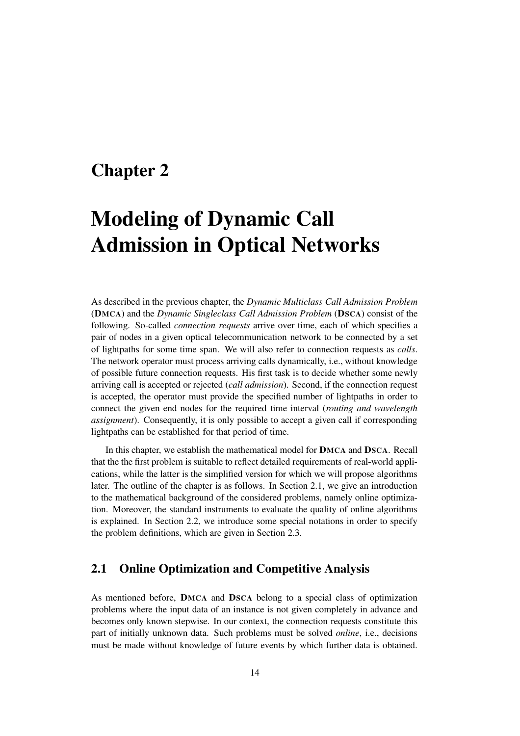## **Chapter 2**

# **Modeling of Dynamic Call Admission in Optical Networks**

As described in the previous chapter, the *Dynamic Multiclass Call Admission Problem* (**DMCA**) and the *Dynamic Singleclass Call Admission Problem* (**DSCA**) consist of the following. So-called *connection requests* arrive over time, each of which specifies a pair of nodes in a given optical telecommunication network to be connected by a set of lightpaths for some time span. We will also refer to connection requests as *calls*. The network operator must process arriving calls dynamically, i.e., without knowledge of possible future connection requests. His first task is to decide whether some newly arriving call is accepted or rejected (*call admission*). Second, if the connection request is accepted, the operator must provide the specified number of lightpaths in order to connect the given end nodes for the required time interval (*routing and wavelength assignment*). Consequently, it is only possible to accept a given call if corresponding lightpaths can be established for that period of time.

In this chapter, we establish the mathematical model for **DMCA** and **DSCA**. Recall that the the first problem is suitable to reflect detailed requirements of real-world applications, while the latter is the simplified version for which we will propose algorithms later. The outline of the chapter is as follows. In Section 2.1, we give an introduction to the mathematical background of the considered problems, namely online optimization. Moreover, the standard instruments to evaluate the quality of online algorithms is explained. In Section 2.2, we introduce some special notations in order to specify the problem definitions, which are given in Section 2.3.

## **2.1 Online Optimization and Competitive Analysis**

As mentioned before, **DMCA** and **DSCA** belong to a special class of optimization problems where the input data of an instance is not given completely in advance and becomes only known stepwise. In our context, the connection requests constitute this part of initially unknown data. Such problems must be solved *online*, i.e., decisions must be made without knowledge of future events by which further data is obtained.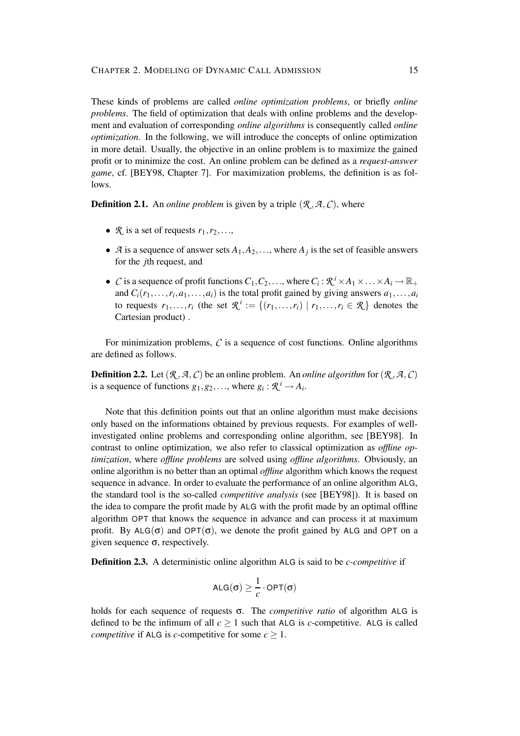These kinds of problems are called *online optimization problems*, or briefly *online problems*. The field of optimization that deals with online problems and the development and evaluation of corresponding *online algorithms* is consequently called *online optimization*. In the following, we will introduce the concepts of online optimization in more detail. Usually, the objective in an online problem is to maximize the gained profit or to minimize the cost. An online problem can be defined as a *request-answer game*, cf. [BEY98, Chapter 7]. For maximization problems, the definition is as follows.

**Definition 2.1.** An *online problem* is given by a triple  $(R, A, C)$ , where

- $\mathcal{R}$  is a set of requests  $r_1, r_2, \ldots$ ,
- *A* is a sequence of answer sets  $A_1, A_2, \ldots$ , where  $A_j$  is the set of feasible answers for the *j*th request, and
- *C* is a sequence of profit functions  $C_1, C_2, \ldots$ , where  $C_i : \mathcal{R}^i \times A_1 \times \ldots \times A_i \to \mathbb{R}_+$ and  $C_i(r_1,...,r_i,a_1,...,a_i)$  is the total profit gained by giving answers  $a_1,...,a_i$ to requests  $r_1, \ldots, r_i$  (the set  $\mathcal{R}^i := \{(r_1, \ldots, r_i) \mid r_1, \ldots, r_i \in \mathcal{R}\}\)$  denotes the Cartesian product) .

For minimization problems,  $C$  is a sequence of cost functions. Online algorithms are defined as follows.

**Definition 2.2.** Let  $(R, A, C)$  be an online problem. An *online algorithm* for  $(R, A, C)$ is a sequence of functions  $g_1, g_2, \ldots$ , where  $g_i : \mathcal{R}^i \to A_i$ .

Note that this definition points out that an online algorithm must make decisions only based on the informations obtained by previous requests. For examples of wellinvestigated online problems and corresponding online algorithm, see [BEY98]. In contrast to online optimization, we also refer to classical optimization as *offline optimization*, where *offline problems* are solved using *offline algorithms*. Obviously, an online algorithm is no better than an optimal *offline* algorithm which knows the request sequence in advance. In order to evaluate the performance of an online algorithm ALG, the standard tool is the so-called *competitive analysis* (see [BEY98]). It is based on the idea to compare the profit made by ALG with the profit made by an optimal offline algorithm OPT that knows the sequence in advance and can process it at maximum profit. By  $ALG(\sigma)$  and  $OPT(\sigma)$ , we denote the profit gained by ALG and OPT on a given sequence  $\sigma$ , respectively.

**Definition 2.3.** A deterministic online algorithm ALG is said to be *c-competitive* if

$$
\text{ALG}(\sigma) \geq \frac{1}{c} \cdot \text{OPT}(\sigma)
$$

holds for each sequence of requests σ. The *competitive ratio* of algorithm ALG is defined to be the infimum of all  $c \ge 1$  such that ALG is *c*-competitive. ALG is called *competitive* if ALG is *c*-competitive for some  $c \geq 1$ .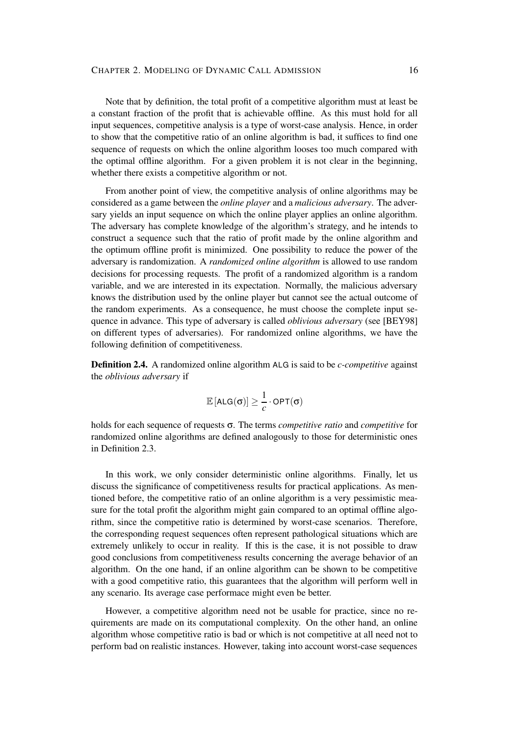Note that by definition, the total profit of a competitive algorithm must at least be a constant fraction of the profit that is achievable offline. As this must hold for all input sequences, competitive analysis is a type of worst-case analysis. Hence, in order to show that the competitive ratio of an online algorithm is bad, it suffices to find one sequence of requests on which the online algorithm looses too much compared with the optimal offline algorithm. For a given problem it is not clear in the beginning, whether there exists a competitive algorithm or not.

From another point of view, the competitive analysis of online algorithms may be considered as a game between the *online player* and a *malicious adversary*. The adversary yields an input sequence on which the online player applies an online algorithm. The adversary has complete knowledge of the algorithm's strategy, and he intends to construct a sequence such that the ratio of profit made by the online algorithm and the optimum offline profit is minimized. One possibility to reduce the power of the adversary is randomization. A *randomized online algorithm* is allowed to use random decisions for processing requests. The profit of a randomized algorithm is a random variable, and we are interested in its expectation. Normally, the malicious adversary knows the distribution used by the online player but cannot see the actual outcome of the random experiments. As a consequence, he must choose the complete input sequence in advance. This type of adversary is called *oblivious adversary* (see [BEY98] on different types of adversaries). For randomized online algorithms, we have the following definition of competitiveness.

**Definition 2.4.** A randomized online algorithm ALG is said to be *c-competitive* against the *oblivious adversary* if

$$
\mathbb{E}\left[\mathsf{ALG}(\sigma)\right] \geq \frac{1}{c} \cdot \mathsf{OPT}(\sigma)
$$

holds for each sequence of requests σ. The terms *competitive ratio* and *competitive* for randomized online algorithms are defined analogously to those for deterministic ones in Definition 2.3.

In this work, we only consider deterministic online algorithms. Finally, let us discuss the significance of competitiveness results for practical applications. As mentioned before, the competitive ratio of an online algorithm is a very pessimistic measure for the total profit the algorithm might gain compared to an optimal offline algorithm, since the competitive ratio is determined by worst-case scenarios. Therefore, the corresponding request sequences often represent pathological situations which are extremely unlikely to occur in reality. If this is the case, it is not possible to draw good conclusions from competitiveness results concerning the average behavior of an algorithm. On the one hand, if an online algorithm can be shown to be competitive with a good competitive ratio, this guarantees that the algorithm will perform well in any scenario. Its average case performace might even be better.

However, a competitive algorithm need not be usable for practice, since no requirements are made on its computational complexity. On the other hand, an online algorithm whose competitive ratio is bad or which is not competitive at all need not to perform bad on realistic instances. However, taking into account worst-case sequences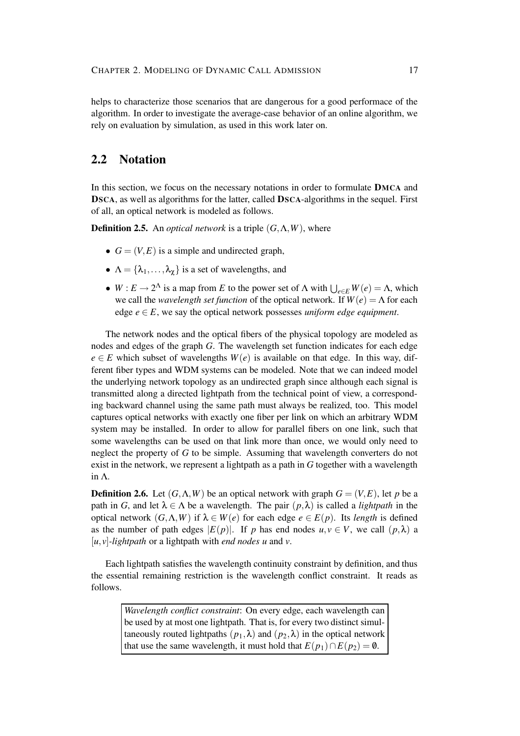helps to characterize those scenarios that are dangerous for a good performace of the algorithm. In order to investigate the average-case behavior of an online algorithm, we rely on evaluation by simulation, as used in this work later on.

## **2.2 Notation**

In this section, we focus on the necessary notations in order to formulate **DMCA** and **DSCA**, as well as algorithms for the latter, called **DSCA**-algorithms in the sequel. First of all, an optical network is modeled as follows.

**Definition 2.5.** An *optical network* is a triple  $(G, \Lambda, W)$ , where

- $G = (V, E)$  is a simple and undirected graph,
- $\Lambda = {\lambda_1, \ldots, \lambda_{\gamma}}$  is a set of wavelengths, and
- $W: E \to 2^{\Lambda}$  is a map from *E* to the power set of  $\Lambda$  with  $\bigcup_{e \in E} W(e) = \Lambda$ , which we call the *wavelength set function* of the optical network. If  $W(e) = \Lambda$  for each edge  $e \in E$ , we say the optical network possesses *uniform edge equipment*.

The network nodes and the optical fibers of the physical topology are modeled as nodes and edges of the graph *G*. The wavelength set function indicates for each edge  $e \in E$  which subset of wavelengths  $W(e)$  is available on that edge. In this way, different fiber types and WDM systems can be modeled. Note that we can indeed model the underlying network topology as an undirected graph since although each signal is transmitted along a directed lightpath from the technical point of view, a corresponding backward channel using the same path must always be realized, too. This model captures optical networks with exactly one fiber per link on which an arbitrary WDM system may be installed. In order to allow for parallel fibers on one link, such that some wavelengths can be used on that link more than once, we would only need to neglect the property of *G* to be simple. Assuming that wavelength converters do not exist in the network, we represent a lightpath as a path in *G* together with a wavelength in Λ.

**Definition 2.6.** Let  $(G, \Lambda, W)$  be an optical network with graph  $G = (V, E)$ , let *p* be a path in *G*, and let  $\lambda \in \Lambda$  be a wavelength. The pair  $(p, \lambda)$  is called a *lightpath* in the optical network (*G*,Λ,*W*) if λ ∈ *W*(*e*) for each edge *e* ∈ *E*(*p*). Its *length* is defined as the number of path edges  $|E(p)|$ . If *p* has end nodes  $u, v \in V$ , we call  $(p, \lambda)$  a [*u*, *v*]*-lightpath* or a lightpath with *end nodes u* and *v*.

Each lightpath satisfies the wavelength continuity constraint by definition, and thus the essential remaining restriction is the wavelength conflict constraint. It reads as follows.

> *Wavelength conflict constraint*: On every edge, each wavelength can be used by at most one lightpath. That is, for every two distinct simultaneously routed lightpaths  $(p_1, \lambda)$  and  $(p_2, \lambda)$  in the optical network that use the same wavelength, it must hold that  $E(p_1) \cap E(p_2) = \emptyset$ .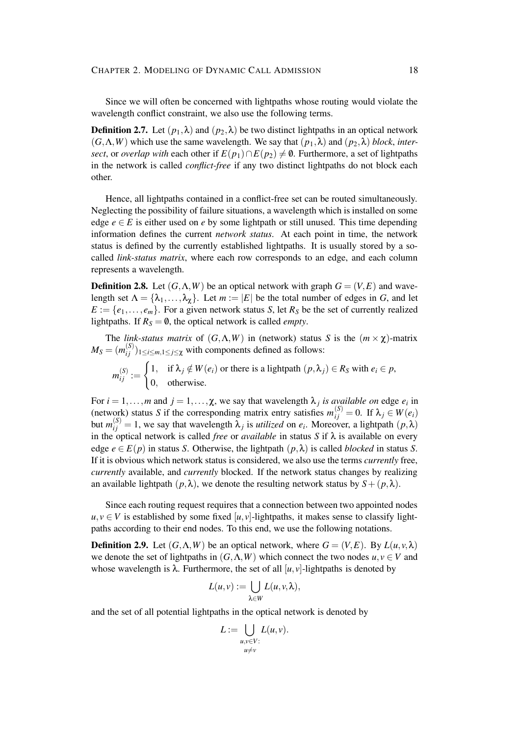Since we will often be concerned with lightpaths whose routing would violate the wavelength conflict constraint, we also use the following terms.

**Definition 2.7.** Let  $(p_1, \lambda)$  and  $(p_2, \lambda)$  be two distinct lightpaths in an optical network  $(G, \Lambda, W)$  which use the same wavelength. We say that  $(p_1, \lambda)$  and  $(p_2, \lambda)$  *block*, *intersect*, or *overlap with* each other if  $E(p_1) \cap E(p_2) \neq \emptyset$ . Furthermore, a set of lightpaths in the network is called *conflict-free* if any two distinct lightpaths do not block each other.

Hence, all lightpaths contained in a conflict-free set can be routed simultaneously. Neglecting the possibility of failure situations, a wavelength which is installed on some edge  $e \in E$  is either used on *e* by some lightpath or still unused. This time depending information defines the current *network status*. At each point in time, the network status is defined by the currently established lightpaths. It is usually stored by a socalled *link-status matrix*, where each row corresponds to an edge, and each column represents a wavelength.

**Definition 2.8.** Let  $(G, \Lambda, W)$  be an optical network with graph  $G = (V, E)$  and wavelength set  $\Lambda = {\lambda_1, ..., \lambda_{\chi}}$ . Let  $m := |E|$  be the total number of edges in *G*, and let  $E := \{e_1, \ldots, e_m\}$ . For a given network status *S*, let  $R_S$  be the set of currently realized lightpaths. If  $R<sub>S</sub> = \emptyset$ , the optical network is called *empty*.

The *link-status matrix* of  $(G, \Lambda, W)$  in (network) status *S* is the  $(m \times \chi)$ -matrix  $M_S = (m_{ij}^{(S)}$  $\binom{S}{i}$ <sub>1≤*i*≤*m*,1≤*j*≤χ with components defined as follows:</sub>

$$
m_{ij}^{(S)} := \begin{cases} 1, & \text{if } \lambda_j \notin W(e_i) \text{ or there is a lightpath } (p, \lambda_j) \in R_S \text{ with } e_i \in p, \\ 0, & \text{otherwise.} \end{cases}
$$

For  $i = 1, \ldots, m$  and  $j = 1, \ldots, \chi$ , we say that wavelength  $\lambda_j$  *is available on* edge  $e_i$  in (network) status *S* if the corresponding matrix entry satisfies  $m_{ij}^{(S)} = 0$ . If  $\lambda_j \in W(e_i)$ but  $m_{ij}^{(S)} = 1$ , we say that wavelength  $\lambda_j$  is *utilized* on  $e_i$ . Moreover, a lightpath  $(p, \lambda)$ in the optical network is called *free* or *available* in status  $S$  if  $\lambda$  is available on every edge  $e \in E(p)$  in status *S*. Otherwise, the lightpath  $(p, \lambda)$  is called *blocked* in status *S*. If it is obvious which network status is considered, we also use the terms *currently* free, *currently* available, and *currently* blocked. If the network status changes by realizing an available lightpath  $(p, \lambda)$ , we denote the resulting network status by  $S + (p, \lambda)$ .

Since each routing request requires that a connection between two appointed nodes  $u, v \in V$  is established by some fixed [*u*, *v*]-lightpaths, it makes sense to classify lightpaths according to their end nodes. To this end, we use the following notations.

**Definition 2.9.** Let  $(G, \Lambda, W)$  be an optical network, where  $G = (V, E)$ . By  $L(u, v, \lambda)$ we denote the set of lightpaths in  $(G, \Lambda, W)$  which connect the two nodes  $u, v \in V$  and whose wavelength is  $\lambda$ . Furthermore, the set of all  $[u, v]$ -lightpaths is denoted by

$$
L(u,v) := \bigcup_{\lambda \in W} L(u,v,\lambda),
$$

and the set of all potential lightpaths in the optical network is denoted by

$$
L := \bigcup_{\substack{u,v \in V:\\ u \neq v}} L(u,v).
$$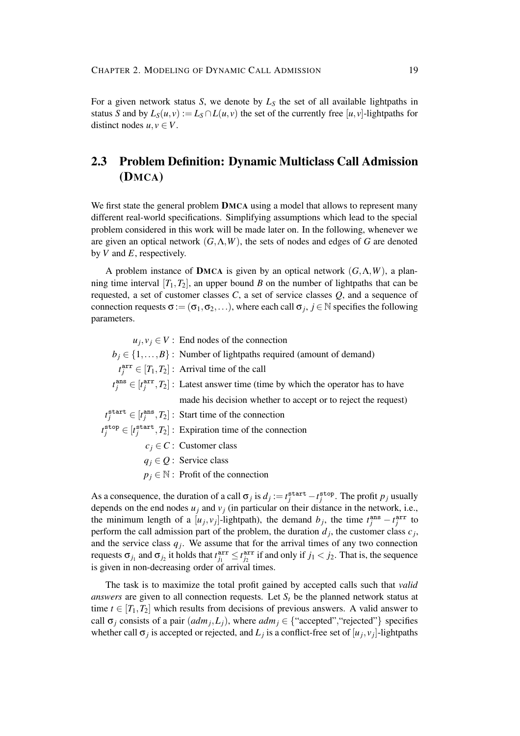For a given network status *S*, we denote by  $L<sub>S</sub>$  the set of all available lightpaths in status *S* and by  $L_S(u, v) := L_S \cap L(u, v)$  the set of the currently free [*u*, *v*]-lightpaths for distinct nodes  $u, v \in V$ .

## **2.3 Problem Definition: Dynamic Multiclass Call Admission (DMCA)**

We first state the general problem **DMCA** using a model that allows to represent many different real-world specifications. Simplifying assumptions which lead to the special problem considered in this work will be made later on. In the following, whenever we are given an optical network (*G*,Λ,*W*), the sets of nodes and edges of *G* are denoted by *V* and *E*, respectively.

A problem instance of **DMCA** is given by an optical network (*G*,Λ,*W*), a planning time interval  $[T_1, T_2]$ , an upper bound *B* on the number of lightpaths that can be requested, a set of customer classes *C*, a set of service classes *Q*, and a sequence of connection requests  $\sigma := (\sigma_1, \sigma_2, \ldots)$ , where each call  $\sigma_j$ ,  $j \in \mathbb{N}$  specifies the following parameters.

 $u_j, v_j \in V$  : End nodes of the connection  $b_i \in \{1, ..., B\}$ : Number of lightpaths required (amount of demand)  $t_j^{\text{arr}} \in [T_1, T_2]$ : Arrival time of the call  $t_j^{\text{ans}} \in [t_j^{\text{arr}}, T_2]$ : Latest answer time (time by which the operator has to have made his decision whether to accept or to reject the request)  $t_j^{\text{start}} \in [t_j^{\text{ans}}, T_2]$ : Start time of the connection  $t_j^{\text{stop}} \in [t_j^{\text{start}}, T_2]$ : Expiration time of the connection  $c_i \in \mathbb{C}$  : Customer class  $q_i \in Q$ : Service class  $p_j \in \mathbb{N}$ : Profit of the connection

As a consequence, the duration of a call  $\sigma_j$  is  $d_j := t_j^{\text{start}} - t_j^{\text{stop}}$ . The profit  $p_j$  usually depends on the end nodes  $u_j$  and  $v_j$  (in particular on their distance in the network, i.e., the minimum length of a  $[u_j, v_j]$ -lightpath), the demand  $b_j$ , the time  $t_j^{\text{ans}} - t_j^{\text{arr}}$  to perform the call admission part of the problem, the duration  $d_j$ , the customer class  $c_j$ , and the service class  $q_j$ . We assume that for the arrival times of any two connection requests  $\sigma_{j_1}$  and  $\sigma_{j_2}$  it holds that  $t_{j_1}^{arr} \leq t_{j_2}^{arr}$  if and only if  $j_1 < j_2$ . That is, the sequence is given in non-decreasing order of arrival times.

The task is to maximize the total profit gained by accepted calls such that *valid answers* are given to all connection requests. Let  $S_t$  be the planned network status at time  $t \in [T_1, T_2]$  which results from decisions of previous answers. A valid answer to call  $\sigma_j$  consists of a pair  $(adm_j, L_j)$ , where  $adm_j \in \{``accepted", "rejected"}\}$  specifies whether call  $\sigma_j$  is accepted or rejected, and  $L_j$  is a conflict-free set of  $[u_j, v_j]$ -lightpaths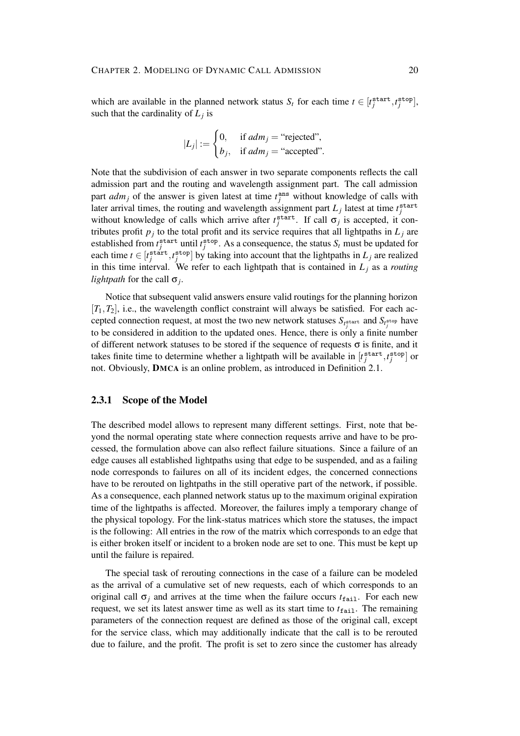which are available in the planned network status  $S_t$  for each time  $t \in [t_j^{\text{start}}, t_j^{\text{stop}}]$ , such that the cardinality of  $L_j$  is

$$
|L_j| := \begin{cases} 0, & \text{if } adm_j = \text{``rejected''}, \\ b_j, & \text{if } adm_j = \text{``accepted''}. \end{cases}
$$

Note that the subdivision of each answer in two separate components reflects the call admission part and the routing and wavelength assignment part. The call admission part  $adm_j$  of the answer is given latest at time  $t_j^{\text{ans}}$  without knowledge of calls with later arrival times, the routing and wavelength assignment part  $L_j$  latest at time  $t_j^{\text{start}}$ without knowledge of calls which arrive after  $t_j^{\text{start}}$ . If call  $\sigma_j$  is accepted, it contributes profit  $p_j$  to the total profit and its service requires that all lightpaths in  $L_j$  are established from  $t_j^{\text{start}}$  until  $t_j^{\text{stop}}$ . As a consequence, the status  $S_t$  must be updated for each time  $t \in [t_j^{\text{start}}, t_j^{\text{stop}}]$  by taking into account that the lightpaths in  $L_j$  are realized in this time interval. We refer to each lightpath that is contained in  $L_i$  as a *routing lightpath* for the call σ*<sup>j</sup>* .

Notice that subsequent valid answers ensure valid routings for the planning horizon  $[T_1, T_2]$ , i.e., the wavelength conflict constraint will always be satisfied. For each accepted connection request, at most the two new network statuses  $S_{t_j^{\text{start}}}$  and  $S_{t_j^{\text{stop}}}$  have to be considered in addition to the updated ones. Hence, there is only a finite number of different network statuses to be stored if the sequence of requests  $\sigma$  is finite, and it takes finite time to determine whether a lightpath will be available in  $[t_j^{\text{start}}, t_j^{\text{stop}}]$  or not. Obviously, **DMCA** is an online problem, as introduced in Definition 2.1.

### **2.3.1 Scope of the Model**

The described model allows to represent many different settings. First, note that beyond the normal operating state where connection requests arrive and have to be processed, the formulation above can also reflect failure situations. Since a failure of an edge causes all established lightpaths using that edge to be suspended, and as a failing node corresponds to failures on all of its incident edges, the concerned connections have to be rerouted on lightpaths in the still operative part of the network, if possible. As a consequence, each planned network status up to the maximum original expiration time of the lightpaths is affected. Moreover, the failures imply a temporary change of the physical topology. For the link-status matrices which store the statuses, the impact is the following: All entries in the row of the matrix which corresponds to an edge that is either broken itself or incident to a broken node are set to one. This must be kept up until the failure is repaired.

The special task of rerouting connections in the case of a failure can be modeled as the arrival of a cumulative set of new requests, each of which corresponds to an original call  $\sigma_i$  and arrives at the time when the failure occurs  $t_{\text{fail}}$ . For each new request, we set its latest answer time as well as its start time to  $t_{\text{fail}}$ . The remaining parameters of the connection request are defined as those of the original call, except for the service class, which may additionally indicate that the call is to be rerouted due to failure, and the profit. The profit is set to zero since the customer has already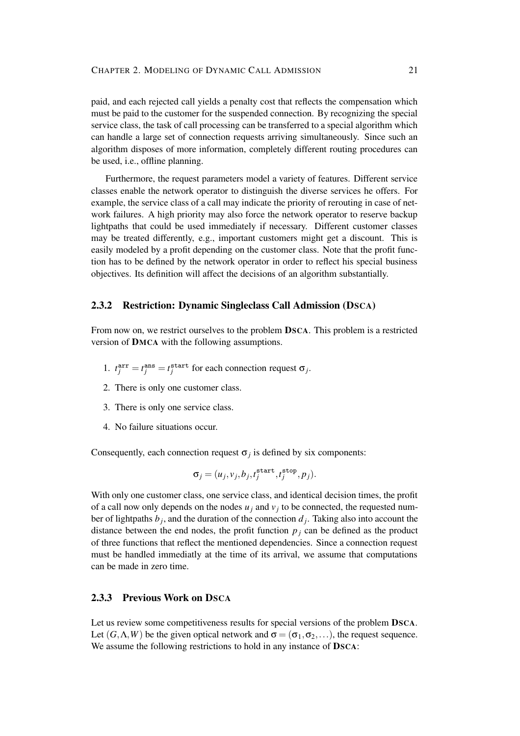paid, and each rejected call yields a penalty cost that reflects the compensation which must be paid to the customer for the suspended connection. By recognizing the special service class, the task of call processing can be transferred to a special algorithm which can handle a large set of connection requests arriving simultaneously. Since such an algorithm disposes of more information, completely different routing procedures can be used, i.e., offline planning.

Furthermore, the request parameters model a variety of features. Different service classes enable the network operator to distinguish the diverse services he offers. For example, the service class of a call may indicate the priority of rerouting in case of network failures. A high priority may also force the network operator to reserve backup lightpaths that could be used immediately if necessary. Different customer classes may be treated differently, e.g., important customers might get a discount. This is easily modeled by a profit depending on the customer class. Note that the profit function has to be defined by the network operator in order to reflect his special business objectives. Its definition will affect the decisions of an algorithm substantially.

### **2.3.2 Restriction: Dynamic Singleclass Call Admission (DSCA)**

From now on, we restrict ourselves to the problem **DSCA**. This problem is a restricted version of **DMCA** with the following assumptions.

- 1.  $t_j^{\text{arr}} = t_j^{\text{ans}} = t_j^{\text{start}}$  for each connection request  $\sigma_j$ .
- 2. There is only one customer class.
- 3. There is only one service class.
- 4. No failure situations occur.

Consequently, each connection request  $\sigma_j$  is defined by six components:

$$
\sigma_j = (u_j, v_j, b_j, t_j^{\text{start}}, t_j^{\text{stop}}, p_j).
$$

With only one customer class, one service class, and identical decision times, the profit of a call now only depends on the nodes  $u_j$  and  $v_j$  to be connected, the requested number of lightpaths  $b_j$ , and the duration of the connection  $d_j$ . Taking also into account the distance between the end nodes, the profit function  $p_i$  can be defined as the product of three functions that reflect the mentioned dependencies. Since a connection request must be handled immediatly at the time of its arrival, we assume that computations can be made in zero time.

## **2.3.3 Previous Work on DSCA**

Let us review some competitiveness results for special versions of the problem **DSCA**. Let  $(G, \Lambda, W)$  be the given optical network and  $\sigma = (\sigma_1, \sigma_2, \ldots)$ , the request sequence. We assume the following restrictions to hold in any instance of **DSCA**: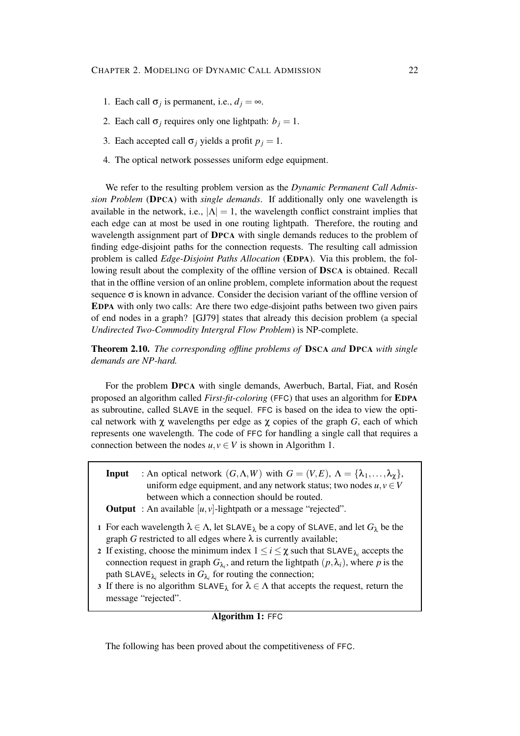- 1. Each call  $\sigma_j$  is permanent, i.e.,  $d_j = \infty$ .
- 2. Each call  $\sigma_j$  requires only one lightpath:  $b_j = 1$ .
- 3. Each accepted call  $\sigma$ *j* yields a profit  $p_j = 1$ .
- 4. The optical network possesses uniform edge equipment.

We refer to the resulting problem version as the *Dynamic Permanent Call Admission Problem* (**DPCA**) with *single demands*. If additionally only one wavelength is available in the network, i.e.,  $|\Lambda| = 1$ , the wavelength conflict constraint implies that each edge can at most be used in one routing lightpath. Therefore, the routing and wavelength assignment part of **DPCA** with single demands reduces to the problem of finding edge-disjoint paths for the connection requests. The resulting call admission problem is called *Edge-Disjoint Paths Allocation* (**EDPA**). Via this problem, the following result about the complexity of the offline version of **DSCA** is obtained. Recall that in the offline version of an online problem, complete information about the request sequence  $\sigma$  is known in advance. Consider the decision variant of the offline version of **EDPA** with only two calls: Are there two edge-disjoint paths between two given pairs of end nodes in a graph? [GJ79] states that already this decision problem (a special *Undirected Two-Commodity Intergral Flow Problem*) is NP-complete.

**Theorem 2.10.** *The corresponding offline problems of* **DSCA** *and* **DPCA** *with single demands are NP-hard.*

For the problem **DPCA** with single demands, Awerbuch, Bartal, Fiat, and Rosén proposed an algorithm called *First-fit-coloring* (FFC) that uses an algorithm for **EDPA** as subroutine, called SLAVE in the sequel. FFC is based on the idea to view the optical network with  $\chi$  wavelengths per edge as  $\chi$  copies of the graph *G*, each of which represents one wavelength. The code of FFC for handling a single call that requires a connection between the nodes  $u, v \in V$  is shown in Algorithm 1.

| <b>Input</b> : An optical network $(G, \Lambda, W)$ with $G = (V, E), \Lambda = {\lambda_1, , \lambda_{\chi}}$ , |
|------------------------------------------------------------------------------------------------------------------|
| uniform edge equipment, and any network status; two nodes $u, v \in V$                                           |
| between which a connection should be routed.                                                                     |

- **Output** : An available  $[u, v]$ -lightpath or a message "rejected".
- **1** For each wavelength  $\lambda \in \Lambda$ , let SLAVE<sub> $\lambda$ </sub> be a copy of SLAVE, and let  $G_{\lambda}$  be the graph  $G$  restricted to all edges where  $\lambda$  is currently available;
- **2** If existing, choose the minimum index  $1 \le i \le \chi$  such that SLAVE<sub> $\lambda_i$ </sub> accepts the connection request in graph  $G_{\lambda_i}$ , and return the lightpath  $(p, \lambda_i)$ , where *p* is the path SLAVE<sub> $\lambda_i$ </sub> selects in  $G_{\lambda_i}$  for routing the connection;
- **3** If there is no algorithm  $SLAVE_{\lambda}$  for  $\lambda \in \Lambda$  that accepts the request, return the message "rejected".

## **Algorithm 1:** FFC

The following has been proved about the competitiveness of FFC.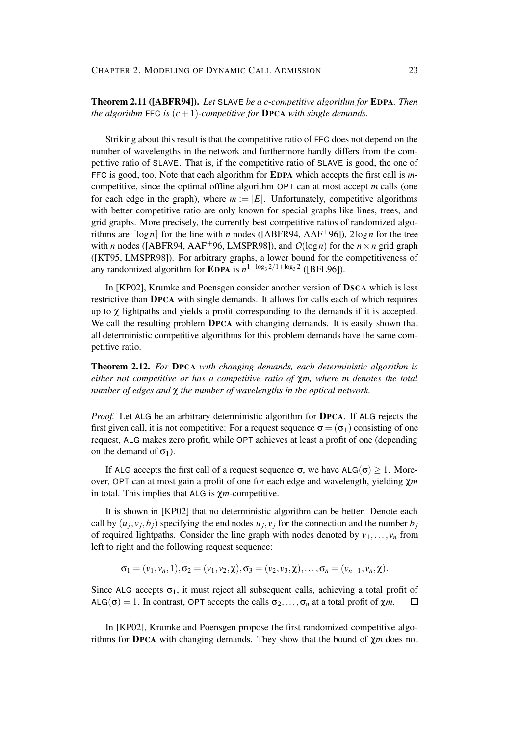## **Theorem 2.11 ([ABFR94]).** *Let* SLAVE *be a c-competitive algorithm for* **EDPA***. Then the algorithm* FFC *is*  $(c + 1)$ *-competitive for* **DPCA** *with single demands.*

Striking about this result is that the competitive ratio of FFC does not depend on the number of wavelengths in the network and furthermore hardly differs from the competitive ratio of SLAVE. That is, if the competitive ratio of SLAVE is good, the one of FFC is good, too. Note that each algorithm for **EDPA** which accepts the first call is *m*competitive, since the optimal offline algorithm OPT can at most accept *m* calls (one for each edge in the graph), where  $m := |E|$ . Unfortunately, competitive algorithms with better competitive ratio are only known for special graphs like lines, trees, and grid graphs. More precisely, the currently best competitive ratios of randomized algorithms are  $\lceil \log n \rceil$  for the line with *n* nodes ([ABFR94, AAF<sup>+96</sup>]), 2log *n* for the tree with *n* nodes ([ABFR94, AAF<sup>+96</sup>, LMSPR98]), and  $O(\log n)$  for the  $n \times n$  grid graph ([KT95, LMSPR98]). For arbitrary graphs, a lower bound for the competitiveness of any randomized algorithm for **EDPA** is  $n^{1-\log_3 2/1+\log_3 2}$  ([BFL96]).

In [KP02], Krumke and Poensgen consider another version of **DSCA** which is less restrictive than **DPCA** with single demands. It allows for calls each of which requires up to  $\gamma$  lightpaths and yields a profit corresponding to the demands if it is accepted. We call the resulting problem **DPCA** with changing demands. It is easily shown that all deterministic competitive algorithms for this problem demands have the same competitive ratio.

**Theorem 2.12.** *For* **DPCA** *with changing demands, each deterministic algorithm is either not competitive or has a competitive ratio of* χ*m, where m denotes the total number of edges and* χ *the number of wavelengths in the optical network.*

*Proof.* Let ALG be an arbitrary deterministic algorithm for **DPCA**. If ALG rejects the first given call, it is not competitive: For a request sequence  $\sigma = (\sigma_1)$  consisting of one request, ALG makes zero profit, while OPT achieves at least a profit of one (depending on the demand of  $\sigma_1$ ).

If ALG accepts the first call of a request sequence  $\sigma$ , we have ALG( $\sigma$ ) > 1. Moreover, OPT can at most gain a profit of one for each edge and wavelength, yielding χ*m* in total. This implies that ALG is χ*m*-competitive.

It is shown in [KP02] that no deterministic algorithm can be better. Denote each call by  $(u_j, v_j, b_j)$  specifying the end nodes  $u_j, v_j$  for the connection and the number  $b_j$ of required lightpaths. Consider the line graph with nodes denoted by  $v_1, \ldots, v_n$  from left to right and the following request sequence:

$$
\sigma_1=(v_1,v_n,1),\sigma_2=(v_1,v_2,\chi),\sigma_3=(v_2,v_3,\chi),\ldots,\sigma_n=(v_{n-1},v_n,\chi).
$$

Since ALG accepts  $\sigma_1$ , it must reject all subsequent calls, achieving a total profit of ALG( $\sigma$ ) = 1. In contrast, OPT accepts the calls  $\sigma_2, \ldots, \sigma_n$  at a total profit of  $\chi m$ .  $\Box$ 

In [KP02], Krumke and Poensgen propose the first randomized competitive algorithms for **DPCA** with changing demands. They show that the bound of χ*m* does not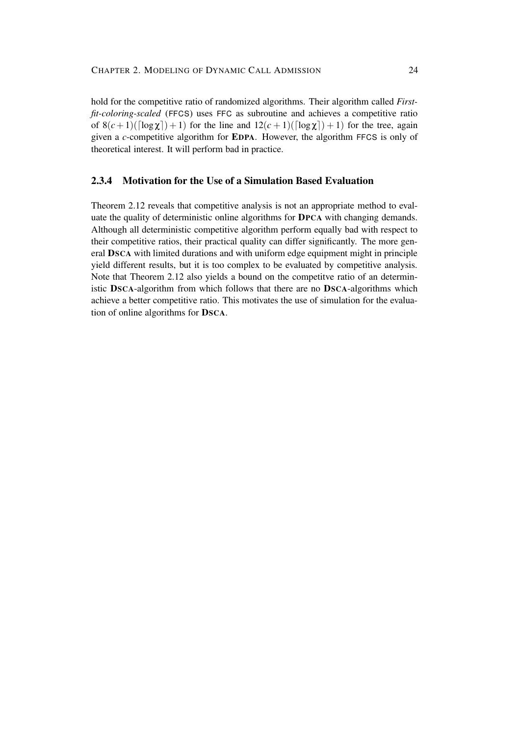hold for the competitive ratio of randomized algorithms. Their algorithm called *Firstfit-coloring-scaled* (FFCS) uses FFC as subroutine and achieves a competitive ratio of  $8(c+1)(\lceil \log \chi \rceil)+1$ ) for the line and  $12(c+1)(\lceil \log \chi \rceil)+1$ ) for the tree, again given a *c*-competitive algorithm for **EDPA**. However, the algorithm FFCS is only of theoretical interest. It will perform bad in practice.

## **2.3.4 Motivation for the Use of a Simulation Based Evaluation**

Theorem 2.12 reveals that competitive analysis is not an appropriate method to evaluate the quality of deterministic online algorithms for **DPCA** with changing demands. Although all deterministic competitive algorithm perform equally bad with respect to their competitive ratios, their practical quality can differ significantly. The more general **DSCA** with limited durations and with uniform edge equipment might in principle yield different results, but it is too complex to be evaluated by competitive analysis. Note that Theorem 2.12 also yields a bound on the competitve ratio of an deterministic **DSCA**-algorithm from which follows that there are no **DSCA**-algorithms which achieve a better competitive ratio. This motivates the use of simulation for the evaluation of online algorithms for **DSCA**.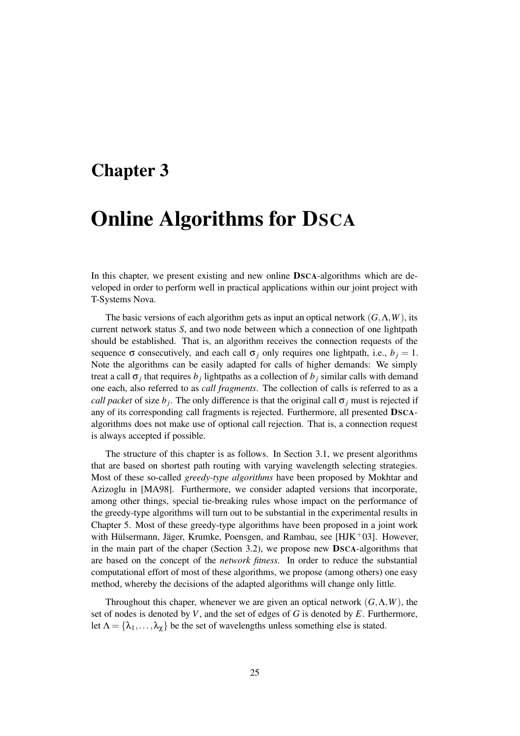## **Chapter 3**

# **Online Algorithms for DSCA**

In this chapter, we present existing and new online **DSCA**-algorithms which are developed in order to perform well in practical applications within our joint project with T-Systems Nova.

The basic versions of each algorithm gets as input an optical network  $(G, \Lambda, W)$ , its current network status *S*, and two node between which a connection of one lightpath should be established. That is, an algorithm receives the connection requests of the sequence  $\sigma$  consecutively, and each call  $\sigma_j$  only requires one lightpath, i.e.,  $b_j = 1$ . Note the algorithms can be easily adapted for calls of higher demands: We simply treat a call  $\sigma_j$  that requires  $b_j$  lightpaths as a collection of  $b_j$  similar calls with demand one each, also referred to as *call fragments*. The collection of calls is referred to as a *call packet* of size  $b_j$ . The only difference is that the original call  $\sigma_j$  must is rejected if any of its corresponding call fragments is rejected. Furthermore, all presented **DSCA**algorithms does not make use of optional call rejection. That is, a connection request is always accepted if possible.

The structure of this chapter is as follows. In Section 3.1, we present algorithms that are based on shortest path routing with varying wavelength selecting strategies. Most of these so-called *greedy-type algorithms* have been proposed by Mokhtar and Azizoglu in [MA98]. Furthermore, we consider adapted versions that incorporate, among other things, special tie-breaking rules whose impact on the performance of the greedy-type algorithms will turn out to be substantial in the experimental results in Chapter 5. Most of these greedy-type algorithms have been proposed in a joint work with Hülsermann, Jäger, Krumke, Poensgen, and Rambau, see [ $HJK^+03$ ]. However, in the main part of the chaper (Section 3.2), we propose new **DSCA**-algorithms that are based on the concept of the *network fitness*. In order to reduce the substantial computational effort of most of these algorithms, we propose (among others) one easy method, whereby the decisions of the adapted algorithms will change only little.

Throughout this chaper, whenever we are given an optical network  $(G, \Lambda, W)$ , the set of nodes is denoted by *V*, and the set of edges of *G* is denoted by *E*. Furthermore, let  $\Lambda = {\lambda_1, \ldots, \lambda_{\gamma}}$  be the set of wavelengths unless something else is stated.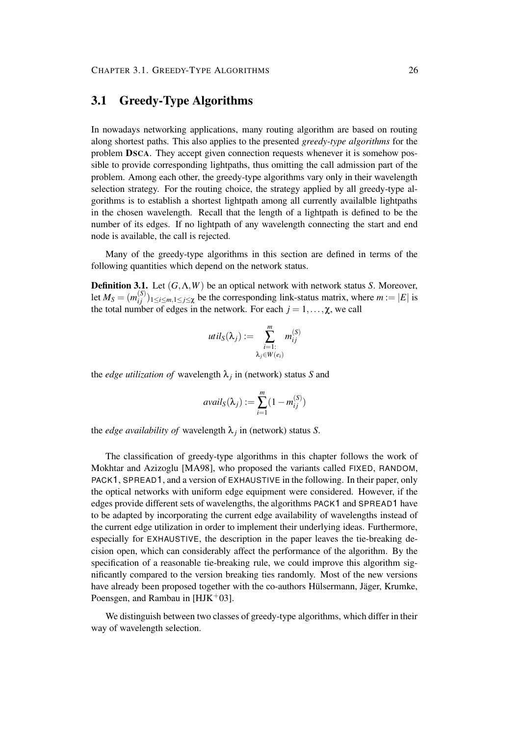## **3.1 Greedy-Type Algorithms**

In nowadays networking applications, many routing algorithm are based on routing along shortest paths. This also applies to the presented *greedy-type algorithms* for the problem **DSCA**. They accept given connection requests whenever it is somehow possible to provide corresponding lightpaths, thus omitting the call admission part of the problem. Among each other, the greedy-type algorithms vary only in their wavelength selection strategy. For the routing choice, the strategy applied by all greedy-type algorithms is to establish a shortest lightpath among all currently availalble lightpaths in the chosen wavelength. Recall that the length of a lightpath is defined to be the number of its edges. If no lightpath of any wavelength connecting the start and end node is available, the call is rejected.

Many of the greedy-type algorithms in this section are defined in terms of the following quantities which depend on the network status.

**Definition 3.1.** Let (*G*,Λ,*W*) be an optical network with network status *S*. Moreover, let  $M_S = (m_{ij}^{(S)}$  $\sum_{i,j}^{(3)}$ )<sub>1≤*i*≤*m*,1≤*j*≤χ be the corresponding link-status matrix, where *m* := |*E*| is</sub> the total number of edges in the network. For each  $j = 1, \ldots, \chi$ , we call

$$
util_S(\lambda_j) := \sum_{\substack{i=1:\\ \lambda_j \in W(e_i)}}^m m_{ij}^{(S)}
$$

the *edge utilization of* wavelength  $\lambda_j$  in (network) status *S* and

$$
avail_S(\lambda_j) := \sum_{i=1}^m (1 - m_{ij}^{(S)})
$$

the *edge availability of* wavelength  $\lambda_j$  in (network) status *S*.

The classification of greedy-type algorithms in this chapter follows the work of Mokhtar and Azizoglu [MA98], who proposed the variants called FIXED, RANDOM, PACK1, SPREAD1, and a version of EXHAUSTIVE in the following. In their paper, only the optical networks with uniform edge equipment were considered. However, if the edges provide different sets of wavelengths, the algorithms PACK1 and SPREAD1 have to be adapted by incorporating the current edge availability of wavelengths instead of the current edge utilization in order to implement their underlying ideas. Furthermore, especially for EXHAUSTIVE, the description in the paper leaves the tie-breaking decision open, which can considerably affect the performance of the algorithm. By the specification of a reasonable tie-breaking rule, we could improve this algorithm significantly compared to the version breaking ties randomly. Most of the new versions have already been proposed together with the co-authors Hülsermann, Jäger, Krumke, Poensgen, and Rambau in  $[HJK^+03]$ .

We distinguish between two classes of greedy-type algorithms, which differ in their way of wavelength selection.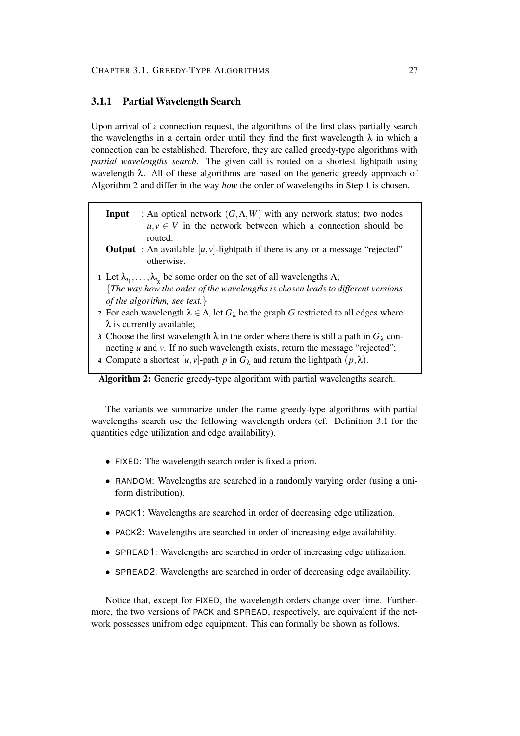## **3.1.1 Partial Wavelength Search**

Upon arrival of a connection request, the algorithms of the first class partially search the wavelengths in a certain order until they find the first wavelength  $\lambda$  in which a connection can be established. Therefore, they are called greedy-type algorithms with *partial wavelengths search*. The given call is routed on a shortest lightpath using wavelength  $\lambda$ . All of these algorithms are based on the generic greedy approach of Algorithm 2 and differ in the way *how* the order of wavelengths in Step 1 is chosen.

- **Input** : An optical network  $(G, \Lambda, W)$  with any network status; two nodes  $u, v \in V$  in the network between which a connection should be routed.
- **Output** : An available  $[u, v]$ -lightpath if there is any or a message "rejected" otherwise.
- **1** Let  $\lambda_{i_1}, \ldots, \lambda_{i_\chi}$  be some order on the set of all wavelengths  $\Lambda$ ; {*The way how the order of the wavelengths is chosen leads to different versions of the algorithm, see text.*}
- **2** For each wavelength  $\lambda \in \Lambda$ , let  $G_{\lambda}$  be the graph G restricted to all edges where  $\lambda$  is currently available;
- **3** Choose the first wavelength  $\lambda$  in the order where there is still a path in  $G_{\lambda}$  connecting *u* and *v*. If no such wavelength exists, return the message "rejected";
- **4** Compute a shortest  $[u, v]$ -path  $p$  in  $G_\lambda$  and return the lightpath  $(p, \lambda)$ .

## **Algorithm 2:** Generic greedy-type algorithm with partial wavelengths search.

The variants we summarize under the name greedy-type algorithms with partial wavelengths search use the following wavelength orders (cf. Definition 3.1 for the quantities edge utilization and edge availability).

- FIXED: The wavelength search order is fixed a priori.
- RANDOM: Wavelengths are searched in a randomly varying order (using a uniform distribution).
- PACK1: Wavelengths are searched in order of decreasing edge utilization.
- PACK2: Wavelengths are searched in order of increasing edge availability.
- SPREAD1: Wavelengths are searched in order of increasing edge utilization.
- SPREAD2: Wavelengths are searched in order of decreasing edge availability.

Notice that, except for FIXED, the wavelength orders change over time. Furthermore, the two versions of PACK and SPREAD, respectively, are equivalent if the network possesses unifrom edge equipment. This can formally be shown as follows.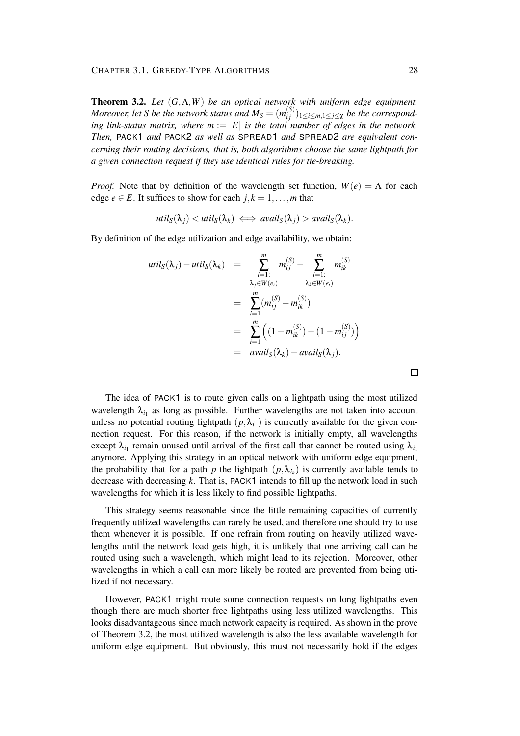**Theorem 3.2.** *Let* (*G*,Λ,*W*) *be an optical network with uniform edge equipment. Moreover, let S be the network status and*  $M_S = (m_{ij}^{(S)})$  $\sum_{i,j}^{(3)}$ )<sub>1≤*i*≤*m*,1≤*j*≤χ *be the correspond-*</sub> *ing link-status matrix, where*  $m := |E|$  *is the total number of edges in the network. Then,* PACK1 *and* PACK2 *as well as* SPREAD1 *and* SPREAD2 *are equivalent concerning their routing decisions, that is, both algorithms choose the same lightpath for a given connection request if they use identical rules for tie-breaking.*

*Proof.* Note that by definition of the wavelength set function,  $W(e) = \Lambda$  for each edge  $e \in E$ . It suffices to show for each  $j, k = 1, \ldots, m$  that

$$
util_S(\lambda_j) < util_S(\lambda_k) \iff avail_S(\lambda_j) > avail_S(\lambda_k).
$$

By definition of the edge utilization and edge availability, we obtain:

$$
util_S(\lambda_j) - util_S(\lambda_k) = \sum_{\substack{i=1 \ i \in N}}^m m_{ij}^{(S)} - \sum_{\substack{i=1 \ i \in N}}^m m_{ik}^{(S)}
$$
  

$$
= \sum_{i=1}^m (m_{ij}^{(S)} - m_{ik}^{(S)})
$$
  

$$
= \sum_{i=1}^m ((1 - m_{ik}^{(S)}) - (1 - m_{ij}^{(S)}) )
$$
  

$$
= \alpha \text{valid}_S(\lambda_k) - \alpha \text{valid}_S(\lambda_j).
$$

The idea of PACK1 is to route given calls on a lightpath using the most utilized wavelength  $\lambda_{i_1}$  as long as possible. Further wavelengths are not taken into account unless no potential routing lightpath  $(p, \lambda_{i_1})$  is currently available for the given connection request. For this reason, if the network is initially empty, all wavelengths except  $\lambda_{i_1}$  remain unused until arrival of the first call that cannot be routed using  $\lambda_{i_1}$ anymore. Applying this strategy in an optical network with uniform edge equipment, the probability that for a path *p* the lightpath  $(p, \lambda_{i_k})$  is currently available tends to decrease with decreasing *k*. That is, PACK1 intends to fill up the network load in such wavelengths for which it is less likely to find possible lightpaths.

This strategy seems reasonable since the little remaining capacities of currently frequently utilized wavelengths can rarely be used, and therefore one should try to use them whenever it is possible. If one refrain from routing on heavily utilized wavelengths until the network load gets high, it is unlikely that one arriving call can be routed using such a wavelength, which might lead to its rejection. Moreover, other wavelengths in which a call can more likely be routed are prevented from being utilized if not necessary.

However, PACK1 might route some connection requests on long lightpaths even though there are much shorter free lightpaths using less utilized wavelengths. This looks disadvantageous since much network capacity is required. As shown in the prove of Theorem 3.2, the most utilized wavelength is also the less available wavelength for uniform edge equipment. But obviously, this must not necessarily hold if the edges

 $\Box$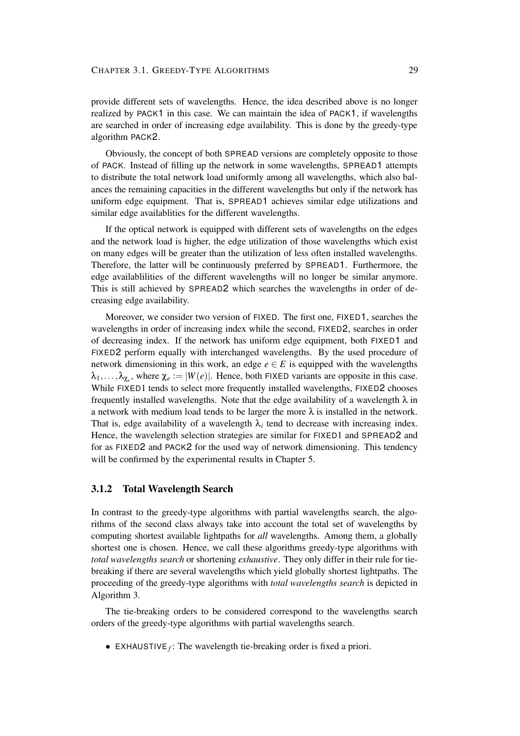provide different sets of wavelengths. Hence, the idea described above is no longer realized by PACK1 in this case. We can maintain the idea of PACK1, if wavelengths are searched in order of increasing edge availability. This is done by the greedy-type algorithm PACK2.

Obviously, the concept of both SPREAD versions are completely opposite to those of PACK. Instead of filling up the network in some wavelengths, SPREAD1 attempts to distribute the total network load uniformly among all wavelengths, which also balances the remaining capacities in the different wavelengths but only if the network has uniform edge equipment. That is, SPREAD1 achieves similar edge utilizations and similar edge availablities for the different wavelengths.

If the optical network is equipped with different sets of wavelengths on the edges and the network load is higher, the edge utilization of those wavelengths which exist on many edges will be greater than the utilization of less often installed wavelengths. Therefore, the latter will be continuously preferred by SPREAD1. Furthermore, the edge availablilities of the different wavelengths will no longer be similar anymore. This is still achieved by SPREAD2 which searches the wavelengths in order of decreasing edge availability.

Moreover, we consider two version of FIXED. The first one, FIXED1, searches the wavelengths in order of increasing index while the second, FIXED2, searches in order of decreasing index. If the network has uniform edge equipment, both FIXED1 and FIXED2 perform equally with interchanged wavelengths. By the used procedure of network dimensioning in this work, an edge  $e \in E$  is equipped with the wavelengths  $\lambda_1, \ldots, \lambda_{\chi_e}$ , where  $\chi_e := |W(e)|$ . Hence, both FIXED variants are opposite in this case. While FIXED1 tends to select more frequently installed wavelengths, FIXED2 chooses frequently installed wavelengths. Note that the edge availability of a wavelength  $\lambda$  in a network with medium load tends to be larger the more  $\lambda$  is installed in the network. That is, edge availability of a wavelength  $\lambda_i$  tend to decrease with increasing index. Hence, the wavelength selection strategies are similar for FIXED1 and SPREAD2 and for as FIXED2 and PACK2 for the used way of network dimensioning. This tendency will be confirmed by the experimental results in Chapter 5.

#### **3.1.2 Total Wavelength Search**

In contrast to the greedy-type algorithms with partial wavelengths search, the algorithms of the second class always take into account the total set of wavelengths by computing shortest available lightpaths for *all* wavelengths. Among them, a globally shortest one is chosen. Hence, we call these algorithms greedy-type algorithms with *total wavelengths search* or shortening *exhaustive*. They only differ in their rule for tiebreaking if there are several wavelengths which yield globally shortest lightpaths. The proceeding of the greedy-type algorithms with *total wavelengths search* is depicted in Algorithm 3.

The tie-breaking orders to be considered correspond to the wavelengths search orders of the greedy-type algorithms with partial wavelengths search.

• EXHAUSTIVE $_f$ : The wavelength tie-breaking order is fixed a priori.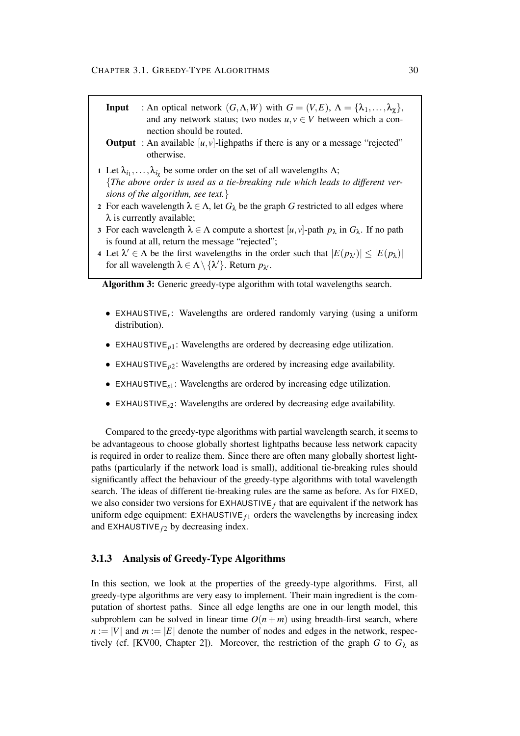- **Input** : An optical network  $(G, \Lambda, W)$  with  $G = (V, E), \Lambda = {\lambda_1, \ldots, \lambda_{\chi}}$ , and any network status; two nodes  $u, v \in V$  between which a connection should be routed.
- **Output** : An available  $[u, v]$ -lighpaths if there is any or a message "rejected" otherwise.
- **1** Let  $\lambda_{i_1}, \ldots, \lambda_{i_\chi}$  be some order on the set of all wavelengths  $\Lambda$ ; {*The above order is used as a tie-breaking rule which leads to different versions of the algorithm, see text.*}
- **2** For each wavelength  $\lambda \in \Lambda$ , let  $G_{\lambda}$  be the graph G restricted to all edges where  $\lambda$  is currently available;
- **3** For each wavelength  $\lambda \in \Lambda$  compute a shortest  $[u, v]$ -path  $p_{\lambda}$  in  $G_{\lambda}$ . If no path is found at all, return the message "rejected";
- **4** Let  $\lambda' \in \Lambda$  be the first wavelengths in the order such that  $|E(p_\lambda)| \leq |E(p_\lambda)|$ for all wavelength  $\lambda \in \Lambda \setminus {\{\lambda'\}}$ . Return  $p_{\lambda'}$ .

**Algorithm 3:** Generic greedy-type algorithm with total wavelengths search.

- EXHAUSTIVE*<sup>r</sup>* : Wavelengths are ordered randomly varying (using a uniform distribution).
- EXHAUSTIVE<sub>*n*1</sub>: Wavelengths are ordered by decreasing edge utilization.
- EXHAUSTIVE*p*2: Wavelengths are ordered by increasing edge availability.
- EXHAUSTIVE*s*1: Wavelengths are ordered by increasing edge utilization.
- EXHAUSTIVE*s*2: Wavelengths are ordered by decreasing edge availability.

Compared to the greedy-type algorithms with partial wavelength search, it seems to be advantageous to choose globally shortest lightpaths because less network capacity is required in order to realize them. Since there are often many globally shortest lightpaths (particularly if the network load is small), additional tie-breaking rules should significantly affect the behaviour of the greedy-type algorithms with total wavelength search. The ideas of different tie-breaking rules are the same as before. As for FIXED, we also consider two versions for  $\textsf{EXHAUSTIVE}_f$  that are equivalent if the network has uniform edge equipment:  $EXHAUSTIVE_{f1}$  orders the wavelengths by increasing index and EXHAUSTIVE  $f_2$  by decreasing index.

### **3.1.3 Analysis of Greedy-Type Algorithms**

In this section, we look at the properties of the greedy-type algorithms. First, all greedy-type algorithms are very easy to implement. Their main ingredient is the computation of shortest paths. Since all edge lengths are one in our length model, this subproblem can be solved in linear time  $O(n + m)$  using breadth-first search, where  $n := |V|$  and  $m := |E|$  denote the number of nodes and edges in the network, respectively (cf. [KV00, Chapter 2]). Moreover, the restriction of the graph *G* to  $G_{\lambda}$  as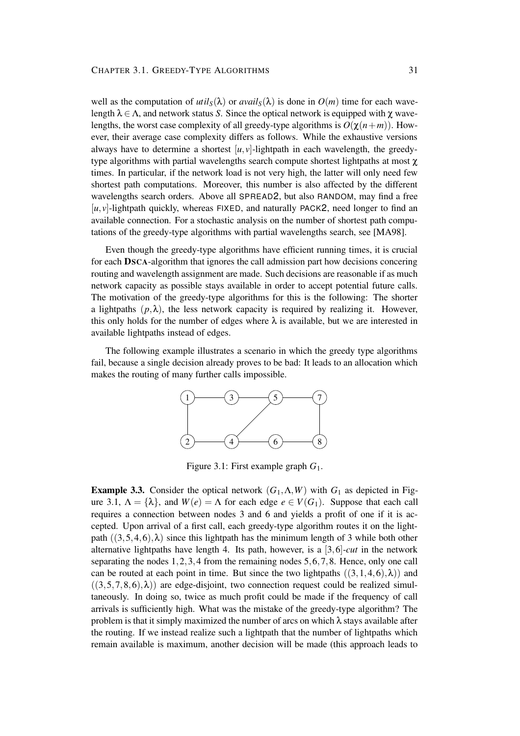well as the computation of  $util_S(\lambda)$  or  $avail_S(\lambda)$  is done in  $O(m)$  time for each wavelength  $\lambda \in \Lambda$ , and network status *S*. Since the optical network is equipped with  $\chi$  wavelengths, the worst case complexity of all greedy-type algorithms is  $O(\chi(n+m))$ . However, their average case complexity differs as follows. While the exhaustive versions always have to determine a shortest  $[u, v]$ -lightpath in each wavelength, the greedytype algorithms with partial wavelengths search compute shortest lightpaths at most χ times. In particular, if the network load is not very high, the latter will only need few shortest path computations. Moreover, this number is also affected by the different wavelengths search orders. Above all SPREAD2, but also RANDOM, may find a free  $[u, v]$ -lightpath quickly, whereas FIXED, and naturally PACK2, need longer to find an available connection. For a stochastic analysis on the number of shortest path computations of the greedy-type algorithms with partial wavelengths search, see [MA98].

Even though the greedy-type algorithms have efficient running times, it is crucial for each **DSCA**-algorithm that ignores the call admission part how decisions concering routing and wavelength assignment are made. Such decisions are reasonable if as much network capacity as possible stays available in order to accept potential future calls. The motivation of the greedy-type algorithms for this is the following: The shorter a lightpaths  $(p, \lambda)$ , the less network capacity is required by realizing it. However, this only holds for the number of edges where  $\lambda$  is available, but we are interested in available lightpaths instead of edges.

The following example illustrates a scenario in which the greedy type algorithms fail, because a single decision already proves to be bad: It leads to an allocation which makes the routing of many further calls impossible.



Figure 3.1: First example graph *G*1.

**Example 3.3.** Consider the optical network  $(G_1, \Lambda, W)$  with  $G_1$  as depicted in Figure 3.1,  $\Lambda = {\lambda}$ , and  $W(e) = \Lambda$  for each edge  $e \in V(G_1)$ . Suppose that each call requires a connection between nodes 3 and 6 and yields a profit of one if it is accepted. Upon arrival of a first call, each greedy-type algorithm routes it on the lightpath  $((3,5,4,6),\lambda)$  since this lightpath has the minimum length of 3 while both other alternative lightpaths have length 4. Its path, however, is a [3,6]-*cut* in the network separating the nodes 1,2,3,4 from the remaining nodes 5,6,7,8. Hence, only one call can be routed at each point in time. But since the two lightpaths  $((3,1,4,6),\lambda)$  and  $((3,5,7,8,6),\lambda)$  are edge-disjoint, two connection request could be realized simultaneously. In doing so, twice as much profit could be made if the frequency of call arrivals is sufficiently high. What was the mistake of the greedy-type algorithm? The problem is that it simply maximized the number of arcs on which  $\lambda$  stays available after the routing. If we instead realize such a lightpath that the number of lightpaths which remain available is maximum, another decision will be made (this approach leads to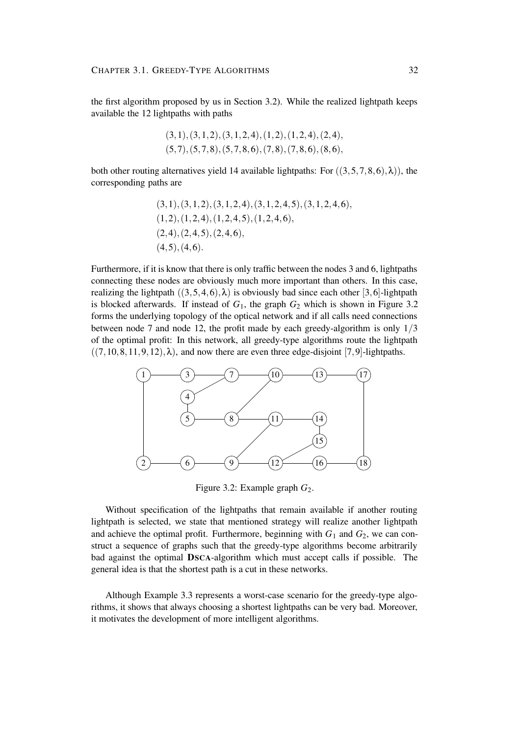the first algorithm proposed by us in Section 3.2). While the realized lightpath keeps available the 12 lightpaths with paths

$$
(3,1), (3,1,2), (3,1,2,4), (1,2), (1,2,4), (2,4), (5,7), (5,7,8), (5,7,8,6), (7,8), (7,8,6), (8,6),
$$

both other routing alternatives yield 14 available lightpaths: For  $((3,5,7,8,6),\lambda)$ , the corresponding paths are

$$
(3,1), (3,1,2), (3,1,2,4), (3,1,2,4,5), (3,1,2,4,6),(1,2), (1,2,4), (1,2,4,5), (1,2,4,6),(2,4), (2,4,5), (2,4,6),(4,5), (4,6).
$$

Furthermore, if it is know that there is only traffic between the nodes 3 and 6, lightpaths connecting these nodes are obviously much more important than others. In this case, realizing the lightpath  $((3,5,4,6),\lambda)$  is obviously bad since each other [3,6]-lightpath is blocked afterwards. If instead of  $G_1$ , the graph  $G_2$  which is shown in Figure 3.2 forms the underlying topology of the optical network and if all calls need connections between node 7 and node 12, the profit made by each greedy-algorithm is only 1/3 of the optimal profit: In this network, all greedy-type algorithms route the lightpath  $((7, 10, 8, 11, 9, 12), \lambda)$ , and now there are even three edge-disjoint [7,9]-lightpaths.



Figure 3.2: Example graph  $G_2$ .

Without specification of the lightpaths that remain available if another routing lightpath is selected, we state that mentioned strategy will realize another lightpath and achieve the optimal profit. Furthermore, beginning with  $G_1$  and  $G_2$ , we can construct a sequence of graphs such that the greedy-type algorithms become arbitrarily bad against the optimal **DSCA**-algorithm which must accept calls if possible. The general idea is that the shortest path is a cut in these networks.

Although Example 3.3 represents a worst-case scenario for the greedy-type algorithms, it shows that always choosing a shortest lightpaths can be very bad. Moreover, it motivates the development of more intelligent algorithms.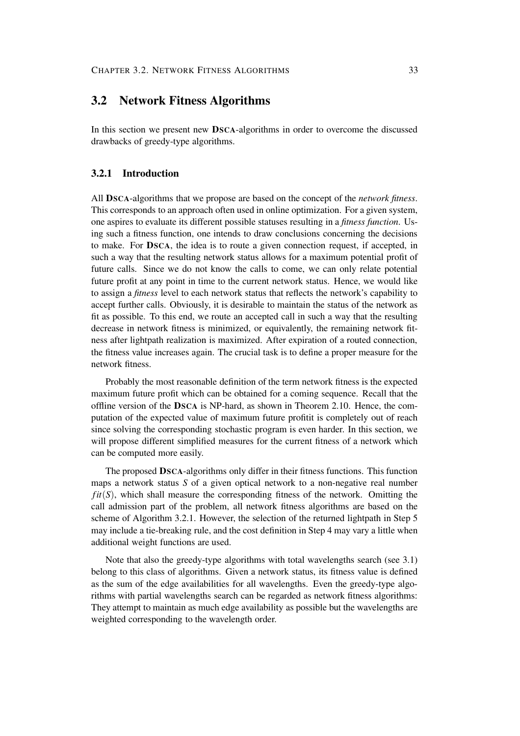## **3.2 Network Fitness Algorithms**

In this section we present new **DSCA**-algorithms in order to overcome the discussed drawbacks of greedy-type algorithms.

#### **3.2.1 Introduction**

All **DSCA**-algorithms that we propose are based on the concept of the *network fitness*. This corresponds to an approach often used in online optimization. For a given system, one aspires to evaluate its different possible statuses resulting in a *fitness function*. Using such a fitness function, one intends to draw conclusions concerning the decisions to make. For **DSCA**, the idea is to route a given connection request, if accepted, in such a way that the resulting network status allows for a maximum potential profit of future calls. Since we do not know the calls to come, we can only relate potential future profit at any point in time to the current network status. Hence, we would like to assign a *fitness* level to each network status that reflects the network's capability to accept further calls. Obviously, it is desirable to maintain the status of the network as fit as possible. To this end, we route an accepted call in such a way that the resulting decrease in network fitness is minimized, or equivalently, the remaining network fitness after lightpath realization is maximized. After expiration of a routed connection, the fitness value increases again. The crucial task is to define a proper measure for the network fitness.

Probably the most reasonable definition of the term network fitness is the expected maximum future profit which can be obtained for a coming sequence. Recall that the offline version of the **DSCA** is NP-hard, as shown in Theorem 2.10. Hence, the computation of the expected value of maximum future profitit is completely out of reach since solving the corresponding stochastic program is even harder. In this section, we will propose different simplified measures for the current fitness of a network which can be computed more easily.

The proposed **DSCA**-algorithms only differ in their fitness functions. This function maps a network status *S* of a given optical network to a non-negative real number *fit*(*S*), which shall measure the corresponding fitness of the network. Omitting the call admission part of the problem, all network fitness algorithms are based on the scheme of Algorithm 3.2.1. However, the selection of the returned lightpath in Step 5 may include a tie-breaking rule, and the cost definition in Step 4 may vary a little when additional weight functions are used.

Note that also the greedy-type algorithms with total wavelengths search (see 3.1) belong to this class of algorithms. Given a network status, its fitness value is defined as the sum of the edge availabilities for all wavelengths. Even the greedy-type algorithms with partial wavelengths search can be regarded as network fitness algorithms: They attempt to maintain as much edge availability as possible but the wavelengths are weighted corresponding to the wavelength order.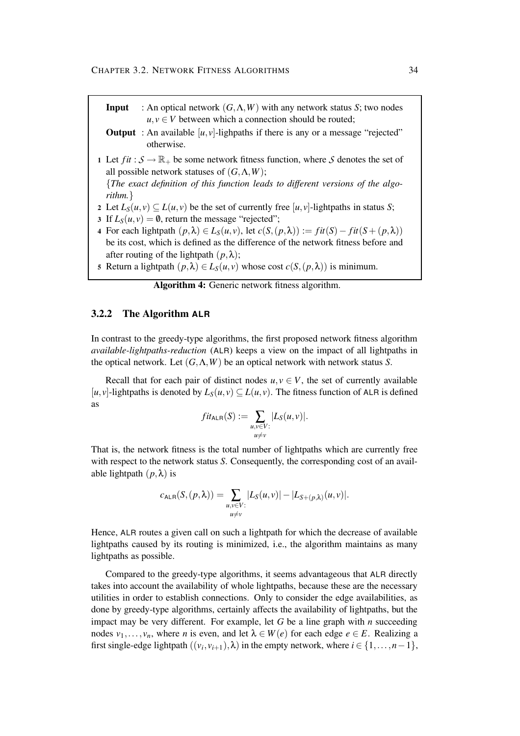- **Input** : An optical network  $(G, \Lambda, W)$  with any network status *S*; two nodes  $u, v \in V$  between which a connection should be routed;
- **Output** : An available  $[u, v]$ -lighpaths if there is any or a message "rejected" otherwise.
- 1 Let  $fit: \mathcal{S} \to \mathbb{R}_+$  be some network fitness function, where  $\mathcal{S}$  denotes the set of all possible network statuses of (*G*,Λ,*W*);

{*The exact definition of this function leads to different versions of the algorithm.*}

- 2 Let  $L_S(u, v) \subseteq L(u, v)$  be the set of currently free [*u*, *v*]-lightpaths in status *S*;
- **3** If  $L_S(u, v) = \emptyset$ , return the message "rejected";
- **4** For each lightpath  $(p, \lambda)$  ∈  $L_S(u, v)$ , let  $c(S, (p, \lambda)) := \text{fit}(S) \text{fit}(S + (p, \lambda))$ be its cost, which is defined as the difference of the network fitness before and after routing of the lightpath  $(p, \lambda)$ ;
- **5** Return a lightpath  $(p, \lambda) \in L_S(u, v)$  whose cost  $c(S, (p, \lambda))$  is minimum.

| Algorithm 4: Generic network fitness algorithm. |  |  |  |  |
|-------------------------------------------------|--|--|--|--|
|-------------------------------------------------|--|--|--|--|

#### **3.2.2 The Algorithm ALR**

In contrast to the greedy-type algorithms, the first proposed network fitness algorithm *available-lightpaths-reduction* (ALR) keeps a view on the impact of all lightpaths in the optical network. Let (*G*,Λ,*W*) be an optical network with network status *S*.

Recall that for each pair of distinct nodes  $u, v \in V$ , the set of currently available  $[u, v]$ -lightpaths is denoted by  $L_S(u, v) \subseteq L(u, v)$ . The fitness function of ALR is defined as

$$
fit_{\mathsf{ALR}}(S) := \sum_{\substack{u,v \in V:\\u \neq v}} |L_S(u,v)|.
$$

That is, the network fitness is the total number of lightpaths which are currently free with respect to the network status *S*. Consequently, the corresponding cost of an available lightpath  $(p, \lambda)$  is

$$
c_{\mathsf{ALR}}(S,(p,\lambda)) = \sum_{\substack{u,v \in V:\\u \neq v}} |L_S(u,v)| - |L_{S+(p,\lambda)}(u,v)|.
$$

Hence, ALR routes a given call on such a lightpath for which the decrease of available lightpaths caused by its routing is minimized, i.e., the algorithm maintains as many lightpaths as possible.

Compared to the greedy-type algorithms, it seems advantageous that ALR directly takes into account the availability of whole lightpaths, because these are the necessary utilities in order to establish connections. Only to consider the edge availabilities, as done by greedy-type algorithms, certainly affects the availability of lightpaths, but the impact may be very different. For example, let *G* be a line graph with *n* succeeding nodes  $v_1, \ldots, v_n$ , where *n* is even, and let  $\lambda \in W(e)$  for each edge  $e \in E$ . Realizing a first single-edge lightpath  $((v_i, v_{i+1}), \lambda)$  in the empty network, where  $i \in \{1, ..., n-1\}$ ,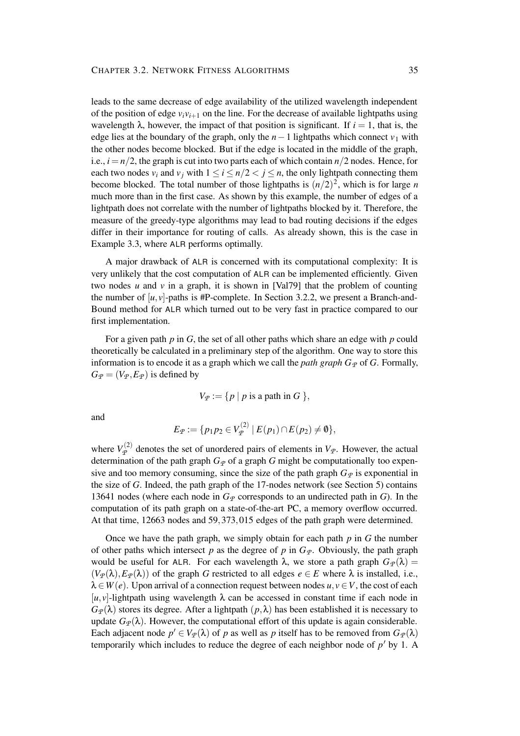leads to the same decrease of edge availability of the utilized wavelength independent of the position of edge  $v_i v_{i+1}$  on the line. For the decrease of available lightpaths using wavelength  $\lambda$ , however, the impact of that position is significant. If  $i = 1$ , that is, the edge lies at the boundary of the graph, only the  $n-1$  lightpaths which connect  $v_1$  with the other nodes become blocked. But if the edge is located in the middle of the graph, i.e.,  $i = n/2$ , the graph is cut into two parts each of which contain  $n/2$  nodes. Hence, for each two nodes  $v_i$  and  $v_j$  with  $1 \le i \le n/2 < j \le n$ , the only lightpath connecting them become blocked. The total number of those lightpaths is  $(n/2)^2$ , which is for large *n* much more than in the first case. As shown by this example, the number of edges of a lightpath does not correlate with the number of lightpaths blocked by it. Therefore, the measure of the greedy-type algorithms may lead to bad routing decisions if the edges differ in their importance for routing of calls. As already shown, this is the case in Example 3.3, where ALR performs optimally.

A major drawback of ALR is concerned with its computational complexity: It is very unlikely that the cost computation of ALR can be implemented efficiently. Given two nodes  $u$  and  $v$  in a graph, it is shown in [Val79] that the problem of counting the number of  $[u, v]$ -paths is #P-complete. In Section 3.2.2, we present a Branch-and-Bound method for ALR which turned out to be very fast in practice compared to our first implementation.

For a given path *p* in *G*, the set of all other paths which share an edge with *p* could theoretically be calculated in a preliminary step of the algorithm. One way to store this information is to encode it as a graph which we call the *path* graph  $G_p$  of  $G$ . Formally,  $G_{\mathcal{P}} = (V_{\mathcal{P}}, E_{\mathcal{P}})$  is defined by

$$
V_{\mathcal{P}} := \{ p \mid p \text{ is a path in } G \},
$$

and

$$
E_{\mathcal{P}} := \{ p_1 p_2 \in V_{\mathcal{P}}^{(2)} \mid E(p_1) \cap E(p_2) \neq \emptyset \},\
$$

where  $V^{(2)}_{\varphi}$  $P_P^{(2)}$  denotes the set of unordered pairs of elements in  $V_P$ . However, the actual determination of the path graph  $G_p$  of a graph *G* might be computationally too expensive and too memory consuming, since the size of the path graph  $G_p$  is exponential in the size of *G*. Indeed, the path graph of the 17-nodes network (see Section 5) contains 13641 nodes (where each node in  $G_p$  corresponds to an undirected path in *G*). In the computation of its path graph on a state-of-the-art PC, a memory overflow occurred. At that time, 12663 nodes and 59,373,015 edges of the path graph were determined.

Once we have the path graph, we simply obtain for each path  $p$  in  $G$  the number of other paths which intersect *p* as the degree of *p* in  $G_p$ . Obviously, the path graph would be useful for ALR. For each wavelength  $\lambda$ , we store a path graph  $G_{\varphi}(\lambda)$  =  $(V_{\varphi}(\lambda), E_{\varphi}(\lambda))$  of the graph *G* restricted to all edges  $e \in E$  where  $\lambda$  is installed, i.e.,  $\lambda \in W(e)$ . Upon arrival of a connection request between nodes  $u, v \in V$ , the cost of each  $[u, v]$ -lightpath using wavelength  $\lambda$  can be accessed in constant time if each node in  $G_{\varphi}(\lambda)$  stores its degree. After a lightpath  $(p,\lambda)$  has been established it is necessary to update  $G_{\varphi}(\lambda)$ . However, the computational effort of this update is again considerable. Each adjacent node  $p' \in V_p(\lambda)$  of *p* as well as *p* itself has to be removed from  $G_p(\lambda)$ temporarily which includes to reduce the degree of each neighbor node of  $p'$  by 1. A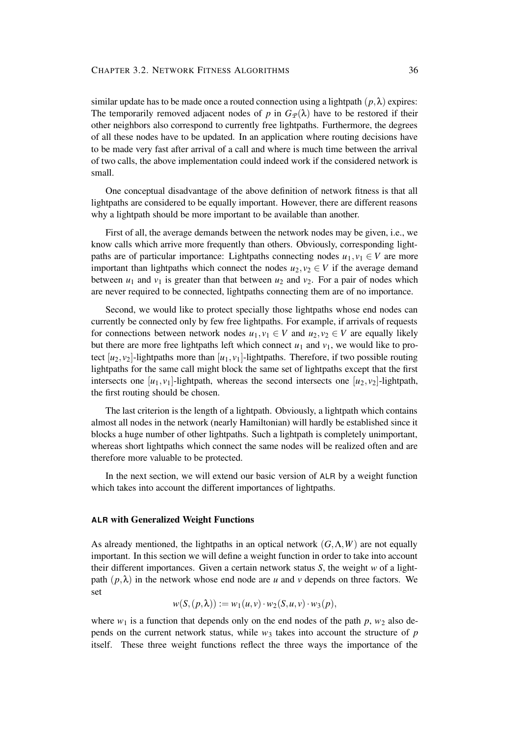similar update has to be made once a routed connection using a lightpath  $(p, \lambda)$  expires: The temporarily removed adjacent nodes of *p* in  $G_{\varphi}(\lambda)$  have to be restored if their other neighbors also correspond to currently free lightpaths. Furthermore, the degrees of all these nodes have to be updated. In an application where routing decisions have to be made very fast after arrival of a call and where is much time between the arrival of two calls, the above implementation could indeed work if the considered network is small.

One conceptual disadvantage of the above definition of network fitness is that all lightpaths are considered to be equally important. However, there are different reasons why a lightpath should be more important to be available than another.

First of all, the average demands between the network nodes may be given, i.e., we know calls which arrive more frequently than others. Obviously, corresponding lightpaths are of particular importance: Lightpaths connecting nodes  $u_1, v_1 \in V$  are more important than lightpaths which connect the nodes  $u_2, v_2 \in V$  if the average demand between  $u_1$  and  $v_1$  is greater than that between  $u_2$  and  $v_2$ . For a pair of nodes which are never required to be connected, lightpaths connecting them are of no importance.

Second, we would like to protect specially those lightpaths whose end nodes can currently be connected only by few free lightpaths. For example, if arrivals of requests for connections between network nodes  $u_1, v_1 \in V$  and  $u_2, v_2 \in V$  are equally likely but there are more free lightpaths left which connect  $u_1$  and  $v_1$ , we would like to protect  $[u_2, v_2]$ -lightpaths more than  $[u_1, v_1]$ -lightpaths. Therefore, if two possible routing lightpaths for the same call might block the same set of lightpaths except that the first intersects one  $[u_1, v_1]$ -lightpath, whereas the second intersects one  $[u_2, v_2]$ -lightpath, the first routing should be chosen.

The last criterion is the length of a lightpath. Obviously, a lightpath which contains almost all nodes in the network (nearly Hamiltonian) will hardly be established since it blocks a huge number of other lightpaths. Such a lightpath is completely unimportant, whereas short lightpaths which connect the same nodes will be realized often and are therefore more valuable to be protected.

In the next section, we will extend our basic version of ALR by a weight function which takes into account the different importances of lightpaths.

#### **ALR with Generalized Weight Functions**

As already mentioned, the lightpaths in an optical network  $(G, \Lambda, W)$  are not equally important. In this section we will define a weight function in order to take into account their different importances. Given a certain network status *S*, the weight *w* of a lightpath  $(p, \lambda)$  in the network whose end node are *u* and *v* depends on three factors. We set

$$
w(S,(p,\lambda)) := w_1(u,v) \cdot w_2(S,u,v) \cdot w_3(p),
$$

where  $w_1$  is a function that depends only on the end nodes of the path  $p$ ,  $w_2$  also depends on the current network status, while  $w_3$  takes into account the structure of  $p$ itself. These three weight functions reflect the three ways the importance of the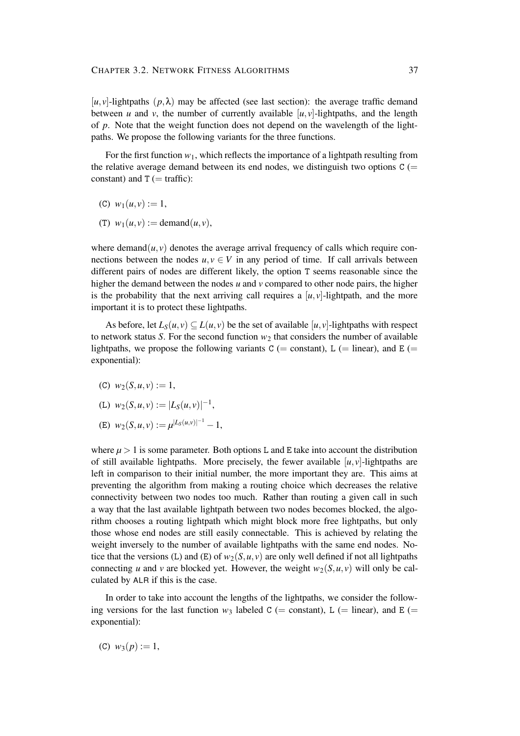$[u, v]$ -lightpaths  $(p, \lambda)$  may be affected (see last section): the average traffic demand between *u* and *v*, the number of currently available  $[u, v]$ -lightpaths, and the length of *p*. Note that the weight function does not depend on the wavelength of the lightpaths. We propose the following variants for the three functions.

For the first function  $w_1$ , which reflects the importance of a lightpath resulting from the relative average demand between its end nodes, we distinguish two options  $C$  (= constant) and  $T$  (= traffic):

- (C)  $w_1(u, v) := 1$ ,
- (T)  $w_1(u, v) := \text{demand}(u, v),$

where demand $(u, v)$  denotes the average arrival frequency of calls which require connections between the nodes  $u, v \in V$  in any period of time. If call arrivals between different pairs of nodes are different likely, the option T seems reasonable since the higher the demand between the nodes *u* and *v* compared to other node pairs, the higher is the probability that the next arriving call requires a  $[u, v]$ -lightpath, and the more important it is to protect these lightpaths.

As before, let  $L_S(u, v) \subset L(u, v)$  be the set of available [*u*, *v*]-lightpaths with respect to network status *S*. For the second function  $w_2$  that considers the number of available lightpaths, we propose the following variants  $C$  (= constant), L (= linear), and E (= exponential):

(C)  $w_2(S, u, v) := 1$ ,

(L) 
$$
w_2(S, u, v) := |L_S(u, v)|^{-1}
$$
,

(E)  $w_2(S, u, v) := \mu^{|L_S(u, v)|^{-1}} - 1,$ 

where  $\mu > 1$  is some parameter. Both options L and E take into account the distribution of still available lightpaths. More precisely, the fewer available  $[u, v]$ -lightpaths are left in comparison to their initial number, the more important they are. This aims at preventing the algorithm from making a routing choice which decreases the relative connectivity between two nodes too much. Rather than routing a given call in such a way that the last available lightpath between two nodes becomes blocked, the algorithm chooses a routing lightpath which might block more free lightpaths, but only those whose end nodes are still easily connectable. This is achieved by relating the weight inversely to the number of available lightpaths with the same end nodes. Notice that the versions (L) and (E) of  $w_2(S, u, v)$  are only well defined if not all lightpaths connecting *u* and *v* are blocked yet. However, the weight  $w_2(S, u, v)$  will only be calculated by ALR if this is the case.

In order to take into account the lengths of the lightpaths, we consider the following versions for the last function  $w_3$  labeled C (= constant), L (= linear), and E (= exponential):

(C)  $w_3(p) := 1$ ,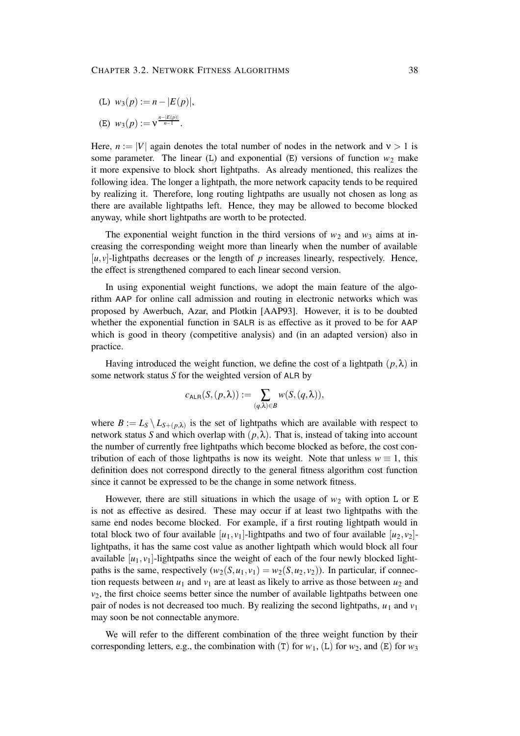(L)  $w_3(p) := n - |E(p)|$ ,

(E) 
$$
w_3(p) := v^{\frac{n-|E(p)|}{n-1}}
$$
.

Here,  $n := |V|$  again denotes the total number of nodes in the network and  $v > 1$  is some parameter. The linear (L) and exponential (E) versions of function  $w_2$  make it more expensive to block short lightpaths. As already mentioned, this realizes the following idea. The longer a lightpath, the more network capacity tends to be required by realizing it. Therefore, long routing lightpaths are usually not chosen as long as there are available lightpaths left. Hence, they may be allowed to become blocked anyway, while short lightpaths are worth to be protected.

The exponential weight function in the third versions of  $w_2$  and  $w_3$  aims at increasing the corresponding weight more than linearly when the number of available  $[u, v]$ -lightpaths decreases or the length of *p* increases linearly, respectively. Hence, the effect is strengthened compared to each linear second version.

In using exponential weight functions, we adopt the main feature of the algorithm AAP for online call admission and routing in electronic networks which was proposed by Awerbuch, Azar, and Plotkin [AAP93]. However, it is to be doubted whether the exponential function in SALR is as effective as it proved to be for AAP which is good in theory (competitive analysis) and (in an adapted version) also in practice.

Having introduced the weight function, we define the cost of a lightpath  $(p, \lambda)$  in some network status *S* for the weighted version of ALR by

$$
c_{\mathsf{ALR}}(S,(p,\lambda)) := \sum_{(q,\lambda) \in B} w(S,(q,\lambda)),
$$

where  $B := L_S \setminus L_{S+(p,\lambda)}$  is the set of lightpaths which are available with respect to network status *S* and which overlap with  $(p, \lambda)$ . That is, instead of taking into account the number of currently free lightpaths which become blocked as before, the cost contribution of each of those lightpaths is now its weight. Note that unless  $w \equiv 1$ , this definition does not correspond directly to the general fitness algorithm cost function since it cannot be expressed to be the change in some network fitness.

However, there are still situations in which the usage of  $w_2$  with option L or E is not as effective as desired. These may occur if at least two lightpaths with the same end nodes become blocked. For example, if a first routing lightpath would in total block two of four available  $[u_1, v_1]$ -lightpaths and two of four available  $[u_2, v_2]$ lightpaths, it has the same cost value as another lightpath which would block all four available  $[u_1, v_1]$ -lightpaths since the weight of each of the four newly blocked lightpaths is the same, respectively  $(w_2(S, u_1, v_1) = w_2(S, u_2, v_2))$ . In particular, if connection requests between  $u_1$  and  $v_1$  are at least as likely to arrive as those between  $u_2$  and  $v<sub>2</sub>$ , the first choice seems better since the number of available lightpaths between one pair of nodes is not decreased too much. By realizing the second lightpaths,  $u_1$  and  $v_1$ may soon be not connectable anymore.

We will refer to the different combination of the three weight function by their corresponding letters, e.g., the combination with (T) for  $w_1$ , (L) for  $w_2$ , and (E) for  $w_3$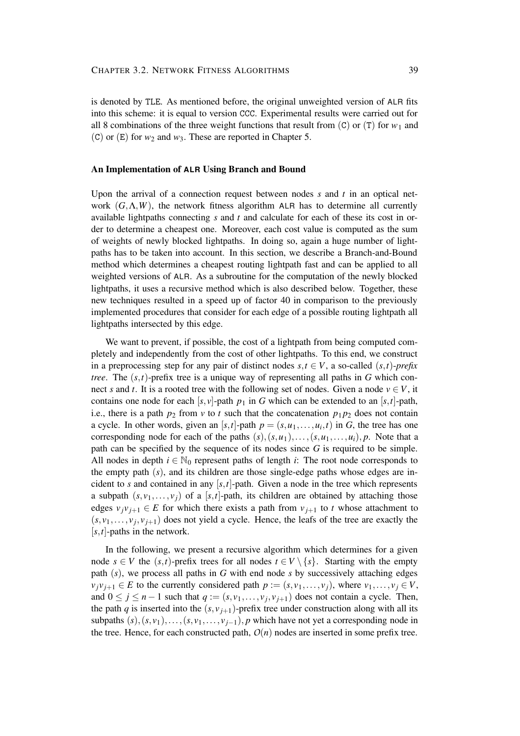is denoted by TLE. As mentioned before, the original unweighted version of ALR fits into this scheme: it is equal to version CCC. Experimental results were carried out for all 8 combinations of the three weight functions that result from  $(C)$  or  $(T)$  for  $w_1$  and (C) or  $(E)$  for  $w_2$  and  $w_3$ . These are reported in Chapter 5.

#### **An Implementation of ALR Using Branch and Bound**

Upon the arrival of a connection request between nodes *s* and *t* in an optical network  $(G, \Lambda, W)$ , the network fitness algorithm ALR has to determine all currently available lightpaths connecting *s* and *t* and calculate for each of these its cost in order to determine a cheapest one. Moreover, each cost value is computed as the sum of weights of newly blocked lightpaths. In doing so, again a huge number of lightpaths has to be taken into account. In this section, we describe a Branch-and-Bound method which determines a cheapest routing lightpath fast and can be applied to all weighted versions of ALR. As a subroutine for the computation of the newly blocked lightpaths, it uses a recursive method which is also described below. Together, these new techniques resulted in a speed up of factor 40 in comparison to the previously implemented procedures that consider for each edge of a possible routing lightpath all lightpaths intersected by this edge.

We want to prevent, if possible, the cost of a lightpath from being computed completely and independently from the cost of other lightpaths. To this end, we construct in a preprocessing step for any pair of distinct nodes  $s, t \in V$ , a so-called  $(s, t)$ -prefix *tree*. The (*s*,*t*)-prefix tree is a unique way of representing all paths in *G* which connect *s* and *t*. It is a rooted tree with the following set of nodes. Given a node  $v \in V$ , it contains one node for each  $[s, v]$ -path  $p_1$  in *G* which can be extended to an  $[s, t]$ -path, i.e., there is a path  $p_2$  from  $v$  to  $t$  such that the concatenation  $p_1p_2$  does not contain a cycle. In other words, given an [ $s$ , $t$ ]-path  $p = (s, u_1, \ldots, u_i, t)$  in *G*, the tree has one corresponding node for each of the paths  $(s)$ ,  $(s, u_1)$ ,..., $(s, u_1)$ ,..., $u_i$ , *p*. Note that a path can be specified by the sequence of its nodes since *G* is required to be simple. All nodes in depth  $i \in \mathbb{N}_0$  represent paths of length *i*: The root node corresponds to the empty path (*s*), and its children are those single-edge paths whose edges are incident to *s* and contained in any  $[s,t]$ -path. Given a node in the tree which represents a subpath  $(s, v_1, \ldots, v_i)$  of a [s, t]-path, its children are obtained by attaching those edges  $v_j v_{j+1} \in E$  for which there exists a path from  $v_{j+1}$  to *t* whose attachment to  $(s, v_1, \ldots, v_j, v_{j+1})$  does not yield a cycle. Hence, the leafs of the tree are exactly the [*s*,*t*]-paths in the network.

In the following, we present a recursive algorithm which determines for a given node  $s \in V$  the  $(s,t)$ -prefix trees for all nodes  $t \in V \setminus \{s\}$ . Starting with the empty path (*s*), we process all paths in *G* with end node *s* by successively attaching edges  $v_j v_{j+1} \in E$  to the currently considered path  $p := (s, v_1, \ldots, v_j)$ , where  $v_1, \ldots, v_j \in V$ , and  $0 \le j \le n-1$  such that  $q := (s, v_1, \ldots, v_j, v_{j+1})$  does not contain a cycle. Then, the path *q* is inserted into the  $(s, v_{i+1})$ -prefix tree under construction along with all its subpaths  $(s)$ ,  $(s, v_1)$ ,..., $(s, v_1, \ldots, v_{i-1})$ , *p* which have not yet a corresponding node in the tree. Hence, for each constructed path,  $O(n)$  nodes are inserted in some prefix tree.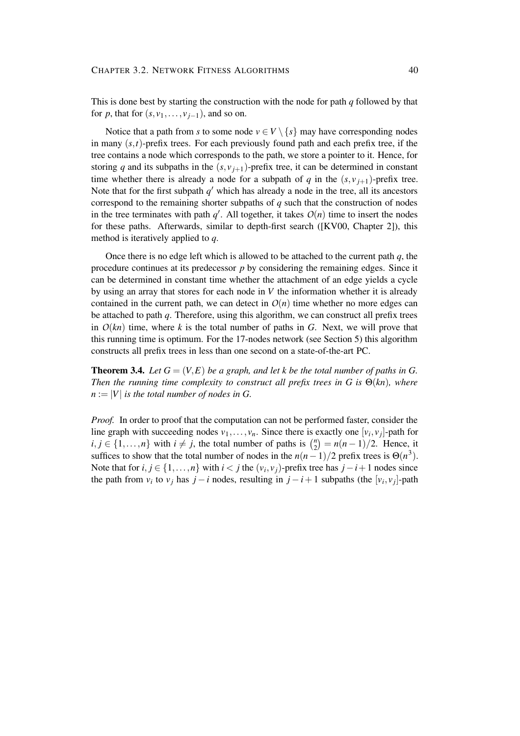This is done best by starting the construction with the node for path *q* followed by that for *p*, that for  $(s, v_1, \ldots, v_{i-1})$ , and so on.

Notice that a path from *s* to some node  $v \in V \setminus \{s\}$  may have corresponding nodes in many  $(s,t)$ -prefix trees. For each previously found path and each prefix tree, if the tree contains a node which corresponds to the path, we store a pointer to it. Hence, for storing *q* and its subpaths in the  $(s, v_{i+1})$ -prefix tree, it can be determined in constant time whether there is already a node for a subpath of *q* in the  $(s, v_{i+1})$ -prefix tree. Note that for the first subpath  $q'$  which has already a node in the tree, all its ancestors correspond to the remaining shorter subpaths of *q* such that the construction of nodes in the tree terminates with path  $q'$ . All together, it takes  $O(n)$  time to insert the nodes for these paths. Afterwards, similar to depth-first search ([KV00, Chapter 2]), this method is iteratively applied to *q*.

Once there is no edge left which is allowed to be attached to the current path *q*, the procedure continues at its predecessor *p* by considering the remaining edges. Since it can be determined in constant time whether the attachment of an edge yields a cycle by using an array that stores for each node in *V* the information whether it is already contained in the current path, we can detect in  $O(n)$  time whether no more edges can be attached to path *q*. Therefore, using this algorithm, we can construct all prefix trees in  $O(kn)$  time, where k is the total number of paths in *G*. Next, we will prove that this running time is optimum. For the 17-nodes network (see Section 5) this algorithm constructs all prefix trees in less than one second on a state-of-the-art PC.

**Theorem 3.4.** Let  $G = (V, E)$  be a graph, and let k be the total number of paths in G. *Then the running time complexity to construct all prefix trees in G is*  $\Theta(kn)$ *, where*  $n := |V|$  *is the total number of nodes in G.* 

*Proof.* In order to proof that the computation can not be performed faster, consider the line graph with succeeding nodes  $v_1, \ldots, v_n$ . Since there is exactly one  $[v_i, v_j]$ -path for  $i, j \in \{1, \ldots, n\}$  with  $i \neq j$ , the total number of paths is  $\binom{n}{2}$  $n_2^n$  =  $n(n-1)/2$ . Hence, it suffices to show that the total number of nodes in the  $n(n-1)/2$  prefix trees is  $\Theta(n^3)$ . Note that for  $i, j \in \{1, ..., n\}$  with  $i < j$  the  $(v_i, v_j)$ -prefix tree has  $j - i + 1$  nodes since the path from  $v_i$  to  $v_j$  has  $j - i$  nodes, resulting in  $j - i + 1$  subpaths (the  $[v_i, v_j]$ -path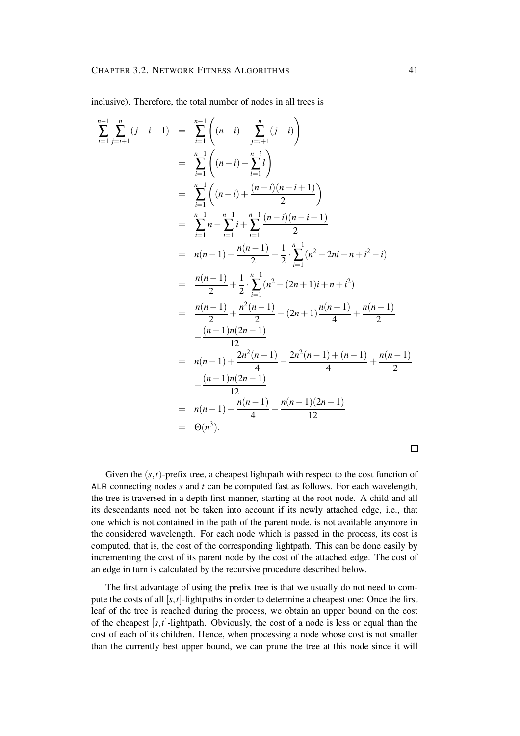inclusive). Therefore, the total number of nodes in all trees is

$$
\sum_{i=1}^{n-1} \sum_{j=i+1}^{n} (j-i+1) = \sum_{i=1}^{n-1} \left( (n-i) + \sum_{j=i+1}^{n} (j-i) \right)
$$
  
\n
$$
= \sum_{i=1}^{n-1} \left( (n-i) + \sum_{i=1}^{n-i} l \right)
$$
  
\n
$$
= \sum_{i=1}^{n-1} \left( (n-i) + \frac{(n-i)(n-i+1)}{2} \right)
$$
  
\n
$$
= \sum_{i=1}^{n-1} n - \sum_{i=1}^{n-1} i + \sum_{i=1}^{n-1} \frac{(n-i)(n-i+1)}{2}
$$
  
\n
$$
= n(n-1) - \frac{n(n-1)}{2} + \frac{1}{2} \cdot \sum_{i=1}^{n-1} (n^2 - 2ni + n + i^2 - i)
$$
  
\n
$$
= \frac{n(n-1)}{2} + \frac{1}{2} \cdot \sum_{i=1}^{n-1} (n^2 - (2n+1)i + n + i^2)
$$
  
\n
$$
= \frac{n(n-1)}{2} + \frac{n^2(n-1)}{2} - (2n+1)\frac{n(n-1)}{4} + \frac{n(n-1)}{2}
$$
  
\n
$$
+ \frac{(n-1)n(2n-1)}{12}
$$
  
\n
$$
= n(n-1) + \frac{2n^2(n-1)}{4} - \frac{2n^2(n-1) + (n-1)}{4} + \frac{n(n-1)}{2}
$$
  
\n
$$
+ \frac{(n-1)n(2n-1)}{12}
$$
  
\n
$$
= n(n-1) - \frac{n(n-1)}{4} + \frac{n(n-1)(2n-1)}{12}
$$
  
\n
$$
= \Theta(n^3).
$$

 $\Box$ 

Given the  $(s,t)$ -prefix tree, a cheapest lightpath with respect to the cost function of ALR connecting nodes *s* and *t* can be computed fast as follows. For each wavelength, the tree is traversed in a depth-first manner, starting at the root node. A child and all its descendants need not be taken into account if its newly attached edge, i.e., that one which is not contained in the path of the parent node, is not available anymore in the considered wavelength. For each node which is passed in the process, its cost is computed, that is, the cost of the corresponding lightpath. This can be done easily by incrementing the cost of its parent node by the cost of the attached edge. The cost of an edge in turn is calculated by the recursive procedure described below.

The first advantage of using the prefix tree is that we usually do not need to compute the costs of all [*s*,*t*]-lightpaths in order to determine a cheapest one: Once the first leaf of the tree is reached during the process, we obtain an upper bound on the cost of the cheapest  $[s, t]$ -lightpath. Obviously, the cost of a node is less or equal than the cost of each of its children. Hence, when processing a node whose cost is not smaller than the currently best upper bound, we can prune the tree at this node since it will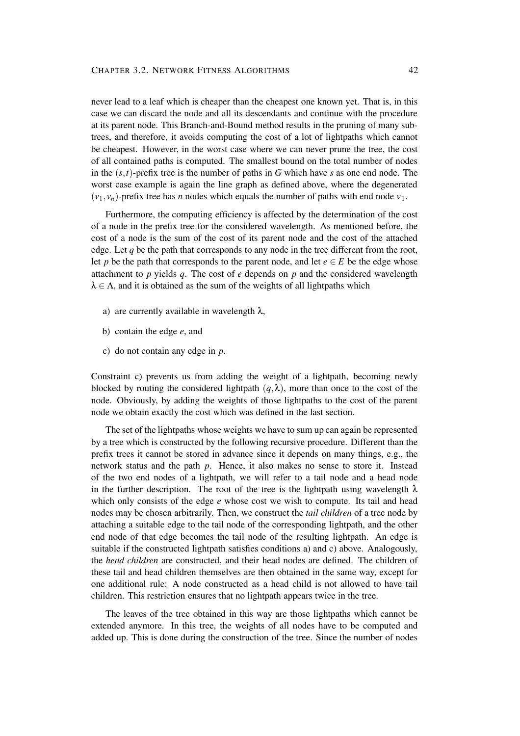never lead to a leaf which is cheaper than the cheapest one known yet. That is, in this case we can discard the node and all its descendants and continue with the procedure at its parent node. This Branch-and-Bound method results in the pruning of many subtrees, and therefore, it avoids computing the cost of a lot of lightpaths which cannot be cheapest. However, in the worst case where we can never prune the tree, the cost of all contained paths is computed. The smallest bound on the total number of nodes in the (*s*,*t*)-prefix tree is the number of paths in *G* which have *s* as one end node. The worst case example is again the line graph as defined above, where the degenerated  $(v_1, v_n)$ -prefix tree has *n* nodes which equals the number of paths with end node  $v_1$ .

Furthermore, the computing efficiency is affected by the determination of the cost of a node in the prefix tree for the considered wavelength. As mentioned before, the cost of a node is the sum of the cost of its parent node and the cost of the attached edge. Let *q* be the path that corresponds to any node in the tree different from the root, let *p* be the path that corresponds to the parent node, and let  $e \in E$  be the edge whose attachment to *p* yields *q*. The cost of *e* depends on *p* and the considered wavelength  $\lambda \in \Lambda$ , and it is obtained as the sum of the weights of all lightpaths which

- a) are currently available in wavelength  $\lambda$ ,
- b) contain the edge *e*, and
- c) do not contain any edge in *p*.

Constraint c) prevents us from adding the weight of a lightpath, becoming newly blocked by routing the considered lightpath  $(q, \lambda)$ , more than once to the cost of the node. Obviously, by adding the weights of those lightpaths to the cost of the parent node we obtain exactly the cost which was defined in the last section.

The set of the lightpaths whose weights we have to sum up can again be represented by a tree which is constructed by the following recursive procedure. Different than the prefix trees it cannot be stored in advance since it depends on many things, e.g., the network status and the path *p*. Hence, it also makes no sense to store it. Instead of the two end nodes of a lightpath, we will refer to a tail node and a head node in the further description. The root of the tree is the lightpath using wavelength  $\lambda$ which only consists of the edge *e* whose cost we wish to compute. Its tail and head nodes may be chosen arbitrarily. Then, we construct the *tail children* of a tree node by attaching a suitable edge to the tail node of the corresponding lightpath, and the other end node of that edge becomes the tail node of the resulting lightpath. An edge is suitable if the constructed lightpath satisfies conditions a) and c) above. Analogously, the *head children* are constructed, and their head nodes are defined. The children of these tail and head children themselves are then obtained in the same way, except for one additional rule: A node constructed as a head child is not allowed to have tail children. This restriction ensures that no lightpath appears twice in the tree.

The leaves of the tree obtained in this way are those lightpaths which cannot be extended anymore. In this tree, the weights of all nodes have to be computed and added up. This is done during the construction of the tree. Since the number of nodes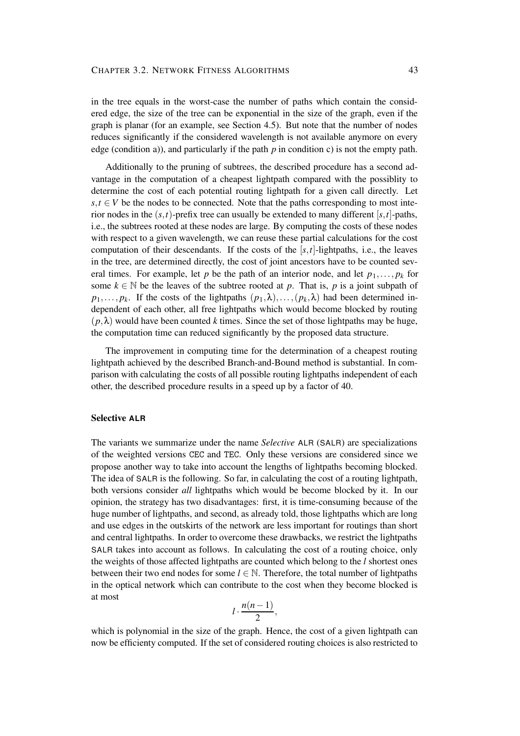in the tree equals in the worst-case the number of paths which contain the considered edge, the size of the tree can be exponential in the size of the graph, even if the graph is planar (for an example, see Section 4.5). But note that the number of nodes reduces significantly if the considered wavelength is not available anymore on every edge (condition a)), and particularly if the path *p* in condition c) is not the empty path.

Additionally to the pruning of subtrees, the described procedure has a second advantage in the computation of a cheapest lightpath compared with the possiblity to determine the cost of each potential routing lightpath for a given call directly. Let  $s, t \in V$  be the nodes to be connected. Note that the paths corresponding to most interior nodes in the  $(s,t)$ -prefix tree can usually be extended to many different  $[s,t]$ -paths, i.e., the subtrees rooted at these nodes are large. By computing the costs of these nodes with respect to a given wavelength, we can reuse these partial calculations for the cost computation of their descendants. If the costs of the  $[s, t]$ -lightpaths, i.e., the leaves in the tree, are determined directly, the cost of joint ancestors have to be counted several times. For example, let *p* be the path of an interior node, and let  $p_1, \ldots, p_k$  for some  $k \in \mathbb{N}$  be the leaves of the subtree rooted at *p*. That is, *p* is a joint subpath of  $p_1, \ldots, p_k$ . If the costs of the lightpaths  $(p_1, \lambda), \ldots, (p_k, \lambda)$  had been determined independent of each other, all free lightpaths which would become blocked by routing  $(p, \lambda)$  would have been counted *k* times. Since the set of those lightpaths may be huge, the computation time can reduced significantly by the proposed data structure.

The improvement in computing time for the determination of a cheapest routing lightpath achieved by the described Branch-and-Bound method is substantial. In comparison with calculating the costs of all possible routing lightpaths independent of each other, the described procedure results in a speed up by a factor of 40.

#### **Selective ALR**

The variants we summarize under the name *Selective* ALR (SALR) are specializations of the weighted versions CEC and TEC. Only these versions are considered since we propose another way to take into account the lengths of lightpaths becoming blocked. The idea of SALR is the following. So far, in calculating the cost of a routing lightpath, both versions consider *all* lightpaths which would be become blocked by it. In our opinion, the strategy has two disadvantages: first, it is time-consuming because of the huge number of lightpaths, and second, as already told, those lightpaths which are long and use edges in the outskirts of the network are less important for routings than short and central lightpaths. In order to overcome these drawbacks, we restrict the lightpaths SALR takes into account as follows. In calculating the cost of a routing choice, only the weights of those affected lightpaths are counted which belong to the *l* shortest ones between their two end nodes for some  $l \in \mathbb{N}$ . Therefore, the total number of lightpaths in the optical network which can contribute to the cost when they become blocked is at most

$$
l\cdot \frac{n(n-1)}{2},
$$

which is polynomial in the size of the graph. Hence, the cost of a given lightpath can now be efficienty computed. If the set of considered routing choices is also restricted to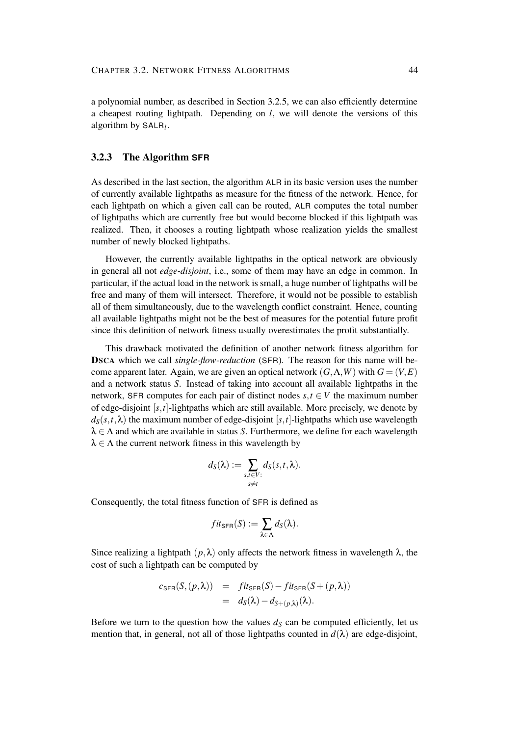a polynomial number, as described in Section 3.2.5, we can also efficiently determine a cheapest routing lightpath. Depending on *l*, we will denote the versions of this algorithm by SALR*<sup>l</sup>* .

### **3.2.3 The Algorithm SFR**

As described in the last section, the algorithm ALR in its basic version uses the number of currently available lightpaths as measure for the fitness of the network. Hence, for each lightpath on which a given call can be routed, ALR computes the total number of lightpaths which are currently free but would become blocked if this lightpath was realized. Then, it chooses a routing lightpath whose realization yields the smallest number of newly blocked lightpaths.

However, the currently available lightpaths in the optical network are obviously in general all not *edge-disjoint*, i.e., some of them may have an edge in common. In particular, if the actual load in the network is small, a huge number of lightpaths will be free and many of them will intersect. Therefore, it would not be possible to establish all of them simultaneously, due to the wavelength conflict constraint. Hence, counting all available lightpaths might not be the best of measures for the potential future profit since this definition of network fitness usually overestimates the profit substantially.

This drawback motivated the definition of another network fitness algorithm for **DSCA** which we call *single-flow-reduction* (SFR). The reason for this name will become apparent later. Again, we are given an optical network  $(G, \Lambda, W)$  with  $G = (V, E)$ and a network status *S*. Instead of taking into account all available lightpaths in the network, SFR computes for each pair of distinct nodes  $s, t \in V$  the maximum number of edge-disjoint [*s*,*t*]-lightpaths which are still available. More precisely, we denote by  $d_S(s,t,\lambda)$  the maximum number of edge-disjoint [*s*,*t*]-lightpaths which use wavelength  $\lambda \in \Lambda$  and which are available in status *S*. Furthermore, we define for each wavelength  $\lambda \in \Lambda$  the current network fitness in this wavelength by

$$
d_S(\lambda) := \sum_{\substack{s,t \in V:\\s \neq t}} d_S(s,t,\lambda).
$$

Consequently, the total fitness function of SFR is defined as

$$
fit_{\mathsf{SFR}}(S) := \sum_{\lambda \in \Lambda} d_{S}(\lambda).
$$

Since realizing a lightpath  $(p, \lambda)$  only affects the network fitness in wavelength  $\lambda$ , the cost of such a lightpath can be computed by

$$
c_{\text{SFR}}(S,(p,\lambda)) = \text{fix}_{\text{SFR}}(S) - \text{fix}_{\text{SFR}}(S + (p,\lambda))
$$
  
=  $d_S(\lambda) - d_{S+(p,\lambda)}(\lambda)$ .

Before we turn to the question how the values  $d<sub>S</sub>$  can be computed efficiently, let us mention that, in general, not all of those lightpaths counted in  $d(\lambda)$  are edge-disjoint,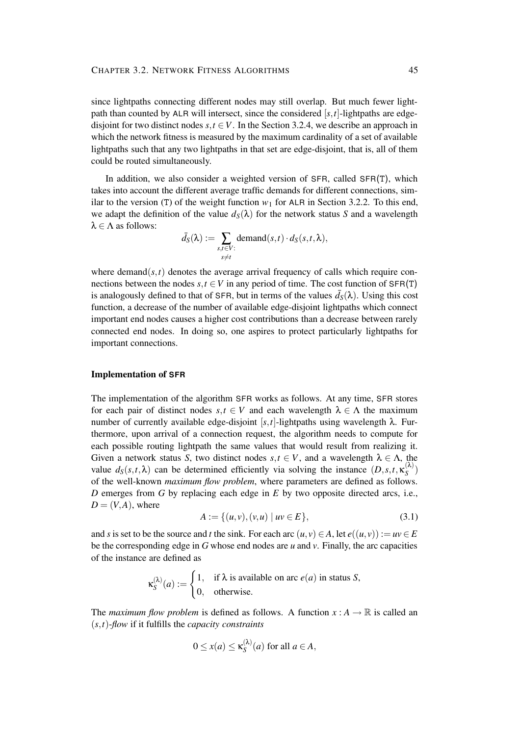since lightpaths connecting different nodes may still overlap. But much fewer lightpath than counted by ALR will intersect, since the considered [*s*,*t*]-lightpaths are edgedisjoint for two distinct nodes  $s, t \in V$ . In the Section 3.2.4, we describe an approach in which the network fitness is measured by the maximum cardinality of a set of available lightpaths such that any two lightpaths in that set are edge-disjoint, that is, all of them could be routed simultaneously.

In addition, we also consider a weighted version of SFR, called SFR(T), which takes into account the different average traffic demands for different connections, similar to the version (T) of the weight function  $w_1$  for ALR in Section 3.2.2. To this end, we adapt the definition of the value  $d_S(\lambda)$  for the network status *S* and a wavelength  $\lambda \in \Lambda$  as follows:

$$
\bar{d}_S(\lambda) := \sum_{\substack{s,t \in V:\\s \neq t}} \text{demand}(s,t) \cdot d_S(s,t,\lambda),
$$

where demand $(s,t)$  denotes the average arrival frequency of calls which require connections between the nodes  $s, t \in V$  in any period of time. The cost function of  $SFR(T)$ is analogously defined to that of SFR, but in terms of the values  $\bar{d}_S(\lambda)$ . Using this cost function, a decrease of the number of available edge-disjoint lightpaths which connect important end nodes causes a higher cost contributions than a decrease between rarely connected end nodes. In doing so, one aspires to protect particularly lightpaths for important connections.

#### **Implementation of SFR**

The implementation of the algorithm SFR works as follows. At any time, SFR stores for each pair of distinct nodes  $s, t \in V$  and each wavelength  $\lambda \in \Lambda$  the maximum number of currently available edge-disjoint  $[s, t]$ -lightpaths using wavelength λ. Furthermore, upon arrival of a connection request, the algorithm needs to compute for each possible routing lightpath the same values that would result from realizing it. Given a network status *S*, two distinct nodes  $s, t \in V$ , and a wavelength  $\lambda \in \Lambda$ , the value  $d_S(s,t,\lambda)$  can be determined efficiently via solving the instance  $(D,s,t,\kappa_S^{(\lambda)})$ *S* ) of the well-known *maximum flow problem*, where parameters are defined as follows. *D* emerges from *G* by replacing each edge in *E* by two opposite directed arcs, i.e.,  $D = (V, A)$ , where

$$
A := \{ (u, v), (v, u) \mid uv \in E \},
$$
\n(3.1)

and *s* is set to be the source and *t* the sink. For each arc  $(u, v) \in A$ , let  $e((u, v)) := uv \in E$ be the corresponding edge in *G* whose end nodes are *u* and *v*. Finally, the arc capacities of the instance are defined as

$$
\kappa_S^{(\lambda)}(a) := \begin{cases} 1, & \text{if } \lambda \text{ is available on arc } e(a) \text{ in status } S, \\ 0, & \text{otherwise.} \end{cases}
$$

The *maximum flow problem* is defined as follows. A function  $x : A \to \mathbb{R}$  is called an (*s*,*t*)-*flow* if it fulfills the *capacity constraints*

$$
0 \le x(a) \le \kappa_S^{(\lambda)}(a) \text{ for all } a \in A,
$$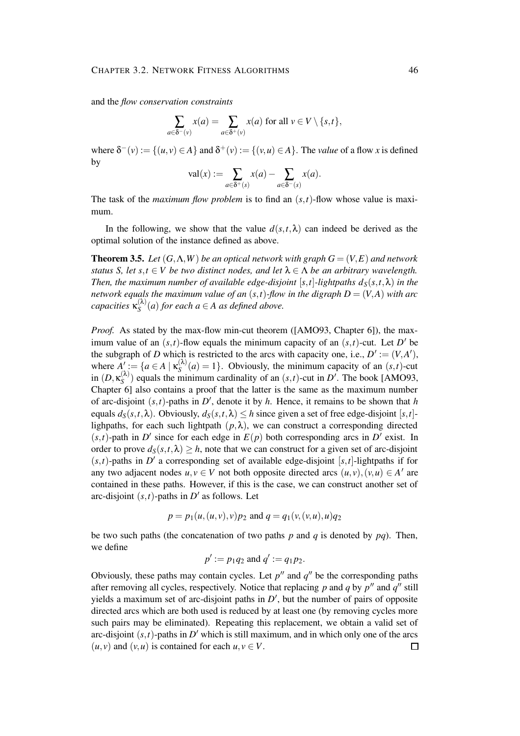and the *flow conservation constraints*

$$
\sum_{a\in \delta^-(v)} x(a) = \sum_{a\in \delta^+(v)} x(a) \text{ for all } v \in V\setminus \{s,t\},\
$$

where  $\delta^-(v) := \{(u, v) \in A\}$  and  $\delta^+(v) := \{(v, u) \in A\}$ . The *value* of a flow *x* is defined by

$$
\mathrm{val}(x) := \sum_{a \in \delta^+(s)} x(a) - \sum_{a \in \delta^-(s)} x(a).
$$

The task of the *maximum flow problem* is to find an  $(s,t)$ -flow whose value is maximum.

In the following, we show that the value  $d(s,t,\lambda)$  can indeed be derived as the optimal solution of the instance defined as above.

**Theorem 3.5.** Let  $(G, \Lambda, W)$  be an optical network with graph  $G = (V, E)$  and network *status S, let*  $s, t \in V$  *be two distinct nodes, and let*  $\lambda \in \Lambda$  *be an arbitrary wavelength. Then, the maximum number of available edge-disjoint* [s, t]-lightpaths  $d_S(s,t,\lambda)$  *in the network equals the maximum value of an* (*s,t*)*-flow in the digraph*  $D = (V, A)$  *with arc capacities* κ (λ)  $S^{(n)}(a)$  *for each*  $a \in A$  *as defined above.* 

*Proof.* As stated by the max-flow min-cut theorem ([AMO93, Chapter 6]), the maximum value of an  $(s,t)$ -flow equals the minimum capacity of an  $(s,t)$ -cut. Let *D'* be the subgraph of *D* which is restricted to the arcs with capacity one, i.e.,  $D' := (V, A'),$ where  $\overline{A}$ ': = { $a \in A \mid \kappa_S^{(\lambda)}$  $S^{(n)}(a) = 1$ . Obviously, the minimum capacity of an  $(s,t)$ -cut in  $(D, \kappa_S^{(\lambda)}$  $S^{(N)}$ ) equals the minimum cardinality of an  $(s,t)$ -cut in *D'*. The book [AMO93, Chapter 6] also contains a proof that the latter is the same as the maximum number of arc-disjoint  $(s,t)$ -paths in *D'*, denote it by *h*. Hence, it remains to be shown that *h* equals  $d_S(s,t,\lambda)$ . Obviously,  $d_S(s,t,\lambda) \leq h$  since given a set of free edge-disjoint [*s*,*t*]lighpaths, for each such lightpath  $(p, \lambda)$ , we can construct a corresponding directed  $(s,t)$ -path in *D'* since for each edge in  $E(p)$  both corresponding arcs in *D'* exist. In order to prove  $d_S(s,t,\lambda) \geq h$ , note that we can construct for a given set of arc-disjoint  $(s,t)$ -paths in *D'* a corresponding set of available edge-disjoint [s,t]-lightpaths if for any two adjacent nodes  $u, v \in V$  not both opposite directed arcs  $(u, v), (v, u) \in A'$  are contained in these paths. However, if this is the case, we can construct another set of arc-disjoint  $(s,t)$ -paths in  $D'$  as follows. Let

$$
p = p_1(u, (u, v), v)p_2
$$
 and  $q = q_1(v, (v, u), u)q_2$ 

be two such paths (the concatenation of two paths  $p$  and  $q$  is denoted by  $pq$ ). Then, we define

$$
p' := p_1 q_2
$$
 and  $q' := q_1 p_2$ .

Obviously, these paths may contain cycles. Let  $p''$  and  $q''$  be the corresponding paths after removing all cycles, respectively. Notice that replacing  $p$  and  $q$  by  $p''$  and  $q''$  still yields a maximum set of arc-disjoint paths in  $D'$ , but the number of pairs of opposite directed arcs which are both used is reduced by at least one (by removing cycles more such pairs may be eliminated). Repeating this replacement, we obtain a valid set of arc-disjoint  $(s, t)$ -paths in  $D'$  which is still maximum, and in which only one of the arcs  $(u, v)$  and  $(v, u)$  is contained for each  $u, v \in V$ .  $\Box$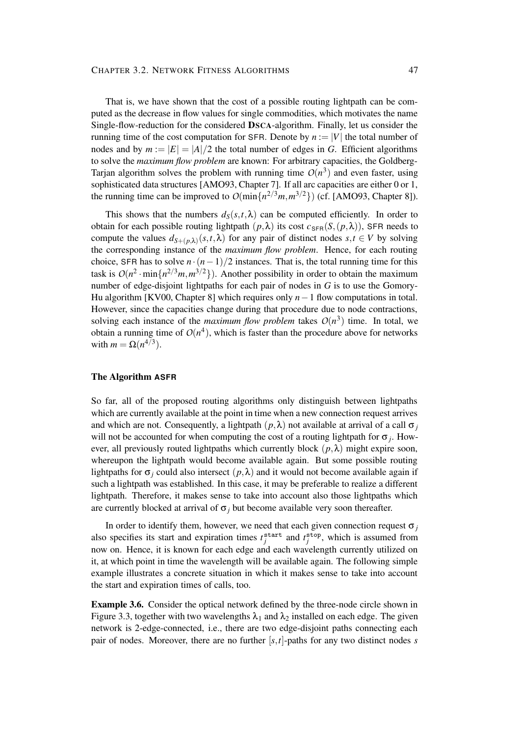#### CHAPTER 3.2. NETWORK FITNESS ALGORITHMS 47

That is, we have shown that the cost of a possible routing lightpath can be computed as the decrease in flow values for single commodities, which motivates the name Single-flow-reduction for the considered **DSCA**-algorithm. Finally, let us consider the running time of the cost computation for SFR. Denote by  $n := |V|$  the total number of nodes and by  $m := |E| = |A|/2$  the total number of edges in *G*. Efficient algorithms to solve the *maximum flow problem* are known: For arbitrary capacities, the Goldberg-Tarjan algorithm solves the problem with running time  $O(n^3)$  and even faster, using sophisticated data structures [AMO93, Chapter 7]. If all arc capacities are either 0 or 1, the running time can be improved to  $O(\min\{n^{2/3}m, m^{3/2}\})$  (cf. [AMO93, Chapter 8]).

This shows that the numbers  $d_S(s,t,\lambda)$  can be computed efficiently. In order to obtain for each possible routing lightpath  $(p, \lambda)$  its cost  $c_{\text{SFR}}(S,(p,\lambda))$ , SFR needs to compute the values  $d_{S+(p,\lambda)}(s,t,\lambda)$  for any pair of distinct nodes  $s,t \in V$  by solving the corresponding instance of the *maximum flow problem*. Hence, for each routing choice, SFR has to solve  $n \cdot (n-1)/2$  instances. That is, the total running time for this task is  $O(n^2 \cdot \min\{n^{2/3}m, m^{3/2}\})$ . Another possibility in order to obtain the maximum number of edge-disjoint lightpaths for each pair of nodes in *G* is to use the Gomory-Hu algorithm [KV00, Chapter 8] which requires only *n*−1 flow computations in total. However, since the capacities change during that procedure due to node contractions, solving each instance of the *maximum flow problem* takes  $O(n^3)$  time. In total, we obtain a running time of  $O(n^4)$ , which is faster than the procedure above for networks with  $m = \Omega(n^{4/3})$ .

#### **The Algorithm ASFR**

So far, all of the proposed routing algorithms only distinguish between lightpaths which are currently available at the point in time when a new connection request arrives and which are not. Consequently, a lightpath  $(p, \lambda)$  not available at arrival of a call  $\sigma_i$ will not be accounted for when computing the cost of a routing lightpath for  $\sigma_j$ . However, all previously routed lightpaths which currently block  $(p, \lambda)$  might expire soon, whereupon the lightpath would become available again. But some possible routing lightpaths for  $\sigma_i$  could also intersect  $(p, \lambda)$  and it would not become available again if such a lightpath was established. In this case, it may be preferable to realize a different lightpath. Therefore, it makes sense to take into account also those lightpaths which are currently blocked at arrival of  $\sigma_j$  but become available very soon thereafter.

In order to identify them, however, we need that each given connection request  $\sigma_i$ also specifies its start and expiration times  $t_j^{\text{start}}$  and  $t_j^{\text{stop}}$ , which is assumed from now on. Hence, it is known for each edge and each wavelength currently utilized on it, at which point in time the wavelength will be available again. The following simple example illustrates a concrete situation in which it makes sense to take into account the start and expiration times of calls, too.

**Example 3.6.** Consider the optical network defined by the three-node circle shown in Figure 3.3, together with two wavelengths  $\lambda_1$  and  $\lambda_2$  installed on each edge. The given network is 2-edge-connected, i.e., there are two edge-disjoint paths connecting each pair of nodes. Moreover, there are no further  $[s, t]$ -paths for any two distinct nodes *s*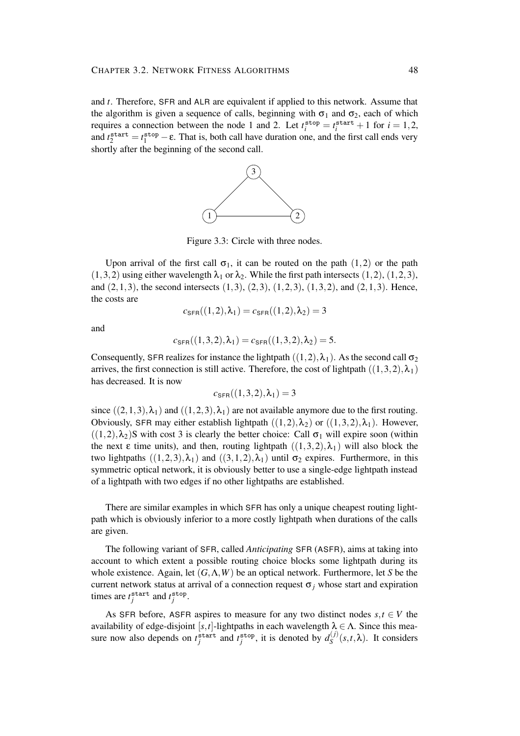and *t*. Therefore, SFR and ALR are equivalent if applied to this network. Assume that the algorithm is given a sequence of calls, beginning with  $\sigma_1$  and  $\sigma_2$ , each of which requires a connection between the node 1 and 2. Let  $t_i^{\text{stop}} = t_i^{\text{start}} + 1$  for  $i = 1, 2$ , and  $t_2^{\text{start}} = t_1^{\text{stop}} - \varepsilon$ . That is, both call have duration one, and the first call ends very shortly after the beginning of the second call.



Figure 3.3: Circle with three nodes.

Upon arrival of the first call  $\sigma_1$ , it can be routed on the path (1,2) or the path  $(1,3,2)$  using either wavelength  $\lambda_1$  or  $\lambda_2$ . While the first path intersects  $(1,2)$ ,  $(1,2,3)$ , and  $(2,1,3)$ , the second intersects  $(1,3)$ ,  $(2,3)$ ,  $(1,2,3)$ ,  $(1,3,2)$ , and  $(2,1,3)$ . Hence, the costs are

$$
c_{\text{SFR}}((1,2),\lambda_1) = c_{\text{SFR}}((1,2),\lambda_2) = 3
$$

and

$$
c_{\mathsf{SFR}}((1,3,2),\lambda_1) = c_{\mathsf{SFR}}((1,3,2),\lambda_2) = 5.
$$

Consequently, SFR realizes for instance the lightpath  $((1,2),\lambda_1)$ . As the second call  $\sigma_2$ arrives, the first connection is still active. Therefore, the cost of lightpath  $((1,3,2),\lambda_1)$ has decreased. It is now

$$
c_{\text{SFR}}((1,3,2),\lambda_1)=3
$$

since  $((2,1,3),\lambda_1)$  and  $((1,2,3),\lambda_1)$  are not available anymore due to the first routing. Obviously, SFR may either establish lightpath  $((1,2),\lambda_2)$  or  $((1,3,2),\lambda_1)$ . However,  $((1,2),\lambda_2)$ S with cost 3 is clearly the better choice: Call  $\sigma_1$  will expire soon (within the next  $\varepsilon$  time units), and then, routing lightpath  $((1,3,2),\lambda_1)$  will also block the two lightpaths  $((1,2,3),\lambda_1)$  and  $((3,1,2),\lambda_1)$  until  $\sigma_2$  expires. Furthermore, in this symmetric optical network, it is obviously better to use a single-edge lightpath instead of a lightpath with two edges if no other lightpaths are established.

There are similar examples in which SFR has only a unique cheapest routing lightpath which is obviously inferior to a more costly lightpath when durations of the calls are given.

The following variant of SFR, called *Anticipating* SFR (ASFR), aims at taking into account to which extent a possible routing choice blocks some lightpath during its whole existence. Again, let (*G*,Λ,*W*) be an optical network. Furthermore, let *S* be the current network status at arrival of a connection request  $\sigma_i$  whose start and expiration times are  $t_j^{\text{start}}$  and  $t_j^{\text{stop}}$ .

As SFR before, ASFR aspires to measure for any two distinct nodes  $s, t \in V$  the availability of edge-disjoint [s, t]-lightpaths in each wavelength  $\lambda \in \Lambda$ . Since this measure now also depends on  $t_j^{\text{start}}$  and  $t_j^{\text{stop}}$ , it is denoted by  $d_s^{(j)}$  $S^{(J)}(s,t,\lambda)$ . It considers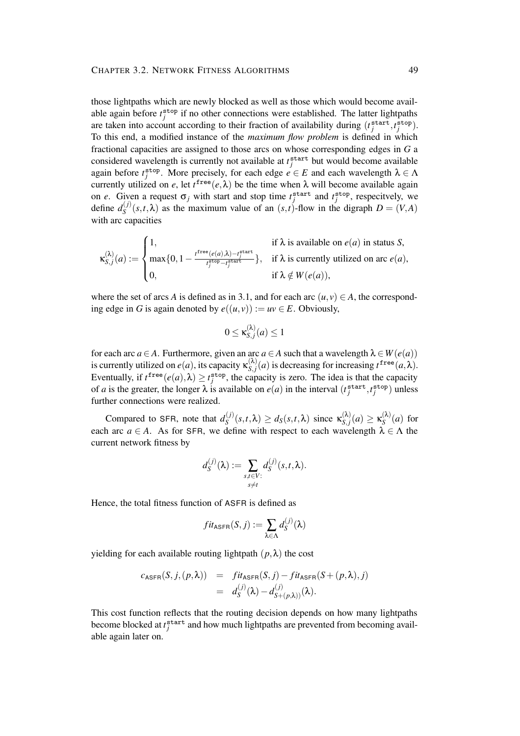those lightpaths which are newly blocked as well as those which would become available again before  $t_j^{\text{stop}}$  if no other connections were established. The latter lightpaths are taken into account according to their fraction of availability during  $(t_j^{\text{start}}, t_j^{\text{stop}})$ . To this end, a modified instance of the *maximum flow problem* is defined in which fractional capacities are assigned to those arcs on whose corresponding edges in *G* a considered wavelength is currently not available at  $t_j^{\text{start}}$  but would become available again before  $t_j^{\text{stop}}$ . More precisely, for each edge  $e \in E$  and each wavelength  $\lambda \in \Lambda$ currently utilized on *e*, let  $t^{\text{free}}(e, \lambda)$  be the time when  $\lambda$  will become available again on *e*. Given a request  $\sigma_j$  with start and stop time  $t_j^{\text{start}}$  and  $t_j^{\text{stop}}$ , respecitvely, we define  $d_S^{(j)}$  $S^{(J)}(s,t,\lambda)$  as the maximum value of an  $(s,t)$ -flow in the digraph  $D = (V,A)$ with arc capacities

$$
\kappa_{S,j}^{(\lambda)}(a) := \begin{cases} 1, & \text{if } \lambda \text{ is available on } e(a) \text{ in status } S, \\ \max\{0, 1 - \frac{t^{\text{free}}(e(a), \lambda) - t^{\text{start}}_j}{t^{\text{stop}}_j - t^{\text{start}}_j}}\}, & \text{if } \lambda \text{ is currently utilized on arc } e(a), \\ 0, & \text{if } \lambda \notin W(e(a)), \end{cases}
$$

where the set of arcs *A* is defined as in 3.1, and for each arc  $(u, v) \in A$ , the corresponding edge in *G* is again denoted by  $e((u, v)) := uv \in E$ . Obviously,

$$
0 \leq \kappa_{S,j}^{(\lambda)}(a) \leq 1
$$

for each arc *a* ∈ *A*. Furthermore, given an arc *a* ∈ *A* such that a wavelength  $\lambda \in W(e(a))$ is currently utilized on  $e(a)$ , its capacity  $\kappa_{S,i}^{(\lambda)}$  $S_{s,j}(a)$  is decreasing for increasing  $t^{\text{free}}(a,\lambda)$ . Eventually, if  $t^{\text{free}}(e(a), \lambda) \ge t^{\text{stop}}_j$ , the capacity is zero. The idea is that the capacity of *a* is the greater, the longer  $\lambda$  is available on  $e(a)$  in the interval  $(t_j^{\text{start}}, t_j^{\text{stop}})$  unless further connections were realized.

Compared to SFR, note that  $d_s^{(j)}$  $S(S<sub>S</sub>(s,t,\lambda)) \ge d_S(s,t,\lambda)$  since  $\kappa_{S,j}^{(\lambda)}$  $\mathbf{x}_{S,j}^{(\lambda)}(a) \geq \mathbf{x}_{S}^{(\lambda)}$  $S^{(\kappa)}(a)$  for each arc  $a \in A$ . As for SFR, we define with respect to each wavelength  $\lambda \in \Lambda$  the current network fitness by

$$
d_S^{(j)}(\lambda) := \sum_{\substack{s,t \in V:\\s \neq t}} d_S^{(j)}(s,t,\lambda).
$$

Hence, the total fitness function of ASFR is defined as

$$
fit_{\sf ASFR}(S, j) := \sum_{\lambda \in \Lambda} d_S^{(j)}(\lambda)
$$

yielding for each available routing lightpath  $(p, \lambda)$  the cost

$$
c_{\text{ASFR}}(S, j, (p, \lambda)) = fit_{\text{ASFR}}(S, j) - fit_{\text{ASFR}}(S + (p, \lambda), j)
$$
  
= 
$$
d_{S}^{(j)}(\lambda) - d_{S + (p, \lambda)}^{(j)}(\lambda).
$$

This cost function reflects that the routing decision depends on how many lightpaths become blocked at  $t_j^{\text{start}}$  and how much lightpaths are prevented from becoming available again later on.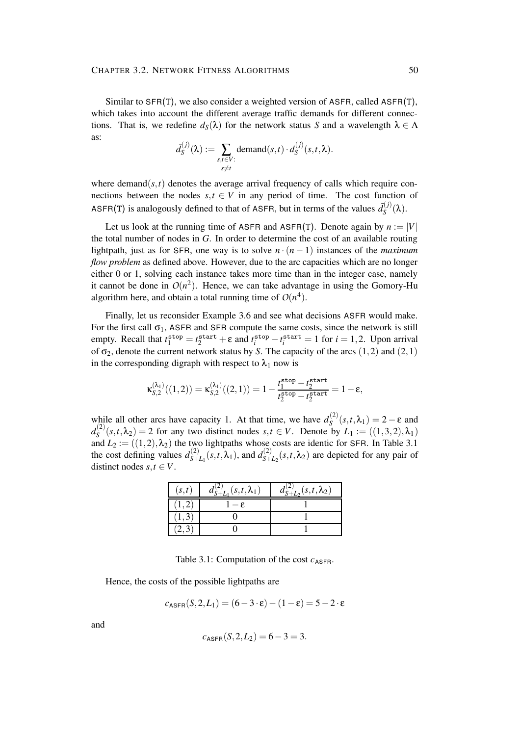Similar to SFR(T), we also consider a weighted version of ASFR, called ASFR(T), which takes into account the different average traffic demands for different connections. That is, we redefine  $d_S(\lambda)$  for the network status *S* and a wavelength  $\lambda \in \Lambda$ as:

$$
\bar{d}_S^{(j)}(\lambda) := \sum_{\substack{s,t \in V:\\s \neq t}} \text{demand}(s,t) \cdot d_S^{(j)}(s,t,\lambda).
$$

where demand $(s,t)$  denotes the average arrival frequency of calls which require connections between the nodes  $s, t \in V$  in any period of time. The cost function of ASFR(T) is analogously defined to that of ASFR, but in terms of the values  $\bar{d}_{S}^{(j)}$ *S* (λ).

Let us look at the running time of ASFR and ASFR(T). Denote again by  $n := |V|$ the total number of nodes in *G*. In order to determine the cost of an available routing lightpath, just as for SFR, one way is to solve  $n \cdot (n-1)$  instances of the *maximum flow problem* as defined above. However, due to the arc capacities which are no longer either 0 or 1, solving each instance takes more time than in the integer case, namely it cannot be done in  $O(n^2)$ . Hence, we can take advantage in using the Gomory-Hu algorithm here, and obtain a total running time of  $O(n^4)$ .

Finally, let us reconsider Example 3.6 and see what decisions ASFR would make. For the first call  $\sigma_1$ , ASFR and SFR compute the same costs, since the network is still empty. Recall that  $t_1^{\text{stop}} = t_2^{\text{start}} + \varepsilon$  and  $t_i^{\text{stop}} - t_i^{\text{start}} = 1$  for  $i = 1, 2$ . Upon arrival of  $\sigma_2$ , denote the current network status by *S*. The capacity of the arcs  $(1,2)$  and  $(2,1)$ in the corresponding digraph with respect to  $\lambda_1$  now is

$$
\kappa^{(\lambda_1)}_{S,2}((1,2))=\kappa^{(\lambda_1)}_{S,2}((2,1))=1-\frac{t_1^{\text{stop}}-t_2^{\text{start}}}{t_2^{\text{stop}}-t_2^{\text{start}}}=1-\epsilon,
$$

while all other arcs have capacity 1. At that time, we have  $d_S^{(2)}$  $S^{(2)}(s,t,\lambda_1) = 2 - \varepsilon$  and  $d_{S}^{(2)}$  $S^{(2)}(s,t,\lambda_2) = 2$  for any two distinct nodes  $s,t \in V$ . Denote by  $L_1 := ((1,3,2),\lambda_1)$ and  $L_2 := ((1,2), \lambda_2)$  the two lightpaths whose costs are identic for SFR. In Table 3.1 the cost defining values  $d_{S+}^{(2)}$  $\sum_{S+L_1}^{(2)} (s,t,\lambda_1)$ , and  $d_{S+L_1}^{(2)}$  $S_{+L_2}(s,t,\lambda_2)$  are depicted for any pair of distinct nodes  $s, t \in V$ .

| (s,t) | $d_{S+L_1}^{(2)}(s,t,\lambda_1)$ | $d_{S+L_2}^{(2)}(s,t,\lambda_2)$ |
|-------|----------------------------------|----------------------------------|
| 1, 2, | $-\epsilon$                      |                                  |
|       |                                  |                                  |
|       |                                  |                                  |

Table 3.1: Computation of the cost  $c_{\text{ASFR}}$ .

Hence, the costs of the possible lightpaths are

$$
c_{\text{ASFR}}(S,2,L_1) = (6-3\cdot \varepsilon) - (1-\varepsilon) = 5-2\cdot \varepsilon
$$

and

$$
c_{\text{ASFR}}(S, 2, L_2) = 6 - 3 = 3.
$$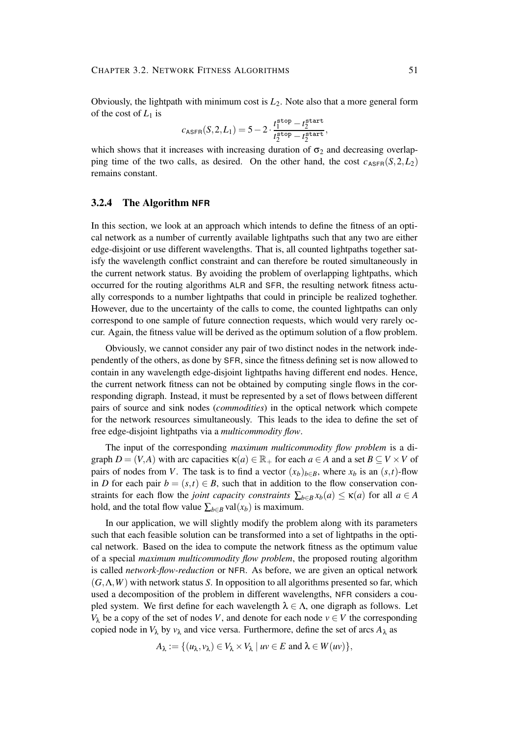Obviously, the lightpath with minimum cost is *L*2. Note also that a more general form of the cost of  $L_1$  is

$$
c_{\text{ASFR}}(S, 2, L_1) = 5 - 2 \cdot \frac{t_1^{\text{stop}} - t_2^{\text{start}}}{t_2^{\text{stop}} - t_2^{\text{start}}},
$$

which shows that it increases with increasing duration of  $\sigma_2$  and decreasing overlapping time of the two calls, as desired. On the other hand, the cost  $c_{\text{ASEB}}(S,2,L_2)$ remains constant.

#### **3.2.4 The Algorithm NFR**

In this section, we look at an approach which intends to define the fitness of an optical network as a number of currently available lightpaths such that any two are either edge-disjoint or use different wavelengths. That is, all counted lightpaths together satisfy the wavelength conflict constraint and can therefore be routed simultaneously in the current network status. By avoiding the problem of overlapping lightpaths, which occurred for the routing algorithms ALR and SFR, the resulting network fitness actually corresponds to a number lightpaths that could in principle be realized toghether. However, due to the uncertainty of the calls to come, the counted lightpaths can only correspond to one sample of future connection requests, which would very rarely occur. Again, the fitness value will be derived as the optimum solution of a flow problem.

Obviously, we cannot consider any pair of two distinct nodes in the network independently of the others, as done by SFR, since the fitness defining set is now allowed to contain in any wavelength edge-disjoint lightpaths having different end nodes. Hence, the current network fitness can not be obtained by computing single flows in the corresponding digraph. Instead, it must be represented by a set of flows between different pairs of source and sink nodes (*commodities*) in the optical network which compete for the network resources simultaneously. This leads to the idea to define the set of free edge-disjoint lightpaths via a *multicommodity flow*.

The input of the corresponding *maximum multicommodity flow problem* is a digraph  $D = (V, A)$  with arc capacities  $\kappa(a) \in \mathbb{R}_+$  for each  $a \in A$  and a set  $B \subseteq V \times V$  of pairs of nodes from *V*. The task is to find a vector  $(x_b)_{b \in B}$ , where  $x_b$  is an  $(s,t)$ -flow in *D* for each pair  $b = (s,t) \in B$ , such that in addition to the flow conservation constraints for each flow the *joint capacity constraints*  $\sum_{b \in B} x_b(a) \leq \kappa(a)$  for all  $a \in A$ hold, and the total flow value  $\sum_{b \in B}$  val $(x_b)$  is maximum.

In our application, we will slightly modify the problem along with its parameters such that each feasible solution can be transformed into a set of lightpaths in the optical network. Based on the idea to compute the network fitness as the optimum value of a special *maximum multicommodity flow problem*, the proposed routing algorithm is called *network-flow-reduction* or NFR. As before, we are given an optical network (*G*,Λ,*W*) with network status *S*. In opposition to all algorithms presented so far, which used a decomposition of the problem in different wavelengths, NFR considers a coupled system. We first define for each wavelength  $\lambda \in \Lambda$ , one digraph as follows. Let *V*<sub> $\lambda$ </sub> be a copy of the set of nodes *V*, and denote for each node  $v \in V$  the corresponding copied node in  $V_{\lambda}$  by  $v_{\lambda}$  and vice versa. Furthermore, define the set of arcs  $A_{\lambda}$  as

$$
A_{\lambda} := \{ (u_{\lambda}, v_{\lambda}) \in V_{\lambda} \times V_{\lambda} \mid uv \in E \text{ and } \lambda \in W(uv) \},
$$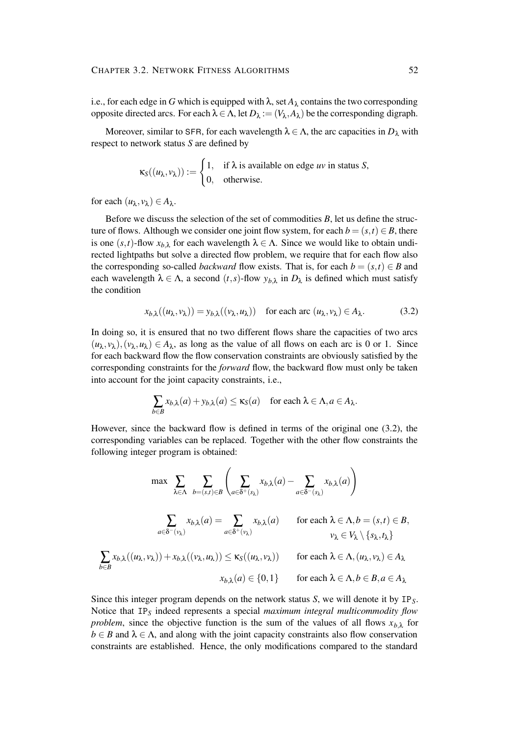i.e., for each edge in *G* which is equipped with  $\lambda$ , set  $A_{\lambda}$  contains the two corresponding opposite directed arcs. For each  $\lambda \in \Lambda$ , let  $D_{\lambda} := (V_{\lambda}, A_{\lambda})$  be the corresponding digraph.

Moreover, similar to SFR, for each wavelength  $\lambda \in \Lambda$ , the arc capacities in  $D_{\lambda}$  with respect to network status *S* are defined by

$$
\kappa_S((u_\lambda,v_\lambda)) := \begin{cases} 1, & \text{if } \lambda \text{ is available on edge } uv \text{ in status } S, \\ 0, & \text{otherwise.} \end{cases}
$$

for each  $(u_\lambda, v_\lambda) \in A_\lambda$ .

Before we discuss the selection of the set of commodities *B*, let us define the structure of flows. Although we consider one joint flow system, for each  $b = (s, t) \in B$ , there is one  $(s,t)$ -flow  $x_{b,\lambda}$  for each wavelength  $\lambda \in \Lambda$ . Since we would like to obtain undirected lightpaths but solve a directed flow problem, we require that for each flow also the corresponding so-called *backward* flow exists. That is, for each  $b = (s,t) \in B$  and each wavelength  $\lambda \in \Lambda$ , a second  $(t, s)$ -flow  $y_{b,\lambda}$  in  $D_{\lambda}$  is defined which must satisfy the condition

$$
x_{b,\lambda}((u_{\lambda},v_{\lambda})) = y_{b,\lambda}((v_{\lambda},u_{\lambda})) \quad \text{for each arc } (u_{\lambda},v_{\lambda}) \in A_{\lambda}.
$$
 (3.2)

In doing so, it is ensured that no two different flows share the capacities of two arcs  $(u_{\lambda}, v_{\lambda}), (v_{\lambda}, u_{\lambda}) \in A_{\lambda}$ , as long as the value of all flows on each arc is 0 or 1. Since for each backward flow the flow conservation constraints are obviously satisfied by the corresponding constraints for the *forward* flow, the backward flow must only be taken into account for the joint capacity constraints, i.e.,

$$
\sum_{b \in B} x_{b,\lambda}(a) + y_{b,\lambda}(a) \le \kappa_S(a) \quad \text{for each } \lambda \in \Lambda, a \in A_{\lambda}.
$$

However, since the backward flow is defined in terms of the original one (3.2), the corresponding variables can be replaced. Together with the other flow constraints the following integer program is obtained:

$$
\max \sum_{\lambda \in \Lambda} \sum_{b=(s,t) \in B} \left( \sum_{a \in \delta^+(s_\lambda)} x_{b,\lambda}(a) - \sum_{a \in \delta^-(s_\lambda)} x_{b,\lambda}(a) \right)
$$

$$
\sum_{a \in \delta^-(v_\lambda)} x_{b,\lambda}(a) = \sum_{a \in \delta^+(v_\lambda)} x_{b,\lambda}(a) \quad \text{for each } \lambda \in \Lambda, b = (s,t) \in B,
$$

$$
\sum_{b \in B} x_{b,\lambda}((u_\lambda, v_\lambda)) + x_{b,\lambda}((v_\lambda, u_\lambda)) \le \kappa_S((u_\lambda, v_\lambda)) \quad \text{for each } \lambda \in \Lambda, (u_\lambda, v_\lambda) \in A_\lambda
$$

$$
x_{b,\lambda}(a) \in \{0,1\} \quad \text{for each } \lambda \in \Lambda, b \in B, a \in A_\lambda
$$

Since this integer program depends on the network status *S*, we will denote it by IP*S*. Notice that IP*<sup>S</sup>* indeed represents a special *maximum integral multicommodity flow problem*, since the objective function is the sum of the values of all flows  $x_{b,\lambda}$  for  $b \in B$  and  $\lambda \in \Lambda$ , and along with the joint capacity constraints also flow conservation constraints are established. Hence, the only modifications compared to the standard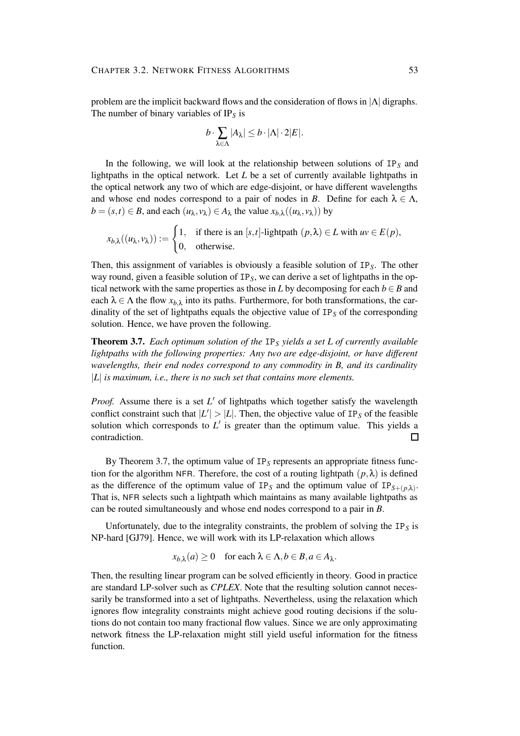problem are the implicit backward flows and the consideration of flows in  $|\Lambda|$  digraphs. The number of binary variables of IP*<sup>S</sup>* is

$$
b \cdot \sum_{\lambda \in \Lambda} |A_{\lambda}| \leq b \cdot |\Lambda| \cdot 2|E|.
$$

In the following, we will look at the relationship between solutions of IP*<sup>S</sup>* and lightpaths in the optical network. Let *L* be a set of currently available lightpaths in the optical network any two of which are edge-disjoint, or have different wavelengths and whose end nodes correspond to a pair of nodes in *B*. Define for each  $\lambda \in \Lambda$ ,  $b = (s, t) \in B$ , and each  $(u_{\lambda}, v_{\lambda}) \in A_{\lambda}$  the value  $x_{b,\lambda}((u_{\lambda}, v_{\lambda}))$  by

$$
x_{b,\lambda}((u_{\lambda}, v_{\lambda})) := \begin{cases} 1, & \text{if there is an } [s,t]\text{-lightpath } (p,\lambda) \in L \text{ with } uv \in E(p), \\ 0, & \text{otherwise.} \end{cases}
$$

Then, this assignment of variables is obviously a feasible solution of IP*S*. The other way round, given a feasible solution of IP*S*, we can derive a set of lightpaths in the optical network with the same properties as those in *L* by decomposing for each  $b \in B$  and each  $\lambda \in \Lambda$  the flow  $x_{b,\lambda}$  into its paths. Furthermore, for both transformations, the cardinality of the set of lightpaths equals the objective value of IP*<sup>S</sup>* of the corresponding solution. Hence, we have proven the following.

**Theorem 3.7.** *Each optimum solution of the* IP*<sup>S</sup> yields a set L of currently available lightpaths with the following properties: Any two are edge-disjoint, or have different wavelengths, their end nodes correspond to any commodity in B, and its cardinality* |*L*| *is maximum, i.e., there is no such set that contains more elements.*

*Proof.* Assume there is a set L' of lightpaths which together satisfy the wavelength conflict constraint such that  $|L'| > |L|$ . Then, the objective value of IP<sub>S</sub> of the feasible solution which corresponds to  $L'$  is greater than the optimum value. This yields a contradiction.  $\Box$ 

By Theorem 3.7, the optimum value of IP*<sup>S</sup>* represents an appropriate fitness function for the algorithm NFR. Therefore, the cost of a routing lightpath  $(p, \lambda)$  is defined as the difference of the optimum value of  $IP_S$  and the optimum value of  $IP_{S+(p,\lambda)}$ . That is, NFR selects such a lightpath which maintains as many available lightpaths as can be routed simultaneously and whose end nodes correspond to a pair in *B*.

Unfortunately, due to the integrality constraints, the problem of solving the  $IP<sub>S</sub>$  is NP-hard [GJ79]. Hence, we will work with its LP-relaxation which allows

$$
x_{b,\lambda}(a) \ge 0
$$
 for each  $\lambda \in \Lambda, b \in B, a \in A_{\lambda}$ .

Then, the resulting linear program can be solved efficiently in theory. Good in practice are standard LP-solver such as *CPLEX*. Note that the resulting solution cannot necessarily be transformed into a set of lightpaths. Nevertheless, using the relaxation which ignores flow integrality constraints might achieve good routing decisions if the solutions do not contain too many fractional flow values. Since we are only approximating network fitness the LP-relaxation might still yield useful information for the fitness function.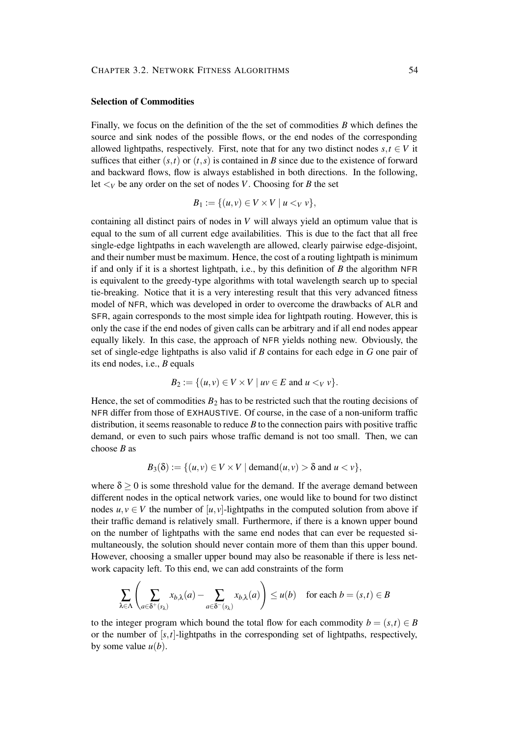#### **Selection of Commodities**

Finally, we focus on the definition of the the set of commodities *B* which defines the source and sink nodes of the possible flows, or the end nodes of the corresponding allowed lightpaths, respectively. First, note that for any two distinct nodes  $s, t \in V$  it suffices that either  $(s,t)$  or  $(t,s)$  is contained in *B* since due to the existence of forward and backward flows, flow is always established in both directions. In the following, let  $\lt_V$  be any order on the set of nodes *V*. Choosing for *B* the set

$$
B_1:=\{(u,v)\in V\times V\mid u\lt_V v\},\
$$

containing all distinct pairs of nodes in *V* will always yield an optimum value that is equal to the sum of all current edge availabilities. This is due to the fact that all free single-edge lightpaths in each wavelength are allowed, clearly pairwise edge-disjoint, and their number must be maximum. Hence, the cost of a routing lightpath is minimum if and only if it is a shortest lightpath, i.e., by this definition of *B* the algorithm NFR is equivalent to the greedy-type algorithms with total wavelength search up to special tie-breaking. Notice that it is a very interesting result that this very advanced fitness model of NFR, which was developed in order to overcome the drawbacks of ALR and SFR, again corresponds to the most simple idea for lightpath routing. However, this is only the case if the end nodes of given calls can be arbitrary and if all end nodes appear equally likely. In this case, the approach of NFR yields nothing new. Obviously, the set of single-edge lightpaths is also valid if *B* contains for each edge in *G* one pair of its end nodes, i.e., *B* equals

$$
B_2:=\{(u,v)\in V\times V\mid uv\in E \text{ and } u<_V v\}.
$$

Hence, the set of commodities  $B_2$  has to be restricted such that the routing decisions of NFR differ from those of EXHAUSTIVE. Of course, in the case of a non-uniform traffic distribution, it seems reasonable to reduce *B* to the connection pairs with positive traffic demand, or even to such pairs whose traffic demand is not too small. Then, we can choose *B* as

$$
B_3(\delta) := \{ (u, v) \in V \times V \mid \mathrm{demand}(u, v) > \delta \text{ and } u < v \},
$$

where  $\delta > 0$  is some threshold value for the demand. If the average demand between different nodes in the optical network varies, one would like to bound for two distinct nodes  $u, v \in V$  the number of  $[u, v]$ -lightpaths in the computed solution from above if their traffic demand is relatively small. Furthermore, if there is a known upper bound on the number of lightpaths with the same end nodes that can ever be requested simultaneously, the solution should never contain more of them than this upper bound. However, choosing a smaller upper bound may also be reasonable if there is less network capacity left. To this end, we can add constraints of the form

$$
\sum_{\lambda \in \Lambda} \left( \sum_{a \in \delta^+(s_\lambda)} x_{b,\lambda}(a) - \sum_{a \in \delta^-(s_\lambda)} x_{b,\lambda}(a) \right) \le u(b) \quad \text{for each } b = (s,t) \in B
$$

to the integer program which bound the total flow for each commodity  $b = (s,t) \in B$ or the number of [*s*,*t*]-lightpaths in the corresponding set of lightpaths, respectively, by some value  $u(b)$ .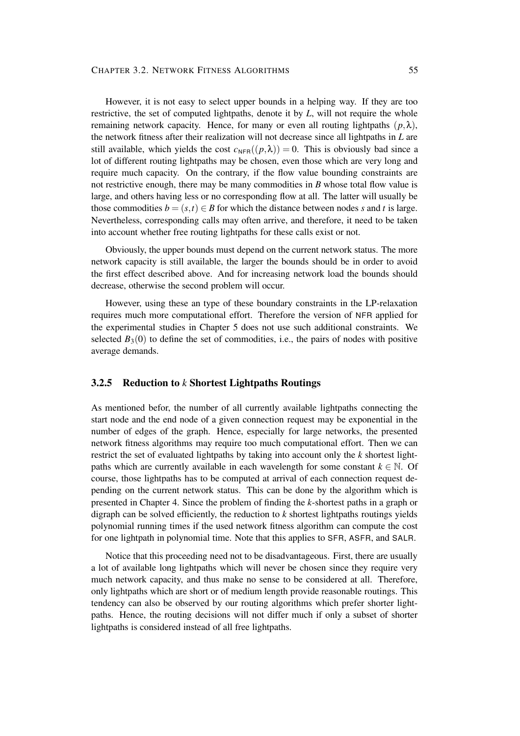#### CHAPTER 3.2. NETWORK FITNESS ALGORITHMS 55

However, it is not easy to select upper bounds in a helping way. If they are too restrictive, the set of computed lightpaths, denote it by *L*, will not require the whole remaining network capacity. Hence, for many or even all routing lightpaths  $(p, \lambda)$ , the network fitness after their realization will not decrease since all lightpaths in *L* are still available, which yields the cost  $c_{\text{NFR}}((p,\lambda)) = 0$ . This is obviously bad since a lot of different routing lightpaths may be chosen, even those which are very long and require much capacity. On the contrary, if the flow value bounding constraints are not restrictive enough, there may be many commodities in *B* whose total flow value is large, and others having less or no corresponding flow at all. The latter will usually be those commodities  $b = (s, t) \in B$  for which the distance between nodes *s* and *t* is large. Nevertheless, corresponding calls may often arrive, and therefore, it need to be taken into account whether free routing lightpaths for these calls exist or not.

Obviously, the upper bounds must depend on the current network status. The more network capacity is still available, the larger the bounds should be in order to avoid the first effect described above. And for increasing network load the bounds should decrease, otherwise the second problem will occur.

However, using these an type of these boundary constraints in the LP-relaxation requires much more computational effort. Therefore the version of NFR applied for the experimental studies in Chapter 5 does not use such additional constraints. We selected  $B_3(0)$  to define the set of commodities, i.e., the pairs of nodes with positive average demands.

## **3.2.5 Reduction to** *k* **Shortest Lightpaths Routings**

As mentioned befor, the number of all currently available lightpaths connecting the start node and the end node of a given connection request may be exponential in the number of edges of the graph. Hence, especially for large networks, the presented network fitness algorithms may require too much computational effort. Then we can restrict the set of evaluated lightpaths by taking into account only the *k* shortest lightpaths which are currently available in each wavelength for some constant  $k \in \mathbb{N}$ . Of course, those lightpaths has to be computed at arrival of each connection request depending on the current network status. This can be done by the algorithm which is presented in Chapter 4. Since the problem of finding the *k*-shortest paths in a graph or digraph can be solved efficiently, the reduction to *k* shortest lightpaths routings yields polynomial running times if the used network fitness algorithm can compute the cost for one lightpath in polynomial time. Note that this applies to SFR, ASFR, and SALR.

Notice that this proceeding need not to be disadvantageous. First, there are usually a lot of available long lightpaths which will never be chosen since they require very much network capacity, and thus make no sense to be considered at all. Therefore, only lightpaths which are short or of medium length provide reasonable routings. This tendency can also be observed by our routing algorithms which prefer shorter lightpaths. Hence, the routing decisions will not differ much if only a subset of shorter lightpaths is considered instead of all free lightpaths.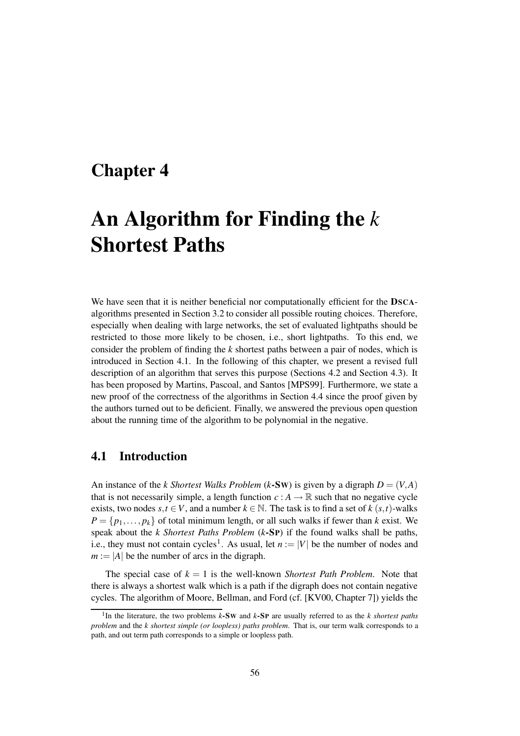## **Chapter 4**

# **An Algorithm for Finding the** *k* **Shortest Paths**

We have seen that it is neither beneficial nor computationally efficient for the **DSCA**algorithms presented in Section 3.2 to consider all possible routing choices. Therefore, especially when dealing with large networks, the set of evaluated lightpaths should be restricted to those more likely to be chosen, i.e., short lightpaths. To this end, we consider the problem of finding the *k* shortest paths between a pair of nodes, which is introduced in Section 4.1. In the following of this chapter, we present a revised full description of an algorithm that serves this purpose (Sections 4.2 and Section 4.3). It has been proposed by Martins, Pascoal, and Santos [MPS99]. Furthermore, we state a new proof of the correctness of the algorithms in Section 4.4 since the proof given by the authors turned out to be deficient. Finally, we answered the previous open question about the running time of the algorithm to be polynomial in the negative.

## **4.1 Introduction**

An instance of the *k Shortest Walks Problem* (*k***-Sw**) is given by a digraph  $D = (V, A)$ that is not necessarily simple, a length function  $c : A \to \mathbb{R}$  such that no negative cycle exists, two nodes  $s, t \in V$ , and a number  $k \in \mathbb{N}$ . The task is to find a set of  $k$  ( $s, t$ )-walks  $P = \{p_1, \ldots, p_k\}$  of total minimum length, or all such walks if fewer than *k* exist. We speak about the *k Shortest Paths Problem* (*k***-SP**) if the found walks shall be paths, i.e., they must not contain cycles<sup>1</sup>. As usual, let  $n := |V|$  be the number of nodes and  $m := |A|$  be the number of arcs in the digraph.

The special case of  $k = 1$  is the well-known *Shortest Path Problem*. Note that there is always a shortest walk which is a path if the digraph does not contain negative cycles. The algorithm of Moore, Bellman, and Ford (cf. [KV00, Chapter 7]) yields the

<sup>1</sup> In the literature, the two problems *k***-SW** and *k***-SP** are usually referred to as the *k shortest paths problem* and the *k shortest simple (or loopless) paths problem*. That is, our term walk corresponds to a path, and out term path corresponds to a simple or loopless path.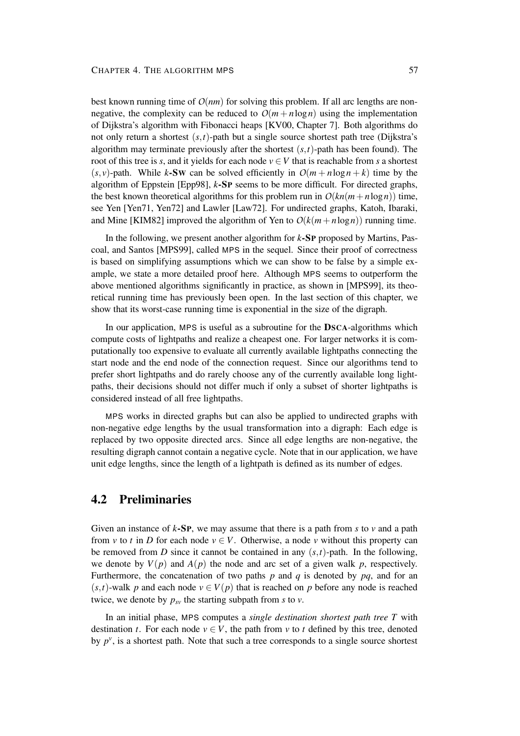best known running time of *O*(*nm*) for solving this problem. If all arc lengths are nonnegative, the complexity can be reduced to  $O(m + n \log n)$  using the implementation of Dijkstra's algorithm with Fibonacci heaps [KV00, Chapter 7]. Both algorithms do not only return a shortest (*s*,*t*)-path but a single source shortest path tree (Dijkstra's algorithm may terminate previously after the shortest  $(s, t)$ -path has been found). The root of this tree is *s*, and it yields for each node  $v \in V$  that is reachable from *s* a shortest  $(s, v)$ -path. While *k*-SW can be solved efficiently in  $O(m + n \log n + k)$  time by the algorithm of Eppstein [Epp98], *k***-SP** seems to be more difficult. For directed graphs, the best known theoretical algorithms for this problem run in  $O(kn(m+n\log n))$  time, see Yen [Yen71, Yen72] and Lawler [Law72]. For undirected graphs, Katoh, Ibaraki, and Mine [KIM82] improved the algorithm of Yen to  $O(k(m+n\log n))$  running time.

In the following, we present another algorithm for *k***-SP** proposed by Martins, Pascoal, and Santos [MPS99], called MPS in the sequel. Since their proof of correctness is based on simplifying assumptions which we can show to be false by a simple example, we state a more detailed proof here. Although MPS seems to outperform the above mentioned algorithms significantly in practice, as shown in [MPS99], its theoretical running time has previously been open. In the last section of this chapter, we show that its worst-case running time is exponential in the size of the digraph.

In our application, MPS is useful as a subroutine for the **DSCA**-algorithms which compute costs of lightpaths and realize a cheapest one. For larger networks it is computationally too expensive to evaluate all currently available lightpaths connecting the start node and the end node of the connection request. Since our algorithms tend to prefer short lightpaths and do rarely choose any of the currently available long lightpaths, their decisions should not differ much if only a subset of shorter lightpaths is considered instead of all free lightpaths.

MPS works in directed graphs but can also be applied to undirected graphs with non-negative edge lengths by the usual transformation into a digraph: Each edge is replaced by two opposite directed arcs. Since all edge lengths are non-negative, the resulting digraph cannot contain a negative cycle. Note that in our application, we have unit edge lengths, since the length of a lightpath is defined as its number of edges.

## **4.2 Preliminaries**

Given an instance of *k***-SP**, we may assume that there is a path from *s* to *v* and a path from *v* to *t* in *D* for each node  $v \in V$ . Otherwise, a node *v* without this property can be removed from *D* since it cannot be contained in any  $(s,t)$ -path. In the following, we denote by  $V(p)$  and  $A(p)$  the node and arc set of a given walk p, respectively. Furthermore, the concatenation of two paths  $p$  and  $q$  is denoted by  $pq$ , and for an  $(s,t)$ -walk *p* and each node  $v \in V(p)$  that is reached on *p* before any node is reached twice, we denote by  $p_{sv}$  the starting subpath from *s* to *v*.

In an initial phase, MPS computes a *single destination shortest path tree T* with destination *t*. For each node  $v \in V$ , the path from *v* to *t* defined by this tree, denoted by  $p^{\nu}$ , is a shortest path. Note that such a tree corresponds to a single source shortest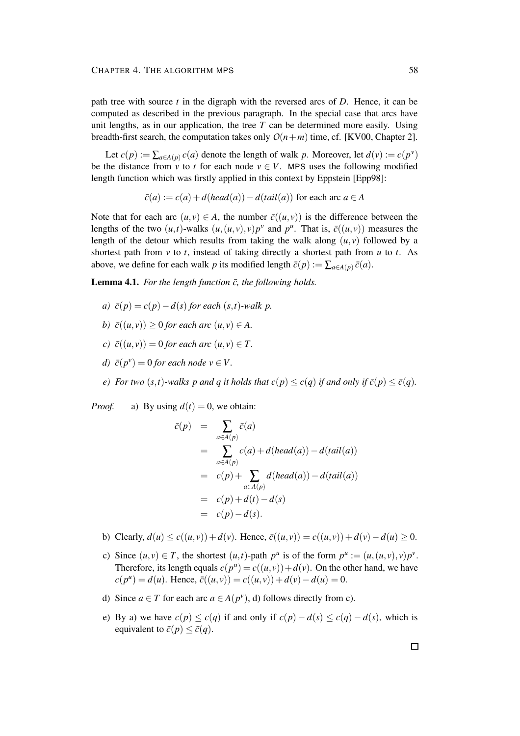path tree with source *t* in the digraph with the reversed arcs of *D*. Hence, it can be computed as described in the previous paragraph. In the special case that arcs have unit lengths, as in our application, the tree  $T$  can be determined more easily. Using breadth-first search, the computation takes only  $O(n+m)$  time, cf. [KV00, Chapter 2].

Let  $c(p) := \sum_{a \in A(p)} c(a)$  denote the length of walk *p*. Moreover, let  $d(v) := c(p^v)$ be the distance from  $\overrightarrow{v}$  to  $\overrightarrow{t}$  for each node  $v \in V$ . MPS uses the following modified length function which was firstly applied in this context by Eppstein [Epp98]:

$$
\bar{c}(a) := c(a) + d(head(a)) - d(tail(a))
$$
 for each arc  $a \in A$ 

Note that for each arc  $(u, v) \in A$ , the number  $\bar{c}((u, v))$  is the difference between the lengths of the two  $(u, t)$ -walks  $(u, (u, v), v)p^v$  and  $p^u$ . That is,  $\bar{c}((u, v))$  measures the length of the detour which results from taking the walk along  $(u, v)$  followed by a shortest path from *v* to *t*, instead of taking directly a shortest path from *u* to *t*. As above, we define for each walk *p* its modified length  $\bar{c}(p) := \sum_{a \in A(p)} \bar{c}(a)$ .

**Lemma 4.1.** For the length function  $\bar{c}$ , the following holds.

- *a)*  $\bar{c}(p) = c(p) d(s)$  *for each*  $(s, t)$ *-walk p.*
- *b*)  $\bar{c}((u, v)) > 0$  *for each arc*  $(u, v) \in A$ .
- $c) \bar{c}((u, v)) = 0$  *for each arc*  $(u, v) \in T$ .
- *d*)  $\bar{c}(p^{\nu}) = 0$  *for each node*  $\nu \in V$ .
- e) For two  $(s,t)$ -walks p and q it holds that  $c(p) < c(q)$  if and only if  $\bar{c}(p) < \bar{c}(q)$ .

*Proof.* a) By using  $d(t) = 0$ , we obtain:

$$
\begin{array}{rcl}\n\bar{c}(p) & = & \sum_{a \in A(p)} \bar{c}(a) \\
& = & \sum_{a \in A(p)} c(a) + d(head(a)) - d(tail(a)) \\
& = & c(p) + \sum_{a \in A(p)} d(head(a)) - d(tail(a)) \\
& = & c(p) + d(t) - d(s) \\
& = & c(p) - d(s).\n\end{array}
$$

- **b**) Clearly,  $d(u) \le c((u, v)) + d(v)$ . Hence,  $\bar{c}((u, v)) = c((u, v)) + d(v) d(u) \ge 0$ .
- c) Since  $(u, v) \in T$ , the shortest  $(u, t)$ -path  $p^u$  is of the form  $p^u := (u, (u, v), v)p^v$ . Therefore, its length equals  $c(p^u) = c((u, v)) + d(v)$ . On the other hand, we have  $c(p^u) = d(u)$ . Hence,  $\bar{c}((u, v)) = c((u, v)) + d(v) - d(u) = 0$ .
- d) Since  $a \in T$  for each arc  $a \in A(p^{\nu})$ , d) follows directly from c).
- e) By a) we have  $c(p) \leq c(q)$  if and only if  $c(p) d(s) \leq c(q) d(s)$ , which is equivalent to  $\bar{c}(p) \leq \bar{c}(q)$ .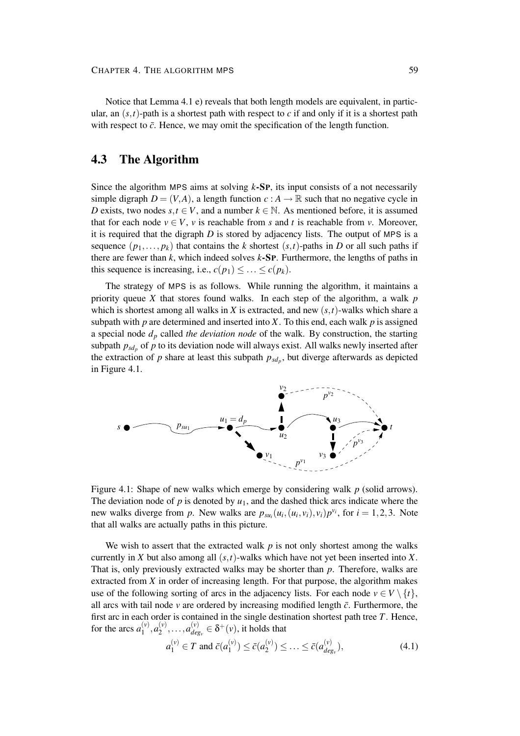Notice that Lemma 4.1 e) reveals that both length models are equivalent, in particular, an  $(s,t)$ -path is a shortest path with respect to *c* if and only if it is a shortest path with respect to  $\bar{c}$ . Hence, we may omit the specification of the length function.

## **4.3 The Algorithm**

Since the algorithm MPS aims at solving *k***-SP**, its input consists of a not necessarily simple digraph  $D = (V, A)$ , a length function  $c : A \to \mathbb{R}$  such that no negative cycle in *D* exists, two nodes  $s, t \in V$ , and a number  $k \in \mathbb{N}$ . As mentioned before, it is assumed that for each node  $v \in V$ , *v* is reachable from *s* and *t* is reachable from *v*. Moreover, it is required that the digraph *D* is stored by adjacency lists. The output of MPS is a sequence  $(p_1,..., p_k)$  that contains the *k* shortest  $(s,t)$ -paths in *D* or all such paths if there are fewer than *k*, which indeed solves *k***-SP**. Furthermore, the lengths of paths in this sequence is increasing, i.e.,  $c(p_1) \leq \ldots \leq c(p_k)$ .

The strategy of MPS is as follows. While running the algorithm, it maintains a priority queue *X* that stores found walks. In each step of the algorithm, a walk *p* which is shortest among all walks in *X* is extracted, and new (*s*,*t*)-walks which share a subpath with  $p$  are determined and inserted into  $X$ . To this end, each walk  $p$  is assigned a special node *d<sup>p</sup>* called *the deviation node* of the walk. By construction, the starting subpath  $p_{sd_p}$  of  $p$  to its deviation node will always exist. All walks newly inserted after the extraction of  $p$  share at least this subpath  $p_{sd_p}$ , but diverge afterwards as depicted in Figure 4.1.



Figure 4.1: Shape of new walks which emerge by considering walk *p* (solid arrows). The deviation node of  $p$  is denoted by  $u_1$ , and the dashed thick arcs indicate where the new walks diverge from *p*. New walks are  $p_{su_i}(u_i,(u_i,v_i),v_i)p^{v_i}$ , for  $i = 1,2,3$ . Note that all walks are actually paths in this picture.

We wish to assert that the extracted walk  $p$  is not only shortest among the walks currently in *X* but also among all (*s*,*t*)-walks which have not yet been inserted into *X*. That is, only previously extracted walks may be shorter than *p*. Therefore, walks are extracted from *X* in order of increasing length. For that purpose, the algorithm makes use of the following sorting of arcs in the adjacency lists. For each node  $v \in V \setminus \{t\}$ , all arcs with tail node  $\nu$  are ordered by increasing modified length  $\bar{c}$ . Furthermore, the first arc in each order is contained in the single destination shortest path tree *T*. Hence, for the arcs  $a_1^{(v)}$  $a_1^{(v)}$ ,  $a_2^{(v)}$  $a_{deg}^{(v)}, \ldots, a_{deg}^{(v)}$  $\delta^{(v)}_{deg_v} \in \delta^+(v)$ , it holds that

$$
a_1^{(v)} \in T \text{ and } \bar{c}(a_1^{(v)}) \le \bar{c}(a_2^{(v)}) \le \dots \le \bar{c}(a_{deg_v}^{(v)}), \tag{4.1}
$$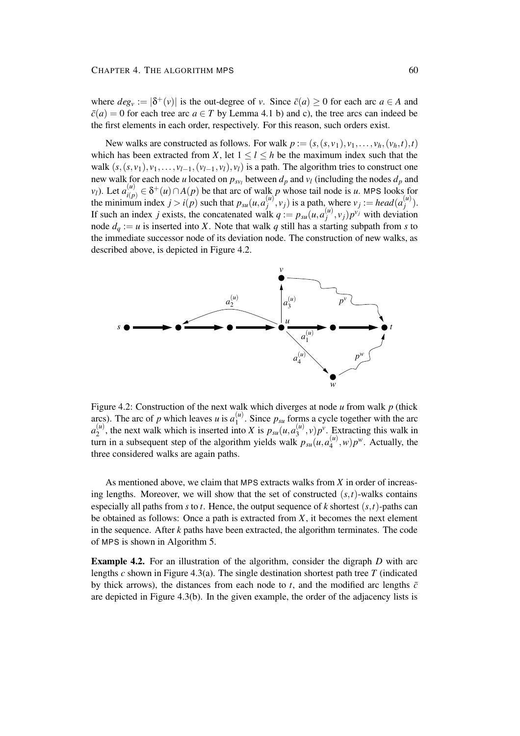where  $deg_v := |\delta^+(v)|$  is the out-degree of *v*. Since  $\bar{c}(a) \ge 0$  for each arc  $a \in A$  and  $\bar{c}(a) = 0$  for each tree arc  $a \in T$  by Lemma 4.1 b) and c), the tree arcs can indeed be the first elements in each order, respectively. For this reason, such orders exist.

New walks are constructed as follows. For walk  $p := (s, (s, v_1), v_1, \ldots, v_h, (v_h, t), t)$ which has been extracted from *X*, let  $1 \leq l \leq h$  be the maximum index such that the walk  $(s, (s, v_1), v_1, \ldots, v_{l-1}, (v_{l-1}, v_l), v_l)$  is a path. The algorithm tries to construct one new walk for each node *u* located on  $p_{sv_l}$  between  $d_p$  and  $v_l$  (including the nodes  $d_p$  and *v*<sub>*l*</sub>). Let  $a_{i(n)}^{(u)}$  *∈ δ<sup>+</sup>(<i>u*)∩*A*(*p*) be that arc of walk *p* whose tail node is *u*. MPS looks for the minimum index  $j > i(p)$  such that  $p_{su}(u, a_i^{(u)})$  $\left(\begin{matrix} u \\ i \end{matrix}\right)$ ,  $v_j$ ) is a path, where  $v_j := head(a_j^{(u)})$  $\binom{u}{j}$ . If such an index *j* exists, the concatenated walk  $q := p_{su}(u, a_i^{(u)})$  $\binom{u}{j}$ ,  $v_j$ ) $p^{v_j}$  with deviation node  $d_q := u$  is inserted into *X*. Note that walk *q* still has a starting subpath from *s* to the immediate successor node of its deviation node. The construction of new walks, as described above, is depicted in Figure 4.2.



Figure 4.2: Construction of the next walk which diverges at node *u* from walk *p* (thick arcs). The arc of *p* which leaves *u* is  $a_1^{(u)}$  $1^{\binom{n}{2}}$ . Since  $p_{su}$  forms a cycle together with the arc  $a_2^{(u)}$  $2^{(u)}$ , the next walk which is inserted into *X* is  $p_{su}(u, a_3^{(u)})$  $\binom{u}{3}$ , *v*)  $p^{\nu}$ . Extracting this walk in turn in a subsequent step of the algorithm yields walk  $p_{su}(u, a_4^{(u)})$  $\binom{u}{4}$ , *w*) $p^w$ . Actually, the three considered walks are again paths.

As mentioned above, we claim that MPS extracts walks from *X* in order of increasing lengths. Moreover, we will show that the set of constructed  $(s,t)$ -walks contains especially all paths from *s* to *t*. Hence, the output sequence of *k* shortest (*s*,*t*)-paths can be obtained as follows: Once a path is extracted from *X*, it becomes the next element in the sequence. After *k* paths have been extracted, the algorithm terminates. The code of MPS is shown in Algorithm 5.

**Example 4.2.** For an illustration of the algorithm, consider the digraph *D* with arc lengths *c* shown in Figure 4.3(a). The single destination shortest path tree *T* (indicated by thick arrows), the distances from each node to  $t$ , and the modified arc lengths  $\bar{c}$ are depicted in Figure 4.3(b). In the given example, the order of the adjacency lists is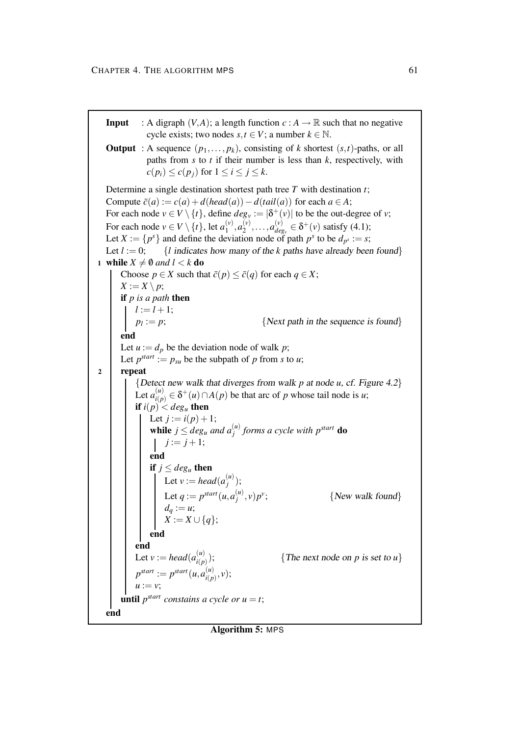**Input** : A digraph  $(V, A)$ ; a length function  $c : A \rightarrow \mathbb{R}$  such that no negative cycle exists; two nodes  $s, t \in V$ ; a number  $k \in \mathbb{N}$ . **Output** : A sequence  $(p_1, \ldots, p_k)$ , consisting of *k* shortest  $(s, t)$ -paths, or all paths from *s* to *t* if their number is less than *k*, respectively, with  $c(p_i) \leq c(p_i)$  for  $1 \leq i \leq j \leq k$ . Determine a single destination shortest path tree *T* with destination *t*; Compute  $\bar{c}(a) := c(a) + d(head(a)) - d(tail(a))$  for each  $a \in A$ ; For each node  $v \in V \setminus \{t\}$ , define  $deg_v := |\delta^+(v)|$  to be the out-degree of *v*; For each node  $v \in V \setminus \{t\}$ , let  $a_1^{(v)}$  $a_1^{(v)}$ ,  $a_2^{(v)}$  $a_{deg}^{(v)}, \ldots, a_{deg}^{(v)}$  $\delta^{(v)}_{deg_v} \in \delta^+(v)$  satisfy (4.1); Let  $X := \{p^s\}$  and define the deviation node of path  $p^s$  to be  $d_{p^s} := s$ ; Let  $l := 0$ ; {*l* indicates how many of the *k* paths have already been found} **1 while**  $X \neq \emptyset$  *and*  $l < k$  **do** Choose  $p \in X$  such that  $\bar{c}(p) \leq \bar{c}(q)$  for each  $q \in X$ ;  $X := X \setminus p$ ; **if** *p is a path* **then**  $l := l + 1;$  $p_l := p;$ {*Next path in the sequence is found*} **end** Let  $u := d_p$  be the deviation node of walk p; Let  $p^{start} := p_{su}$  be the subpath of *p* from *s* to *u*; **2 repeat** {Detect new walk that diverges from walk *p* at node *u*, cf. Figure 4.2} Let  $a_{i(n)}^{(u)}$  *∈ δ<sup>+</sup>(<i>u*)∩*A*(*p*) be that arc of *p* whose tail node is *u*; **if**  $i(p) < deg_u$  **then** Let  $j := i(p) + 1;$ **while**  $j \leq deg_u$  *and*  $a_j^{(u)}$ *j forms a cycle with p start* **do**  $j := j + 1;$ **end if**  $j < deg_u$  **then** Let  $v := head(a_i^{(u)})$  $\binom{u}{j}$ ; Let  $q := p^{start}(u, a_i^{(u)})$  $\binom{u}{j}$ ,  $v$ ) $p^v$  ${New walk found}$  $d_q := u;$ *X* := *X* ∪ {*q*}; **end end** Let  $v := head(a_{i(n)}^{(u)})$ *i*(*p*) ); {The next node on *p* is set to *u*}  $p^{start} := p^{start}(u, a_{i(n)}^{(u)})$  $\binom{u}{i(p)}, v);$  $u := v$ ; **until**  $p^{start}$  *constains a cycle or*  $u = t$ ; **end**

#### **Algorithm 5:** MPS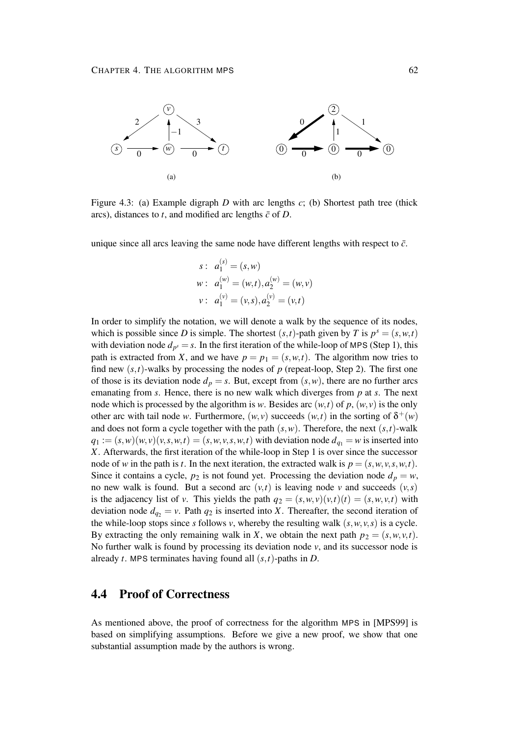

Figure 4.3: (a) Example digraph *D* with arc lengths *c*; (b) Shortest path tree (thick arcs), distances to  $t$ , and modified arc lengths  $\bar{c}$  of  $D$ .

unique since all arcs leaving the same node have different lengths with respect to  $\bar{c}$ .

$$
s: a_1^{(s)} = (s, w)
$$
  
\n
$$
w: a_1^{(w)} = (w, t), a_2^{(w)} = (w, v)
$$
  
\n
$$
v: a_1^{(v)} = (v, s), a_2^{(v)} = (v, t)
$$

In order to simplify the notation, we will denote a walk by the sequence of its nodes, which is possible since *D* is simple. The shortest  $(s,t)$ -path given by *T* is  $p^s = (s, w, t)$ with deviation node  $d_{p^s} = s$ . In the first iteration of the while-loop of MPS (Step 1), this path is extracted from *X*, and we have  $p = p_1 = (s, w, t)$ . The algorithm now tries to find new  $(s, t)$ -walks by processing the nodes of  $p$  (repeat-loop, Step 2). The first one of those is its deviation node  $d_p = s$ . But, except from  $(s, w)$ , there are no further arcs emanating from *s*. Hence, there is no new walk which diverges from *p* at *s*. The next node which is processed by the algorithm is *w*. Besides arc  $(w, t)$  of *p*,  $(w, v)$  is the only other arc with tail node *w*. Furthermore,  $(w, v)$  succeeds  $(w, t)$  in the sorting of  $\delta^+(w)$ and does not form a cycle together with the path  $(s, w)$ . Therefore, the next  $(s, t)$ -walk  $q_1 := (s, w)(w, v)(v, s, w, t) = (s, w, v, s, w, t)$  with deviation node  $d_{q_1} = w$  is inserted into *X*. Afterwards, the first iteration of the while-loop in Step 1 is over since the successor node of *w* in the path is *t*. In the next iteration, the extracted walk is  $p = (s, w, v, s, w, t)$ . Since it contains a cycle,  $p_2$  is not found yet. Processing the deviation node  $d_p = w$ , no new walk is found. But a second arc  $(v,t)$  is leaving node  $v$  and succeeds  $(v,s)$ is the adjacency list of *v*. This yields the path  $q_2 = (s, w, v)(v, t)(t) = (s, w, v, t)$  with deviation node  $d_{q_2} = v$ . Path  $q_2$  is inserted into *X*. Thereafter, the second iteration of the while-loop stops since *s* follows *v*, whereby the resulting walk  $(s, w, v, s)$  is a cycle. By extracting the only remaining walk in *X*, we obtain the next path  $p_2 = (s, w, v, t)$ . No further walk is found by processing its deviation node  $\nu$ , and its successor node is already *t*. MPS terminates having found all (*s*,*t*)-paths in *D*.

## **4.4 Proof of Correctness**

As mentioned above, the proof of correctness for the algorithm MPS in [MPS99] is based on simplifying assumptions. Before we give a new proof, we show that one substantial assumption made by the authors is wrong.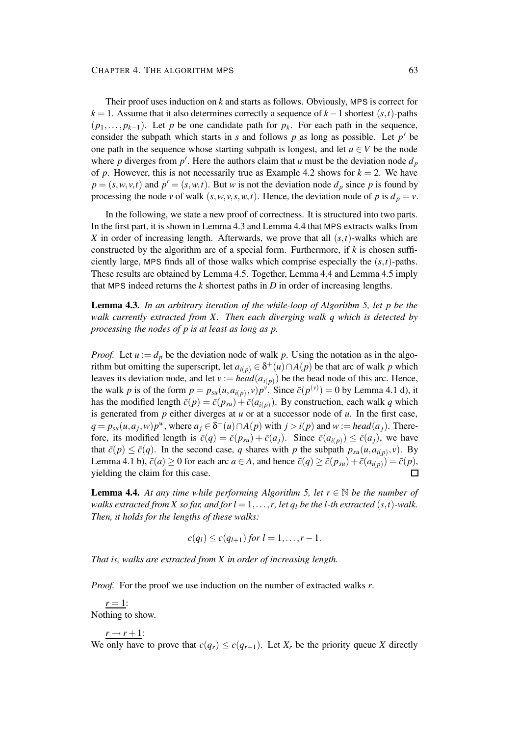Their proof uses induction on *k* and starts as follows. Obviously, MPS is correct for *k* = 1. Assume that it also determines correctly a sequence of *k*−1 shortest (*s*,*t*)-paths  $(p_1, \ldots, p_{k-1})$ . Let *p* be one candidate path for  $p_k$ . For each path in the sequence, consider the subpath which starts in  $s$  and follows  $p$  as long as possible. Let  $p'$  be one path in the sequence whose starting subpath is longest, and let  $u \in V$  be the node where *p* diverges from  $p'$ . Here the authors claim that *u* must be the deviation node  $d_p$ of *p*. However, this is not necessarily true as Example 4.2 shows for  $k = 2$ . We have  $p = (s, w, v, t)$  and  $p' = (s, w, t)$ . But *w* is not the deviation node  $d_p$  since *p* is found by processing the node *v* of walk  $(s, w, v, s, w, t)$ . Hence, the deviation node of *p* is  $d_p = v$ .

In the following, we state a new proof of correctness. It is structured into two parts. In the first part, it is shown in Lemma 4.3 and Lemma 4.4 that MPS extracts walks from *X* in order of increasing length. Afterwards, we prove that all (*s*,*t*)-walks which are constructed by the algorithm are of a special form. Furthermore, if *k* is chosen sufficiently large, MPS finds all of those walks which comprise especially the  $(s,t)$ -paths. These results are obtained by Lemma 4.5. Together, Lemma 4.4 and Lemma 4.5 imply that MPS indeed returns the *k* shortest paths in *D* in order of increasing lengths.

**Lemma 4.3.** *In an arbitrary iteration of the while-loop of Algorithm 5, let p be the walk currently extracted from X. Then each diverging walk q which is detected by processing the nodes of p is at least as long as p.*

*Proof.* Let  $u := d_p$  be the deviation node of walk p. Using the notation as in the algorithm but omitting the superscript, let  $a_{i(p)} \in \delta^+(u) \cap A(p)$  be that arc of walk *p* which leaves its deviation node, and let  $v := head(a_{i(p)})$  be the head node of this arc. Hence, the walk *p* is of the form  $p = p_{su}(u, a_{i(p)}, v)p^{\nu}$ . Since  $\bar{c}(p^{(v)}) = 0$  by Lemma 4.1 d), it has the modified length  $\bar{c}(p) = \bar{c}(p_{su}) + \bar{c}(a_{i(p)})$ . By construction, each walk *q* which is generated from *p* either diverges at *u* or at a successor node of *u*. In the first case,  $q = p_{su}(u, a_j, w)p^w$ , where  $a_j \in \delta^+(u) \cap A(p)$  with  $j > i(p)$  and  $w := head(a_j)$ . Therefore, its modified length is  $\bar{c}(q) = \bar{c}(p_{su}) + \bar{c}(a_j)$ . Since  $\bar{c}(a_{i(p)}) \leq \bar{c}(a_j)$ , we have that  $\bar{c}(p) \leq \bar{c}(q)$ . In the second case, *q* shares with *p* the subpath  $p_{su}(u, a_{i(p)}, v)$ . By Lemma 4.1 b),  $\bar{c}(a) \ge 0$  for each arc  $a \in A$ , and hence  $\bar{c}(q) \ge \bar{c}(p_{su}) + \bar{c}(a_{i(p)}) = \bar{c}(p)$ , yielding the claim for this case.  $\Box$ 

**Lemma 4.4.** At any time while performing Algorithm 5, let  $r \in \mathbb{N}$  be the number of walks extracted from X so far, and for  $l = 1, \ldots, r$ , let  $q_l$  be the l-th extracted  $(s, t)$ -walk. *Then, it holds for the lengths of these walks:*

$$
c(q_l) \leq c(q_{l+1}) \text{ for } l=1,\ldots,r-1.
$$

*That is, walks are extracted from X in order of increasing length.*

*Proof.* For the proof we use induction on the number of extracted walks *r*.

 $r = 1$ : Nothing to show.

$$
r \rightarrow r+1:
$$

We only have to prove that  $c(q_r) \leq c(q_{r+1})$ . Let  $X_r$  be the priority queue X directly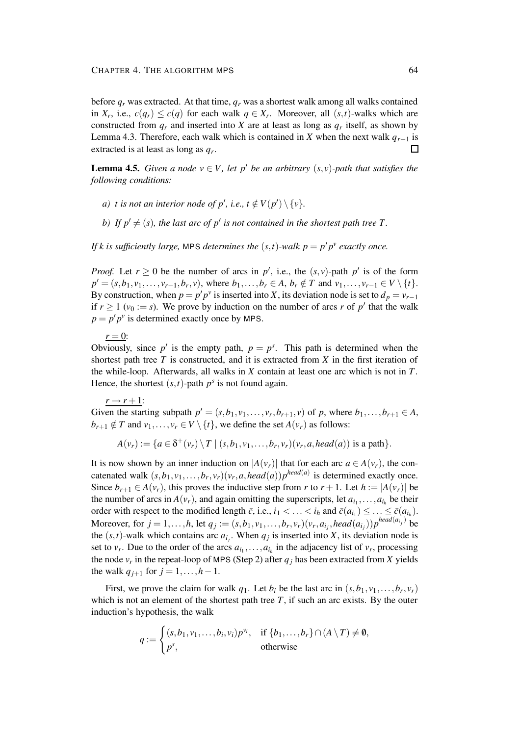before  $q_r$  was extracted. At that time,  $q_r$  was a shortest walk among all walks contained in  $X_r$ , i.e.,  $c(q_r) \leq c(q)$  for each walk  $q \in X_r$ . Moreover, all  $(s,t)$ -walks which are constructed from  $q_r$  and inserted into *X* are at least as long as  $q_r$  itself, as shown by Lemma 4.3. Therefore, each walk which is contained in *X* when the next walk  $q_{r+1}$  is extracted is at least as long as *q<sup>r</sup>* . П

**Lemma 4.5.** *Given a node*  $v \in V$ *, let*  $p'$  *be an arbitrary*  $(s, v)$ *-path that satisfies the following conditions:*

- *a*) *t is not an interior node of*  $p'$ , *i.e.*,  $t \notin V(p') \setminus \{v\}$ .
- *b*) If  $p' \neq (s)$ , the last arc of  $p'$  is not contained in the shortest path tree T.

*If k is sufficiently large*, MPS *determines the*  $(s,t)$ *-walk*  $p = p'p^v$  *exactly once.* 

*Proof.* Let  $r \ge 0$  be the number of arcs in  $p'$ , i.e., the  $(s, v)$ -path  $p'$  is of the form  $p' = (s, b_1, v_1, \dots, v_{r-1}, b_r, v)$ , where  $b_1, \dots, b_r \in A$ ,  $b_r \notin T$  and  $v_1, \dots, v_{r-1} \in V \setminus \{t\}$ . By construction, when  $p = p'p^v$  is inserted into *X*, its deviation node is set to  $d_p = v_{r-1}$ if  $r \ge 1$  ( $v_0 := s$ ). We prove by induction on the number of arcs *r* of *p*<sup>'</sup> that the walk  $p = p'p^v$  is determined exactly once by MPS.

 $r = 0$ :

Obviously, since  $p'$  is the empty path,  $p = p<sup>s</sup>$ . This path is determined when the shortest path tree *T* is constructed, and it is extracted from *X* in the first iteration of the while-loop. Afterwards, all walks in *X* contain at least one arc which is not in *T*. Hence, the shortest  $(s,t)$ -path  $p<sup>s</sup>$  is not found again.

 $r \rightarrow r+1$ :

Given the starting subpath  $p' = (s, b_1, v_1, \ldots, v_r, b_{r+1}, v)$  of *p*, where  $b_1, \ldots, b_{r+1} \in A$ ,  $b_{r+1} \notin T$  and  $v_1, \ldots, v_r \in V \setminus \{t\}$ , we define the set  $A(v_r)$  as follows:

$$
A(v_r) := \{a \in \delta^+(v_r) \setminus T \mid (s, b_1, v_1, \ldots, b_r, v_r)(v_r, a, head(a)) \text{ is a path}\}.
$$

It is now shown by an inner induction on  $|A(v_r)|$  that for each arc  $a \in A(v_r)$ , the concatenated walk  $(s, b_1, v_1, \ldots, b_r, v_r)(v_r, a, head(a))p^{head(a)}$  is determined exactly once. Since  $b_{r+1} \in A(v_r)$ , this proves the inductive step from *r* to  $r + 1$ . Let  $h := |A(v_r)|$  be the number of arcs in  $A(v_r)$ , and again omitting the superscripts, let  $a_{i_1}, \ldots, a_{i_h}$  be their order with respect to the modified length  $\bar{c}$ , i.e.,  $i_1 < \ldots < i_h$  and  $\bar{c}(a_{i_1}) \leq \ldots \leq \bar{c}(a_{i_h})$ . Moreover, for  $j = 1, ..., h$ , let  $q_j := (s, b_1, v_1, ..., b_r, v_r)(v_r, a_{i_j}, head(a_{i_j}))p^{head(a_{i_j})}$  be the  $(s,t)$ -walk which contains arc  $a_{i_j}$ . When  $q_j$  is inserted into *X*, its deviation node is set to  $v_r$ . Due to the order of the arcs  $a_{i_1}, \ldots, a_{i_h}$  in the adjacency list of  $v_r$ , processing the node  $v_r$  in the repeat-loop of MPS (Step 2) after  $q_j$  has been extracted from *X* yields the walk  $q_{i+1}$  for  $j = 1, ..., h-1$ .

First, we prove the claim for walk  $q_1$ . Let  $b_i$  be the last arc in  $(s, b_1, v_1, \ldots, b_r, v_r)$ which is not an element of the shortest path tree *T*, if such an arc exists. By the outer induction's hypothesis, the walk

$$
q := \begin{cases} (s, b_1, v_1, \dots, b_i, v_i) p^{v_i}, & \text{if } \{b_1, \dots, b_r\} \cap (A \setminus T) \neq \emptyset, \\ p^s, & \text{otherwise} \end{cases}
$$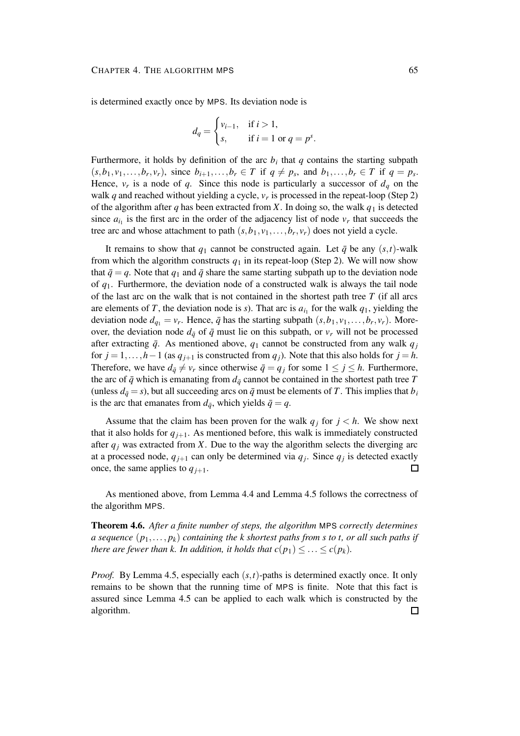is determined exactly once by MPS. Its deviation node is

$$
d_q = \begin{cases} v_{i-1}, & \text{if } i > 1, \\ s, & \text{if } i = 1 \text{ or } q = p^s. \end{cases}
$$

Furthermore, it holds by definition of the arc  $b_i$  that  $q$  contains the starting subpath  $(s, b_1, v_1, \ldots, b_r, v_r)$ , since  $b_{i+1}, \ldots, b_r \in T$  if  $q \neq p_s$ , and  $b_1, \ldots, b_r \in T$  if  $q = p_s$ . Hence,  $v_r$  is a node of *q*. Since this node is particularly a successor of  $d_q$  on the walk *q* and reached without yielding a cycle, *v<sup>r</sup>* is processed in the repeat-loop (Step 2) of the algorithm after *q* has been extracted from *X*. In doing so, the walk  $q_1$  is detected since  $a_{i_1}$  is the first arc in the order of the adjacency list of node  $v_r$  that succeeds the tree arc and whose attachment to path  $(s, b_1, v_1, \ldots, b_r, v_r)$  does not yield a cycle.

It remains to show that  $q_1$  cannot be constructed again. Let  $\bar{q}$  be any  $(s,t)$ -walk from which the algorithm constructs  $q_1$  in its repeat-loop (Step 2). We will now show that  $\bar{q} = q$ . Note that  $q_1$  and  $\bar{q}$  share the same starting subpath up to the deviation node of *q*1. Furthermore, the deviation node of a constructed walk is always the tail node of the last arc on the walk that is not contained in the shortest path tree *T* (if all arcs are elements of *T*, the deviation node is *s*). That arc is  $a_{i_1}$  for the walk  $q_1$ , yielding the deviation node  $d_{q_1} = v_r$ . Hence,  $\bar{q}$  has the starting subpath  $(s, b_1, v_1, \ldots, b_r, v_r)$ . Moreover, the deviation node  $d_{\bar{q}}$  of  $\bar{q}$  must lie on this subpath, or  $v_r$  will not be processed after extracting  $\bar{q}$ . As mentioned above,  $q_1$  cannot be constructed from any walk  $q_i$ for  $j = 1, ..., h-1$  (as  $q_{j+1}$  is constructed from  $q_j$ ). Note that this also holds for  $j = h$ . Therefore, we have  $d_{\bar{q}} \neq v_r$  since otherwise  $\bar{q} = q_i$  for some  $1 \leq j \leq h$ . Furthermore, the arc of  $\bar{q}$  which is emanating from  $d_{\bar{q}}$  cannot be contained in the shortest path tree  $T$ (unless  $d_{\bar{q}} = s$ ), but all succeeding arcs on  $\bar{q}$  must be elements of *T*. This implies that  $b_i$ is the arc that emanates from  $d_{\bar{q}}$ , which yields  $\bar{q} = q$ .

Assume that the claim has been proven for the walk  $q_i$  for  $j < h$ . We show next that it also holds for  $q_{j+1}$ . As mentioned before, this walk is immediately constructed after  $q_i$  was extracted from *X*. Due to the way the algorithm selects the diverging arc at a processed node,  $q_{j+1}$  can only be determined via  $q_j$ . Since  $q_j$  is detected exactly once, the same applies to  $q_{i+1}$ . 囗

As mentioned above, from Lemma 4.4 and Lemma 4.5 follows the correctness of the algorithm MPS.

**Theorem 4.6.** *After a finite number of steps, the algorithm* MPS *correctly determines a sequence*  $(p_1, \ldots, p_k)$  *containing the k shortest paths from s to t*, *or all such paths if there are fewer than k. In addition, it holds that*  $c(p_1) \leq \ldots \leq c(p_k)$ *.* 

*Proof.* By Lemma 4.5, especially each  $(s,t)$ -paths is determined exactly once. It only remains to be shown that the running time of MPS is finite. Note that this fact is assured since Lemma 4.5 can be applied to each walk which is constructed by the algorithm. $\Box$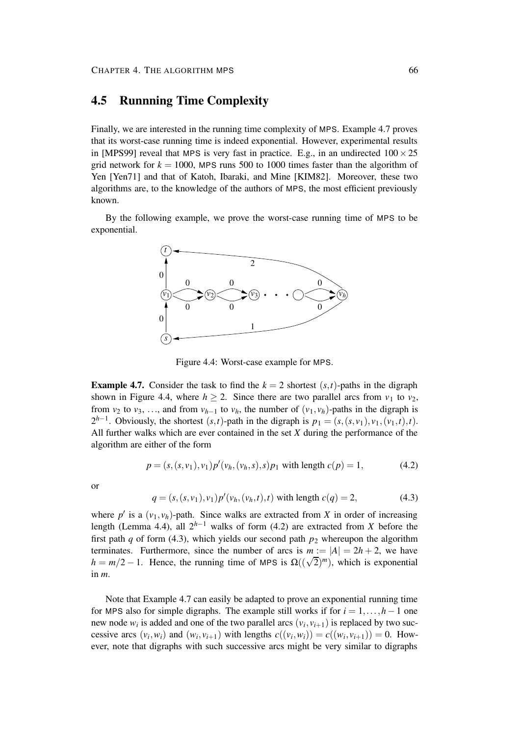## **4.5 Runnning Time Complexity**

Finally, we are interested in the running time complexity of MPS. Example 4.7 proves that its worst-case running time is indeed exponential. However, experimental results in [MPS99] reveal that MPS is very fast in practice. E.g., in an undirected  $100 \times 25$ grid network for  $k = 1000$ , MPS runs 500 to 1000 times faster than the algorithm of Yen [Yen71] and that of Katoh, Ibaraki, and Mine [KIM82]. Moreover, these two algorithms are, to the knowledge of the authors of MPS, the most efficient previously known.

By the following example, we prove the worst-case running time of MPS to be exponential.



Figure 4.4: Worst-case example for MPS.

**Example 4.7.** Consider the task to find the  $k = 2$  shortest  $(s, t)$ -paths in the digraph shown in Figure 4.4, where  $h \ge 2$ . Since there are two parallel arcs from  $v_1$  to  $v_2$ , from *v*<sub>2</sub> to *v*<sub>3</sub>, ..., and from *v*<sub>*h*-1</sub> to *v*<sub>*h*</sub>, the number of (*v*<sub>1</sub>, *v*<sub>*h*</sub>)-paths in the digraph is  $2^{h-1}$ . Obviously, the shortest  $(s,t)$ -path in the digraph is  $p_1 = (s,(s,v_1),v_1,(v_1,t),t)$ . All further walks which are ever contained in the set *X* during the performance of the algorithm are either of the form

$$
p = (s, (s, v_1), v_1) p'(v_h, (v_h, s), s) p_1 \text{ with length } c(p) = 1,
$$
 (4.2)

or

$$
q = (s, (s, v_1), v_1) p'(v_h, (v_h, t), t)
$$
 with length  $c(q) = 2$ , (4.3)

where  $p'$  is a  $(v_1, v_h)$ -path. Since walks are extracted from *X* in order of increasing length (Lemma 4.4), all 2 *<sup>h</sup>*−<sup>1</sup> walks of form (4.2) are extracted from *X* before the first path *q* of form (4.3), which yields our second path  $p_2$  whereupon the algorithm terminates. Furthermore, since the number of arcs is  $m := |A| = 2h + 2$ , we have  $h = m/2 - 1$ . Hence, the running time of MPS is  $\Omega((\sqrt{2})^m)$ , which is exponential in *m*.

Note that Example 4.7 can easily be adapted to prove an exponential running time for MPS also for simple digraphs. The example still works if for  $i = 1, \ldots, h-1$  one new node  $w_i$  is added and one of the two parallel arcs  $(v_i, v_{i+1})$  is replaced by two successive arcs  $(v_i, w_i)$  and  $(w_i, v_{i+1})$  with lengths  $c((v_i, w_i)) = c((w_i, v_{i+1})) = 0$ . However, note that digraphs with such successive arcs might be very similar to digraphs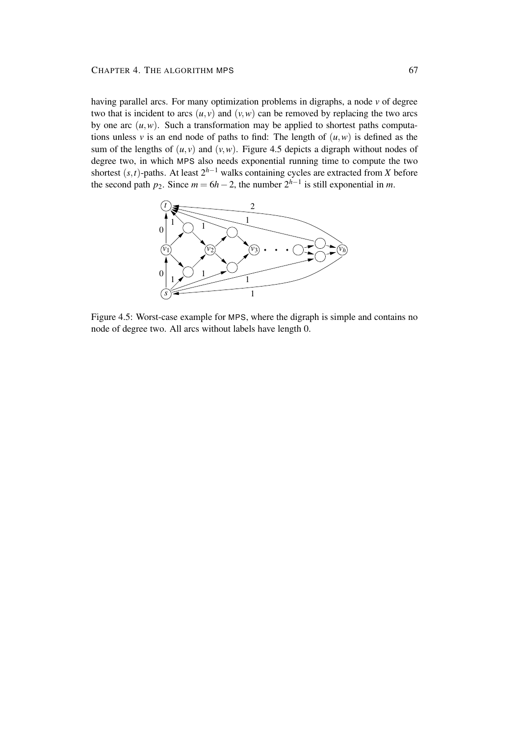#### CHAPTER 4. THE ALGORITHM MPS 67

having parallel arcs. For many optimization problems in digraphs, a node *v* of degree two that is incident to arcs  $(u, v)$  and  $(v, w)$  can be removed by replacing the two arcs by one arc  $(u, w)$ . Such a transformation may be applied to shortest paths computations unless *v* is an end node of paths to find: The length of  $(u, w)$  is defined as the sum of the lengths of  $(u, v)$  and  $(v, w)$ . Figure 4.5 depicts a digraph without nodes of degree two, in which MPS also needs exponential running time to compute the two shortest  $(s, t)$ -paths. At least  $2^{h-1}$  walks containing cycles are extracted from *X* before the second path *p*<sub>2</sub>. Since  $m = 6h - 2$ , the number  $2^{h-1}$  is still exponential in *m*.



Figure 4.5: Worst-case example for MPS, where the digraph is simple and contains no node of degree two. All arcs without labels have length 0.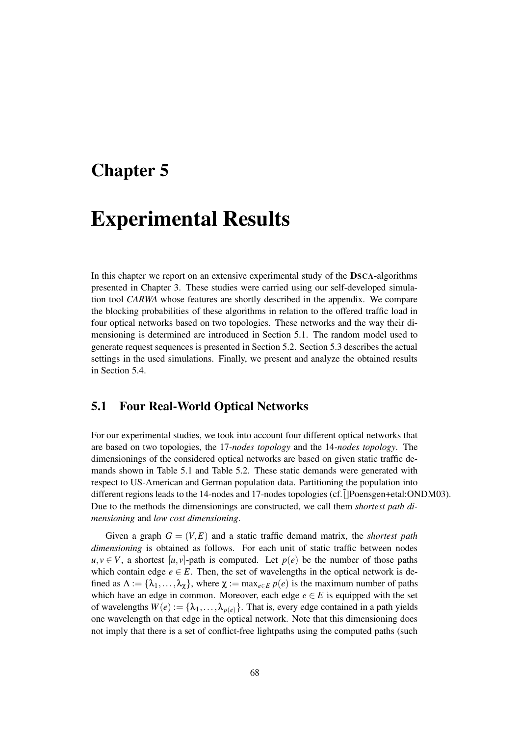### **Chapter 5**

## **Experimental Results**

In this chapter we report on an extensive experimental study of the **DSCA**-algorithms presented in Chapter 3. These studies were carried using our self-developed simulation tool *CARWA* whose features are shortly described in the appendix. We compare the blocking probabilities of these algorithms in relation to the offered traffic load in four optical networks based on two topologies. These networks and the way their dimensioning is determined are introduced in Section 5.1. The random model used to generate request sequences is presented in Section 5.2. Section 5.3 describes the actual settings in the used simulations. Finally, we present and analyze the obtained results in Section 5.4.

### **5.1 Four Real-World Optical Networks**

For our experimental studies, we took into account four different optical networks that are based on two topologies, the 17*-nodes topology* and the 14*-nodes topology*. The dimensionings of the considered optical networks are based on given static traffic demands shown in Table 5.1 and Table 5.2. These static demands were generated with respect to US-American and German population data. Partitioning the population into different regions leads to the 14-nodes and 17-nodes topologies (cf. []Poensgen+etal:ONDM03). Due to the methods the dimensionings are constructed, we call them *shortest path dimensioning* and *low cost dimensioning*.

Given a graph  $G = (V, E)$  and a static traffic demand matrix, the *shortest path dimensioning* is obtained as follows. For each unit of static traffic between nodes  $u, v \in V$ , a shortest [*u*, *v*]-path is computed. Let  $p(e)$  be the number of those paths which contain edge  $e \in E$ . Then, the set of wavelengths in the optical network is defined as  $\Lambda := {\lambda_1, \ldots, \lambda_{\chi}}$ , where  $\chi := \max_{e \in E} p(e)$  is the maximum number of paths which have an edge in common. Moreover, each edge  $e \in E$  is equipped with the set of wavelengths  $W(e) := {\lambda_1, \ldots, \lambda_{p(e)}}$ . That is, every edge contained in a path yields one wavelength on that edge in the optical network. Note that this dimensioning does not imply that there is a set of conflict-free lightpaths using the computed paths (such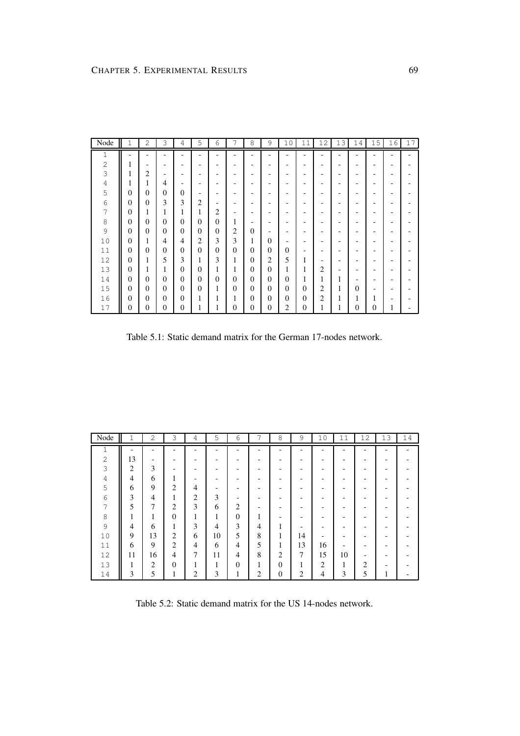| Node             | Τ              | 2        | 3                        | 4                        | 5                           | 6              |                | 8        | 9            | 10       | 11           | 12             | 13 | 14       | 15       | 16 | 17 |
|------------------|----------------|----------|--------------------------|--------------------------|-----------------------------|----------------|----------------|----------|--------------|----------|--------------|----------------|----|----------|----------|----|----|
| 1                |                |          |                          |                          |                             |                |                |          |              |          |              |                |    |          |          |    |    |
| $\sqrt{2}$       |                |          |                          |                          |                             |                |                |          |              |          |              |                |    |          |          |    |    |
| 3                |                | 2        | $\overline{\phantom{0}}$ |                          |                             |                |                |          |              |          |              |                |    |          |          |    |    |
| $\sqrt{4}$       |                | 1        | 4                        | $\overline{\phantom{0}}$ |                             |                |                |          |              |          |              |                |    |          |          |    |    |
| 5                | 0              | $\Omega$ | $\theta$                 | $\Omega$                 |                             |                |                |          |              |          |              |                |    |          |          |    |    |
| $\sqrt{6}$       | $\overline{0}$ | $\Omega$ | 3                        | 3                        | $\mathcal{D}_{\mathcal{L}}$ |                |                |          |              |          |              |                |    |          |          |    |    |
| $\boldsymbol{7}$ | $\overline{0}$ | 1        | 1                        | 1                        | 1                           | $\overline{c}$ |                |          |              |          |              |                |    |          |          |    |    |
| $\,8\,$          | $\overline{0}$ | $\Omega$ | $\overline{0}$           | $\mathbf{0}$             | $\Omega$                    | $\Omega$       |                |          |              |          |              |                |    |          |          |    |    |
| $\mathfrak{S}$   | $\theta$       | $\Omega$ | $\Omega$                 | $\Omega$                 | $\Omega$                    | $\Omega$       | $\overline{c}$ | $\Omega$ |              |          |              |                |    |          |          |    |    |
| 10               | $\theta$       | л.       | 4                        | 4                        | $\overline{c}$              | 3              | 3              | 1        | $\Omega$     |          |              |                |    |          |          |    |    |
| 11               | $\theta$       | $\Omega$ | $\theta$                 | $\Omega$                 | $\theta$                    | $\Omega$       | $\Omega$       | $\Omega$ | $\Omega$     | $\Omega$ |              |                |    |          |          |    |    |
| 12               | $\theta$       |          | 5                        | 3                        | 1.<br>Ι.                    | 3              | 1              | $\Omega$ | 2            | 5        |              |                |    |          |          |    |    |
| 13               | $\theta$       |          | 1                        | $\Omega$                 | $\Omega$                    | 1              | 1              | $\Omega$ | $\Omega$     |          | 1            | $\overline{2}$ |    |          |          |    |    |
| 14               | $\overline{0}$ | $\Omega$ | $\Omega$                 | $\Omega$                 | $\Omega$                    | $\Omega$       | $\Omega$       | $\Omega$ | $\mathbf{0}$ | $\Omega$ | 1            | 1              |    |          |          |    |    |
| 15               | $\overline{0}$ | $\Omega$ | $\Omega$                 | $\Omega$                 | $\theta$                    | 1              | $\theta$       | $\Omega$ | $\Omega$     | $\Omega$ | $\theta$     | $\overline{2}$ | 1  | $\Omega$ |          |    |    |
| 16               | $\overline{0}$ | $\Omega$ | $\Omega$                 | $\mathbf{0}$             | 1                           |                | 1              | $\Omega$ | $\Omega$     | $\Omega$ | $\Omega$     | $\overline{2}$ |    |          |          |    |    |
| 17               | 0              | $\theta$ | $\theta$                 | $\theta$                 | T                           |                | $\mathbf{0}$   | $\Omega$ | $\mathbf{0}$ | 2        | $\mathbf{0}$ | I.             | л. | $\Omega$ | $\Omega$ |    |    |

Table 5.1: Static demand matrix for the German 17-nodes network.

| Node         | 1  | 2              | 3              | 4 | 5       | 6              | 7       | 8              | 9  | 10             | 11 | 12             | 13 | 14 |
|--------------|----|----------------|----------------|---|---------|----------------|---------|----------------|----|----------------|----|----------------|----|----|
| H.<br>┹      |    |                |                |   |         |                |         |                |    |                |    |                |    |    |
| $\mathbf{2}$ | 13 |                |                |   |         |                |         |                |    |                |    |                |    |    |
| 3            | 2  | 3              |                |   |         |                |         |                |    |                |    |                |    |    |
| $\sqrt{4}$   | 4  | 6              | 1              |   |         |                |         |                |    |                |    |                |    |    |
| 5            | 6  | 9              | $\overline{c}$ | 4 |         |                |         |                |    |                |    |                |    |    |
| 6            | 3  | 4              | 1              | 2 | 3       |                |         |                |    |                |    |                |    |    |
| 7            | 5  | 7              | $\overline{c}$ | 3 | 6       | 2              |         |                |    |                |    |                |    |    |
| 8            |    |                | $\Omega$       |   | 1<br>ı. | $\theta$       |         |                |    |                |    |                |    |    |
| 9            | 4  | 6              |                | 3 | 4       | 3              | 4       | ۹              |    |                |    |                |    |    |
| 10           | 9  | 13             | 2              | 6 | 10      | 5              | 8       | 1              | 14 | -              |    |                |    |    |
| 11           | 6  | 9              | $\overline{2}$ | 4 | 6       | 4              | 5       | 1<br>п         | 13 | 16             |    |                |    |    |
| 12           | 11 | 16             | $\overline{4}$ | 7 | 11      | $\overline{4}$ | 8       | $\overline{c}$ | 7  | 15             | 10 | -              |    |    |
| 13           |    | $\overline{2}$ | $\theta$       |   | 1       | $\theta$       | 1<br>-1 | 0              |    | $\overline{2}$ | и  | $\overline{2}$ |    |    |
| 14           | 3  | 5              |                | 2 | 3       |                | 2       | $\overline{0}$ | 2  | 4              | 3  | 5              |    |    |

Table 5.2: Static demand matrix for the US 14-nodes network.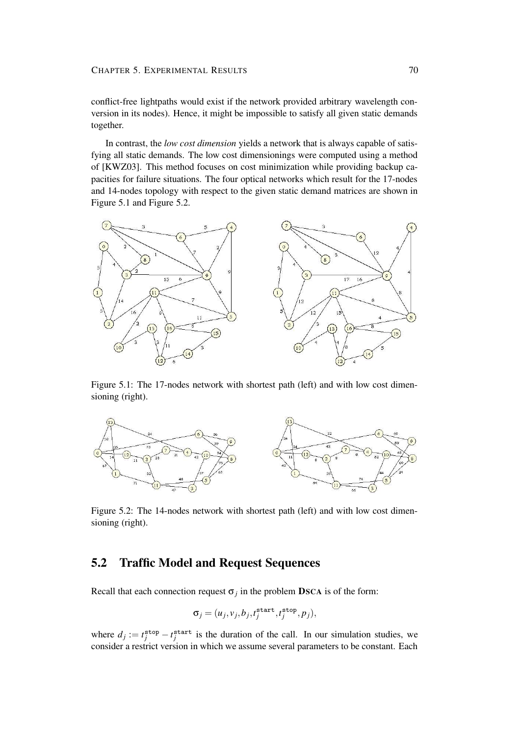#### CHAPTER 5. EXPERIMENTAL RESULTS 70

conflict-free lightpaths would exist if the network provided arbitrary wavelength conversion in its nodes). Hence, it might be impossible to satisfy all given static demands together.

In contrast, the *low cost dimension* yields a network that is always capable of satisfying all static demands. The low cost dimensionings were computed using a method of [KWZ03]. This method focuses on cost minimization while providing backup capacities for failure situations. The four optical networks which result for the 17-nodes and 14-nodes topology with respect to the given static demand matrices are shown in Figure 5.1 and Figure 5.2.



Figure 5.1: The 17-nodes network with shortest path (left) and with low cost dimensioning (right).



Figure 5.2: The 14-nodes network with shortest path (left) and with low cost dimensioning (right).

### **5.2 Traffic Model and Request Sequences**

Recall that each connection request  $\sigma_j$  in the problem **DSCA** is of the form:

$$
\sigma_j = (u_j, v_j, b_j, t_j^{\text{start}}, t_j^{\text{stop}}, p_j),
$$

where  $d_j := t_j^{\text{stop}} - t_j^{\text{start}}$  is the duration of the call. In our simulation studies, we consider a restrict version in which we assume several parameters to be constant. Each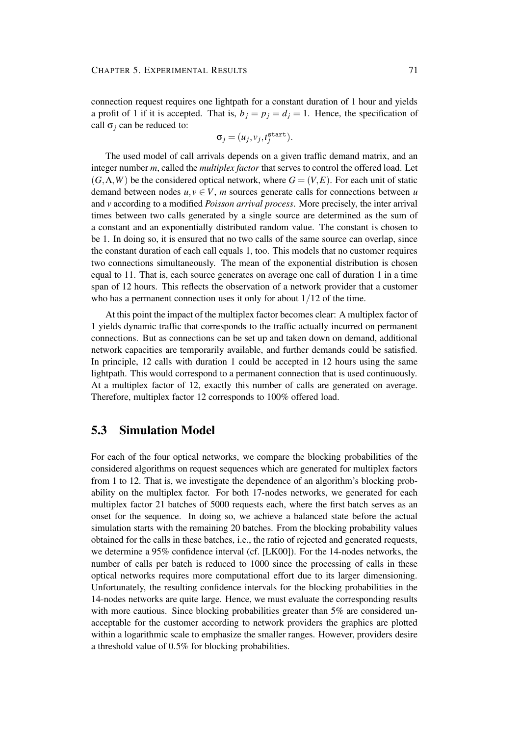connection request requires one lightpath for a constant duration of 1 hour and yields a profit of 1 if it is accepted. That is,  $b_j = p_j = d_j = 1$ . Hence, the specification of call  $\sigma_i$  can be reduced to:

$$
\sigma_j = (u_j, v_j, t_j^{\text{start}}).
$$

The used model of call arrivals depends on a given traffic demand matrix, and an integer number *m*, called the *multiplex factor* that serves to control the offered load. Let  $(G, \Lambda, W)$  be the considered optical network, where  $G = (V, E)$ . For each unit of static demand between nodes  $u, v \in V$ , *m* sources generate calls for connections between *u* and *v* according to a modified *Poisson arrival process*. More precisely, the inter arrival times between two calls generated by a single source are determined as the sum of a constant and an exponentially distributed random value. The constant is chosen to be 1. In doing so, it is ensured that no two calls of the same source can overlap, since the constant duration of each call equals 1, too. This models that no customer requires two connections simultaneously. The mean of the exponential distribution is chosen equal to 11. That is, each source generates on average one call of duration 1 in a time span of 12 hours. This reflects the observation of a network provider that a customer who has a permanent connection uses it only for about 1/12 of the time.

At this point the impact of the multiplex factor becomes clear: A multiplex factor of 1 yields dynamic traffic that corresponds to the traffic actually incurred on permanent connections. But as connections can be set up and taken down on demand, additional network capacities are temporarily available, and further demands could be satisfied. In principle, 12 calls with duration 1 could be accepted in 12 hours using the same lightpath. This would correspond to a permanent connection that is used continuously. At a multiplex factor of 12, exactly this number of calls are generated on average. Therefore, multiplex factor 12 corresponds to 100% offered load.

### **5.3 Simulation Model**

For each of the four optical networks, we compare the blocking probabilities of the considered algorithms on request sequences which are generated for multiplex factors from 1 to 12. That is, we investigate the dependence of an algorithm's blocking probability on the multiplex factor. For both 17-nodes networks, we generated for each multiplex factor 21 batches of 5000 requests each, where the first batch serves as an onset for the sequence. In doing so, we achieve a balanced state before the actual simulation starts with the remaining 20 batches. From the blocking probability values obtained for the calls in these batches, i.e., the ratio of rejected and generated requests, we determine a 95% confidence interval (cf. [LK00]). For the 14-nodes networks, the number of calls per batch is reduced to 1000 since the processing of calls in these optical networks requires more computational effort due to its larger dimensioning. Unfortunately, the resulting confidence intervals for the blocking probabilities in the 14-nodes networks are quite large. Hence, we must evaluate the corresponding results with more cautious. Since blocking probabilities greater than 5% are considered unacceptable for the customer according to network providers the graphics are plotted within a logarithmic scale to emphasize the smaller ranges. However, providers desire a threshold value of 0.5% for blocking probabilities.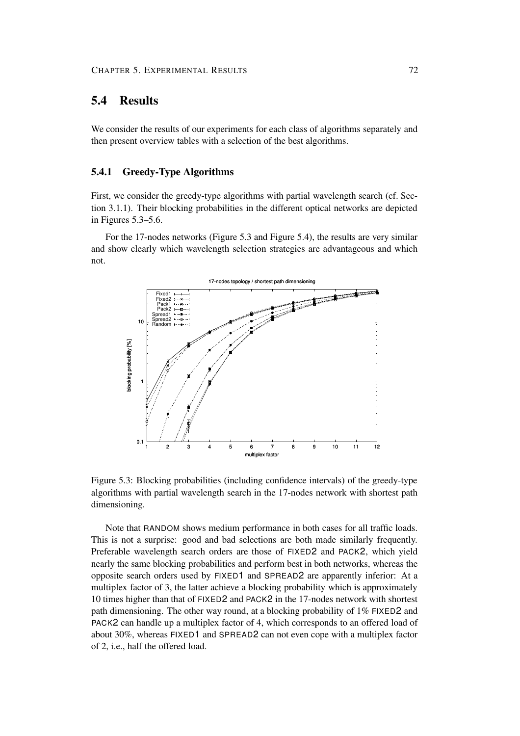### **5.4 Results**

We consider the results of our experiments for each class of algorithms separately and then present overview tables with a selection of the best algorithms.

### **5.4.1 Greedy-Type Algorithms**

First, we consider the greedy-type algorithms with partial wavelength search (cf. Section 3.1.1). Their blocking probabilities in the different optical networks are depicted in Figures 5.3–5.6.

For the 17-nodes networks (Figure 5.3 and Figure 5.4), the results are very similar and show clearly which wavelength selection strategies are advantageous and which not.



Figure 5.3: Blocking probabilities (including confidence intervals) of the greedy-type algorithms with partial wavelength search in the 17-nodes network with shortest path dimensioning.

Note that RANDOM shows medium performance in both cases for all traffic loads. This is not a surprise: good and bad selections are both made similarly frequently. Preferable wavelength search orders are those of FIXED2 and PACK2, which yield nearly the same blocking probabilities and perform best in both networks, whereas the opposite search orders used by FIXED1 and SPREAD2 are apparently inferior: At a multiplex factor of 3, the latter achieve a blocking probability which is approximately 10 times higher than that of FIXED2 and PACK2 in the 17-nodes network with shortest path dimensioning. The other way round, at a blocking probability of  $1\%$  FIXED2 and PACK2 can handle up a multiplex factor of 4, which corresponds to an offered load of about 30%, whereas FIXED1 and SPREAD2 can not even cope with a multiplex factor of 2, i.e., half the offered load.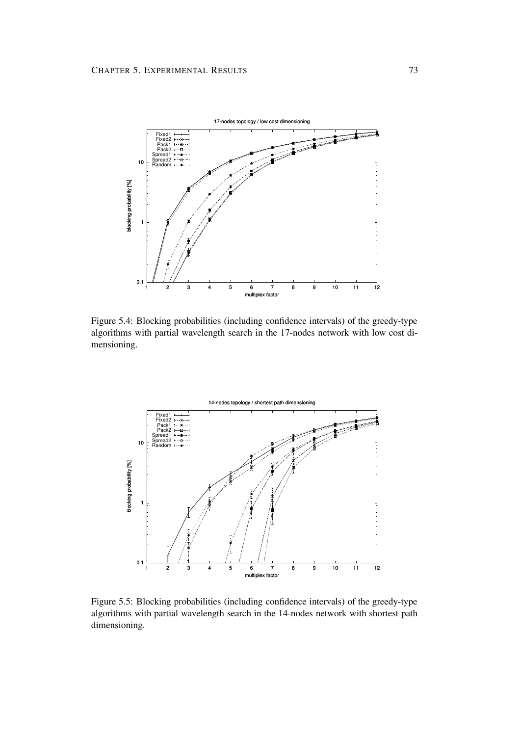

Figure 5.4: Blocking probabilities (including confidence intervals) of the greedy-type algorithms with partial wavelength search in the 17-nodes network with low cost dimensioning.



Figure 5.5: Blocking probabilities (including confidence intervals) of the greedy-type algorithms with partial wavelength search in the 14-nodes network with shortest path dimensioning.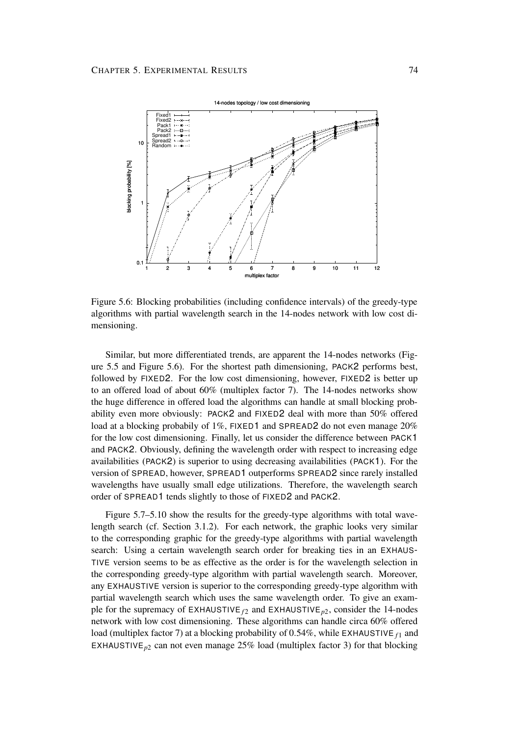

Figure 5.6: Blocking probabilities (including confidence intervals) of the greedy-type algorithms with partial wavelength search in the 14-nodes network with low cost dimensioning.

Similar, but more differentiated trends, are apparent the 14-nodes networks (Figure 5.5 and Figure 5.6). For the shortest path dimensioning, PACK2 performs best, followed by FIXED2. For the low cost dimensioning, however, FIXED2 is better up to an offered load of about 60% (multiplex factor 7). The 14-nodes networks show the huge difference in offered load the algorithms can handle at small blocking probability even more obviously: PACK2 and FIXED2 deal with more than 50% offered load at a blocking probabily of 1%, FIXED1 and SPREAD2 do not even manage 20% for the low cost dimensioning. Finally, let us consider the difference between PACK1 and PACK2. Obviously, defining the wavelength order with respect to increasing edge availabilities (PACK2) is superior to using decreasing availabilities (PACK1). For the version of SPREAD, however, SPREAD1 outperforms SPREAD2 since rarely installed wavelengths have usually small edge utilizations. Therefore, the wavelength search order of SPREAD1 tends slightly to those of FIXED2 and PACK2.

Figure 5.7–5.10 show the results for the greedy-type algorithms with total wavelength search (cf. Section 3.1.2). For each network, the graphic looks very similar to the corresponding graphic for the greedy-type algorithms with partial wavelength search: Using a certain wavelength search order for breaking ties in an EXHAUS-TIVE version seems to be as effective as the order is for the wavelength selection in the corresponding greedy-type algorithm with partial wavelength search. Moreover, any EXHAUSTIVE version is superior to the corresponding greedy-type algorithm with partial wavelength search which uses the same wavelength order. To give an example for the supremacy of EXHAUSTIVE  $f_2$  and EXHAUSTIVE<sub>p2</sub>, consider the 14-nodes network with low cost dimensioning. These algorithms can handle circa 60% offered load (multiplex factor 7) at a blocking probability of  $0.54\%$ , while EXHAUSTIVE  $f_1$  and EXHAUSTIVE<sub>p2</sub> can not even manage  $25\%$  load (multiplex factor 3) for that blocking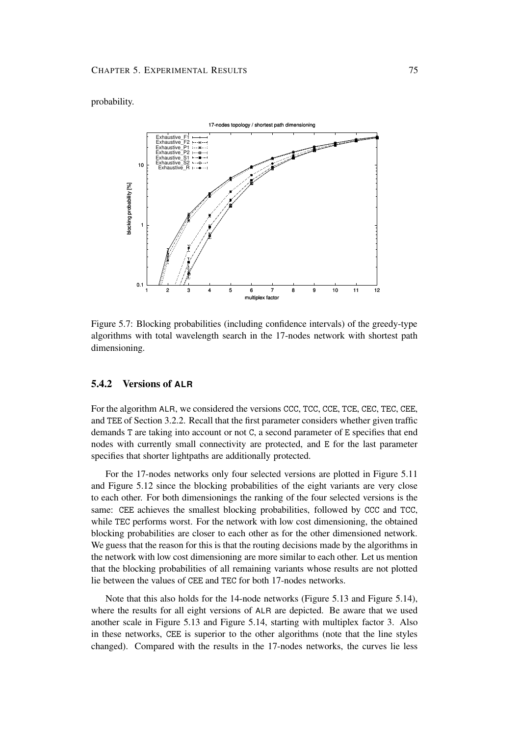### probability.



Figure 5.7: Blocking probabilities (including confidence intervals) of the greedy-type algorithms with total wavelength search in the 17-nodes network with shortest path dimensioning.

#### **5.4.2 Versions of ALR**

For the algorithm ALR, we considered the versions CCC, TCC, CCE, TCE, CEC, TEC, CEE, and TEE of Section 3.2.2. Recall that the first parameter considers whether given traffic demands T are taking into account or not C, a second parameter of E specifies that end nodes with currently small connectivity are protected, and E for the last parameter specifies that shorter lightpaths are additionally protected.

For the 17-nodes networks only four selected versions are plotted in Figure 5.11 and Figure 5.12 since the blocking probabilities of the eight variants are very close to each other. For both dimensionings the ranking of the four selected versions is the same: CEE achieves the smallest blocking probabilities, followed by CCC and TCC, while TEC performs worst. For the network with low cost dimensioning, the obtained blocking probabilities are closer to each other as for the other dimensioned network. We guess that the reason for this is that the routing decisions made by the algorithms in the network with low cost dimensioning are more similar to each other. Let us mention that the blocking probabilities of all remaining variants whose results are not plotted lie between the values of CEE and TEC for both 17-nodes networks.

Note that this also holds for the 14-node networks (Figure 5.13 and Figure 5.14), where the results for all eight versions of ALR are depicted. Be aware that we used another scale in Figure 5.13 and Figure 5.14, starting with multiplex factor 3. Also in these networks, CEE is superior to the other algorithms (note that the line styles changed). Compared with the results in the 17-nodes networks, the curves lie less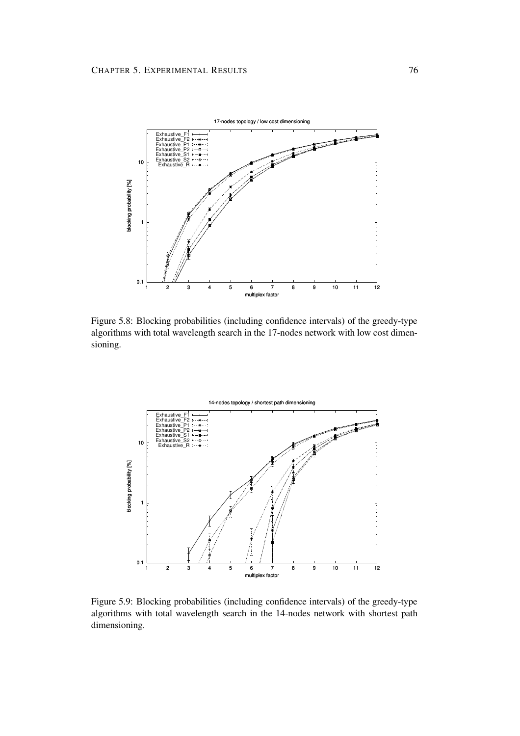

Figure 5.8: Blocking probabilities (including confidence intervals) of the greedy-type algorithms with total wavelength search in the 17-nodes network with low cost dimensioning.



Figure 5.9: Blocking probabilities (including confidence intervals) of the greedy-type algorithms with total wavelength search in the 14-nodes network with shortest path dimensioning.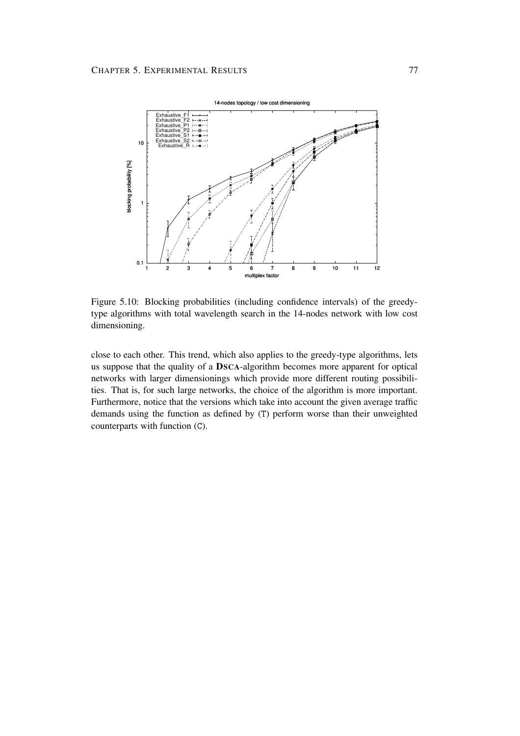

Figure 5.10: Blocking probabilities (including confidence intervals) of the greedytype algorithms with total wavelength search in the 14-nodes network with low cost dimensioning.

close to each other. This trend, which also applies to the greedy-type algorithms, lets us suppose that the quality of a **DSCA**-algorithm becomes more apparent for optical networks with larger dimensionings which provide more different routing possibilities. That is, for such large networks, the choice of the algorithm is more important. Furthermore, notice that the versions which take into account the given average traffic demands using the function as defined by (T) perform worse than their unweighted counterparts with function (C).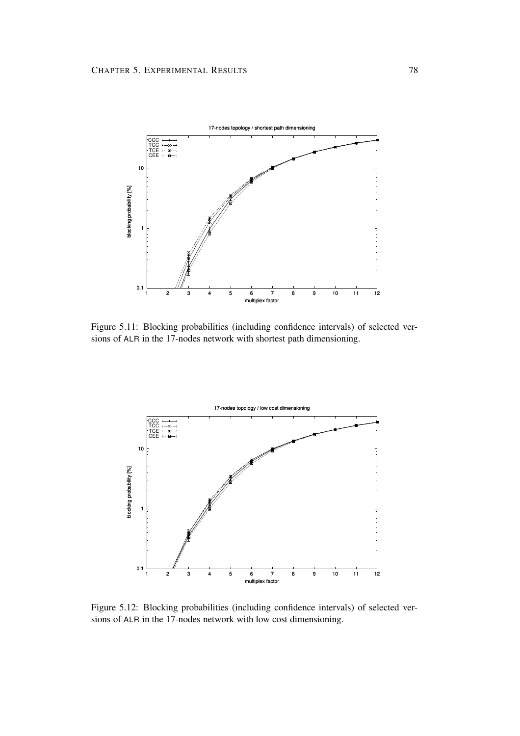

Figure 5.11: Blocking probabilities (including confidence intervals) of selected versions of ALR in the 17-nodes network with shortest path dimensioning.



Figure 5.12: Blocking probabilities (including confidence intervals) of selected versions of ALR in the 17-nodes network with low cost dimensioning.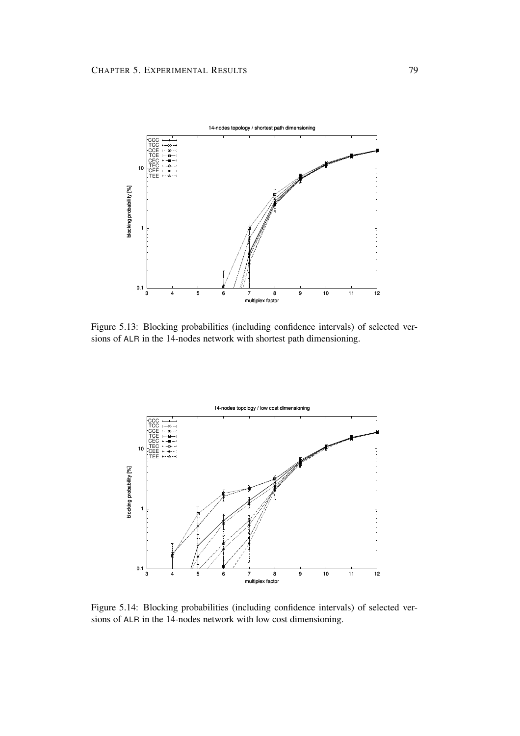

Figure 5.13: Blocking probabilities (including confidence intervals) of selected versions of ALR in the 14-nodes network with shortest path dimensioning.



Figure 5.14: Blocking probabilities (including confidence intervals) of selected versions of ALR in the 14-nodes network with low cost dimensioning.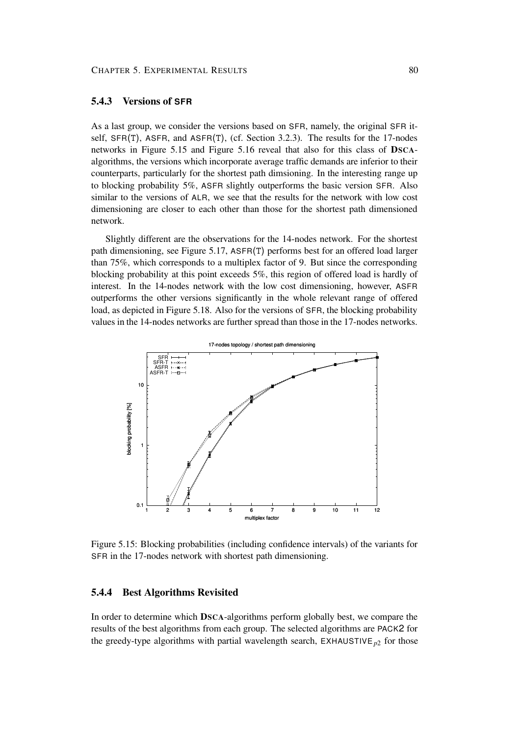#### **5.4.3 Versions of SFR**

As a last group, we consider the versions based on SFR, namely, the original SFR itself, SFR(T), ASFR, and ASFR(T), (cf. Section 3.2.3). The results for the 17-nodes networks in Figure 5.15 and Figure 5.16 reveal that also for this class of **DSCA**algorithms, the versions which incorporate average traffic demands are inferior to their counterparts, particularly for the shortest path dimsioning. In the interesting range up to blocking probability 5%, ASFR slightly outperforms the basic version SFR. Also similar to the versions of ALR, we see that the results for the network with low cost dimensioning are closer to each other than those for the shortest path dimensioned network.

Slightly different are the observations for the 14-nodes network. For the shortest path dimensioning, see Figure 5.17, ASFR(T) performs best for an offered load larger than 75%, which corresponds to a multiplex factor of 9. But since the corresponding blocking probability at this point exceeds 5%, this region of offered load is hardly of interest. In the 14-nodes network with the low cost dimensioning, however, ASFR outperforms the other versions significantly in the whole relevant range of offered load, as depicted in Figure 5.18. Also for the versions of SFR, the blocking probability values in the 14-nodes networks are further spread than those in the 17-nodes networks.



Figure 5.15: Blocking probabilities (including confidence intervals) of the variants for SFR in the 17-nodes network with shortest path dimensioning.

### **5.4.4 Best Algorithms Revisited**

In order to determine which **DSCA**-algorithms perform globally best, we compare the results of the best algorithms from each group. The selected algorithms are PACK2 for the greedy-type algorithms with partial wavelength search,  $EXHAUSTIVE_{p2}$  for those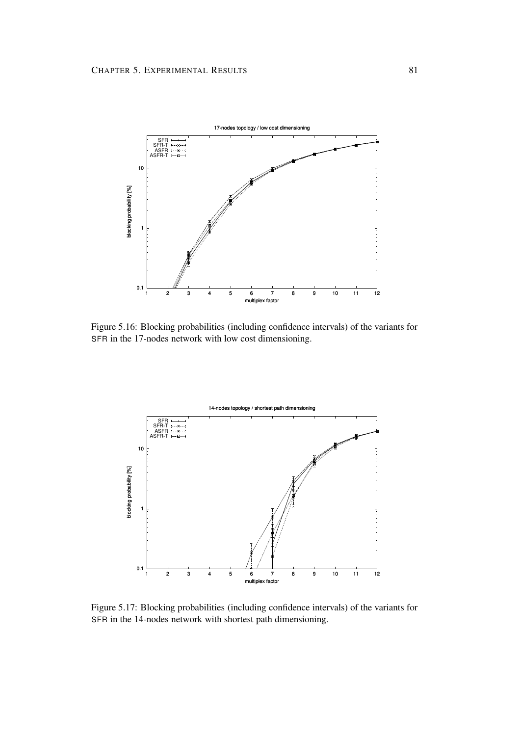

Figure 5.16: Blocking probabilities (including confidence intervals) of the variants for SFR in the 17-nodes network with low cost dimensioning.



Figure 5.17: Blocking probabilities (including confidence intervals) of the variants for SFR in the 14-nodes network with shortest path dimensioning.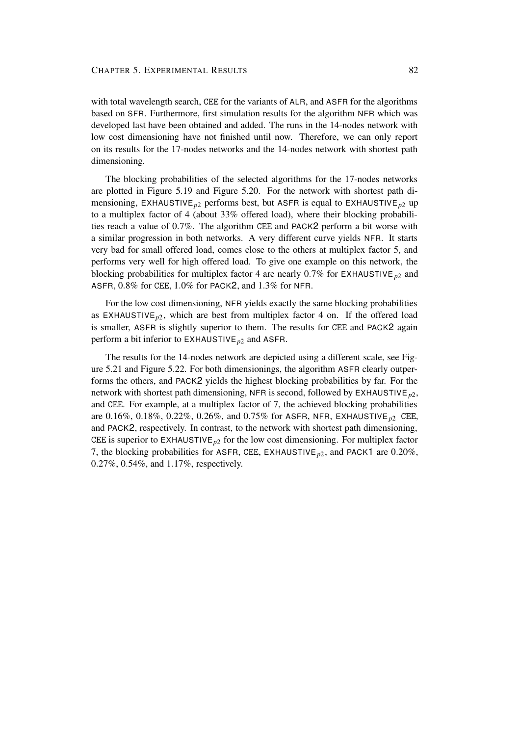with total wavelength search, CEE for the variants of ALR, and ASFR for the algorithms based on SFR. Furthermore, first simulation results for the algorithm NFR which was developed last have been obtained and added. The runs in the 14-nodes network with low cost dimensioning have not finished until now. Therefore, we can only report on its results for the 17-nodes networks and the 14-nodes network with shortest path dimensioning.

The blocking probabilities of the selected algorithms for the 17-nodes networks are plotted in Figure 5.19 and Figure 5.20. For the network with shortest path dimensioning, EXHAUSTIVE*p*<sup>2</sup> performs best, but ASFR is equal to EXHAUSTIVE*p*<sup>2</sup> up to a multiplex factor of 4 (about 33% offered load), where their blocking probabilities reach a value of 0.7%. The algorithm CEE and PACK2 perform a bit worse with a similar progression in both networks. A very different curve yields NFR. It starts very bad for small offered load, comes close to the others at multiplex factor 5, and performs very well for high offered load. To give one example on this network, the blocking probabilities for multiplex factor 4 are nearly  $0.7\%$  for EXHAUSTIVE  $_{p2}$  and ASFR, 0.8% for CEE, 1.0% for PACK2, and 1.3% for NFR.

For the low cost dimensioning, NFR yields exactly the same blocking probabilities as EXHAUSTIVE<sub>p2</sub>, which are best from multiplex factor 4 on. If the offered load is smaller, ASFR is slightly superior to them. The results for CEE and PACK2 again perform a bit inferior to EXHAUSTIVE*p*<sup>2</sup> and ASFR.

The results for the 14-nodes network are depicted using a different scale, see Figure 5.21 and Figure 5.22. For both dimensionings, the algorithm ASFR clearly outperforms the others, and PACK2 yields the highest blocking probabilities by far. For the network with shortest path dimensioning, NFR is second, followed by EXHAUSTIVE *<sup>p</sup>*2, and CEE. For example, at a multiplex factor of 7, the achieved blocking probabilities are 0.16%, 0.18%, 0.22%, 0.26%, and 0.75% for ASFR, NFR, EXHAUSTIVE*p*<sup>2</sup> CEE, and PACK2, respectively. In contrast, to the network with shortest path dimensioning, CEE is superior to  $EXHAUSTIVE_{p2}$  for the low cost dimensioning. For multiplex factor 7, the blocking probabilities for ASFR, CEE, EXHAUSTIVE*p*2, and PACK1 are 0.20%, 0.27%, 0.54%, and 1.17%, respectively.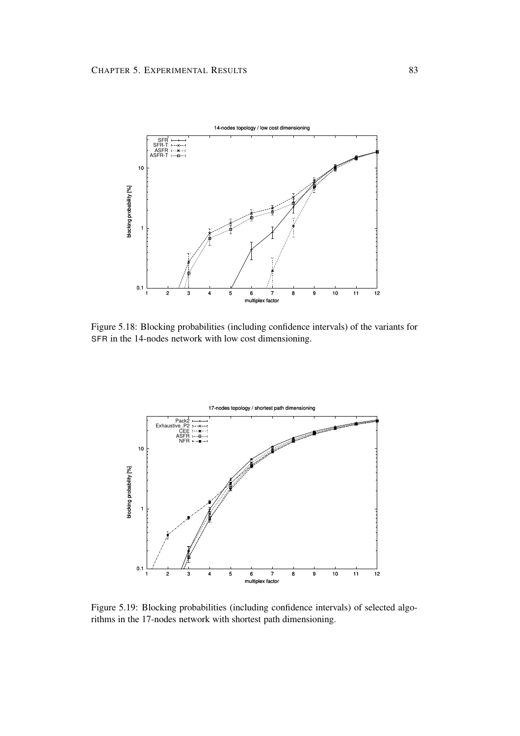

Figure 5.18: Blocking probabilities (including confidence intervals) of the variants for SFR in the 14-nodes network with low cost dimensioning.



Figure 5.19: Blocking probabilities (including confidence intervals) of selected algorithms in the 17-nodes network with shortest path dimensioning.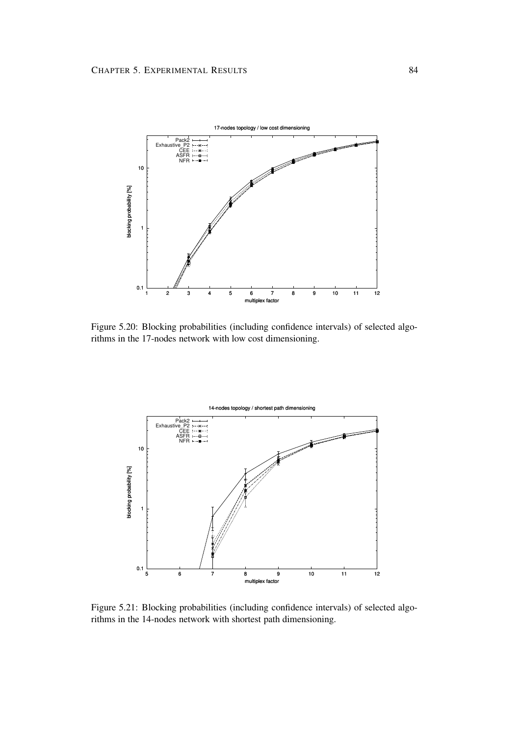

Figure 5.20: Blocking probabilities (including confidence intervals) of selected algorithms in the 17-nodes network with low cost dimensioning.



Figure 5.21: Blocking probabilities (including confidence intervals) of selected algorithms in the 14-nodes network with shortest path dimensioning.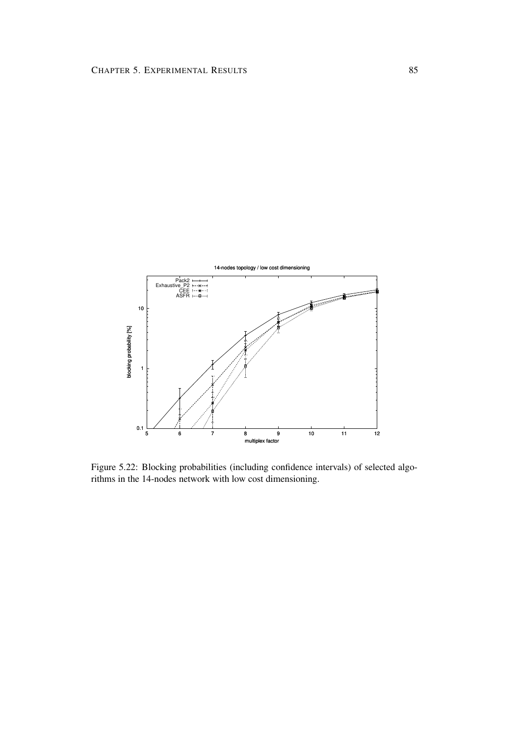

Figure 5.22: Blocking probabilities (including confidence intervals) of selected algorithms in the 14-nodes network with low cost dimensioning.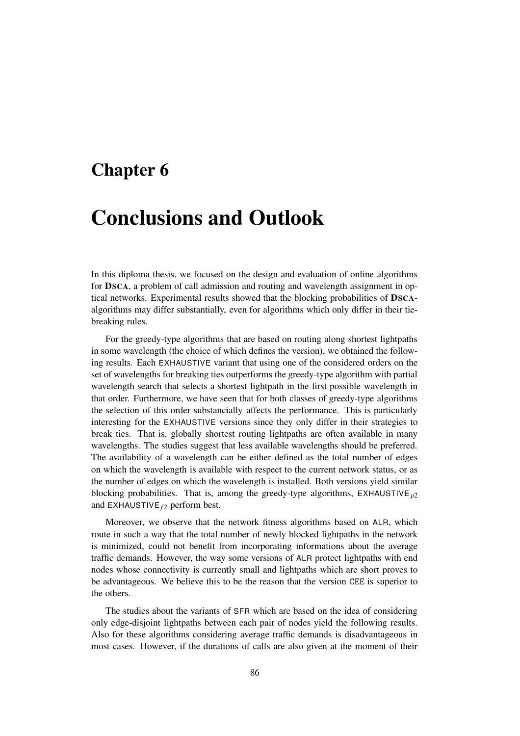### **Chapter 6**

# **Conclusions and Outlook**

In this diploma thesis, we focused on the design and evaluation of online algorithms for **DSCA**, a problem of call admission and routing and wavelength assignment in optical networks. Experimental results showed that the blocking probabilities of **DSCA**algorithms may differ substantially, even for algorithms which only differ in their tiebreaking rules.

For the greedy-type algorithms that are based on routing along shortest lightpaths in some wavelength (the choice of which defines the version), we obtained the following results. Each EXHAUSTIVE variant that using one of the considered orders on the set of wavelengths for breaking ties outperforms the greedy-type algorithm with partial wavelength search that selects a shortest lightpath in the first possible wavelength in that order. Furthermore, we have seen that for both classes of greedy-type algorithms the selection of this order substancially affects the performance. This is particularly interesting for the EXHAUSTIVE versions since they only differ in their strategies to break ties. That is, globally shortest routing lightpaths are often available in many wavelengths. The studies suggest that less available wavelengths should be preferred. The availability of a wavelength can be either defined as the total number of edges on which the wavelength is available with respect to the current network status, or as the number of edges on which the wavelength is installed. Both versions yield similar blocking probabilities. That is, among the greedy-type algorithms,  $EXHAUSTIVE_{p2}$ and EXHAUSTIVE  $f_2$  perform best.

Moreover, we observe that the network fitness algorithms based on ALR, which route in such a way that the total number of newly blocked lightpaths in the network is minimized, could not benefit from incorporating informations about the average traffic demands. However, the way some versions of ALR protect lightpaths with end nodes whose connectivity is currently small and lightpaths which are short proves to be advantageous. We believe this to be the reason that the version CEE is superior to the others.

The studies about the variants of SFR which are based on the idea of considering only edge-disjoint lightpaths between each pair of nodes yield the following results. Also for these algorithms considering average traffic demands is disadvantageous in most cases. However, if the durations of calls are also given at the moment of their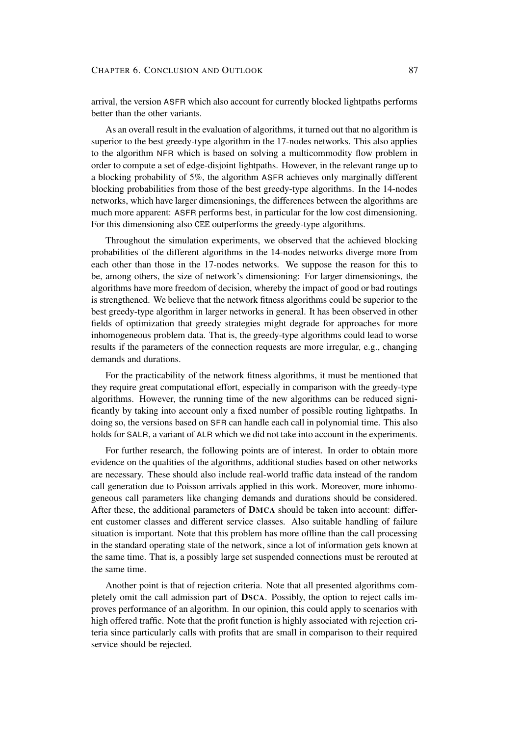arrival, the version ASFR which also account for currently blocked lightpaths performs better than the other variants.

As an overall result in the evaluation of algorithms, it turned out that no algorithm is superior to the best greedy-type algorithm in the 17-nodes networks. This also applies to the algorithm NFR which is based on solving a multicommodity flow problem in order to compute a set of edge-disjoint lightpaths. However, in the relevant range up to a blocking probability of 5%, the algorithm ASFR achieves only marginally different blocking probabilities from those of the best greedy-type algorithms. In the 14-nodes networks, which have larger dimensionings, the differences between the algorithms are much more apparent: ASFR performs best, in particular for the low cost dimensioning. For this dimensioning also CEE outperforms the greedy-type algorithms.

Throughout the simulation experiments, we observed that the achieved blocking probabilities of the different algorithms in the 14-nodes networks diverge more from each other than those in the 17-nodes networks. We suppose the reason for this to be, among others, the size of network's dimensioning: For larger dimensionings, the algorithms have more freedom of decision, whereby the impact of good or bad routings is strengthened. We believe that the network fitness algorithms could be superior to the best greedy-type algorithm in larger networks in general. It has been observed in other fields of optimization that greedy strategies might degrade for approaches for more inhomogeneous problem data. That is, the greedy-type algorithms could lead to worse results if the parameters of the connection requests are more irregular, e.g., changing demands and durations.

For the practicability of the network fitness algorithms, it must be mentioned that they require great computational effort, especially in comparison with the greedy-type algorithms. However, the running time of the new algorithms can be reduced significantly by taking into account only a fixed number of possible routing lightpaths. In doing so, the versions based on SFR can handle each call in polynomial time. This also holds for SALR, a variant of ALR which we did not take into account in the experiments.

For further research, the following points are of interest. In order to obtain more evidence on the qualities of the algorithms, additional studies based on other networks are necessary. These should also include real-world traffic data instead of the random call generation due to Poisson arrivals applied in this work. Moreover, more inhomogeneous call parameters like changing demands and durations should be considered. After these, the additional parameters of **DMCA** should be taken into account: different customer classes and different service classes. Also suitable handling of failure situation is important. Note that this problem has more offline than the call processing in the standard operating state of the network, since a lot of information gets known at the same time. That is, a possibly large set suspended connections must be rerouted at the same time.

Another point is that of rejection criteria. Note that all presented algorithms completely omit the call admission part of **DSCA**. Possibly, the option to reject calls improves performance of an algorithm. In our opinion, this could apply to scenarios with high offered traffic. Note that the profit function is highly associated with rejection criteria since particularly calls with profits that are small in comparison to their required service should be rejected.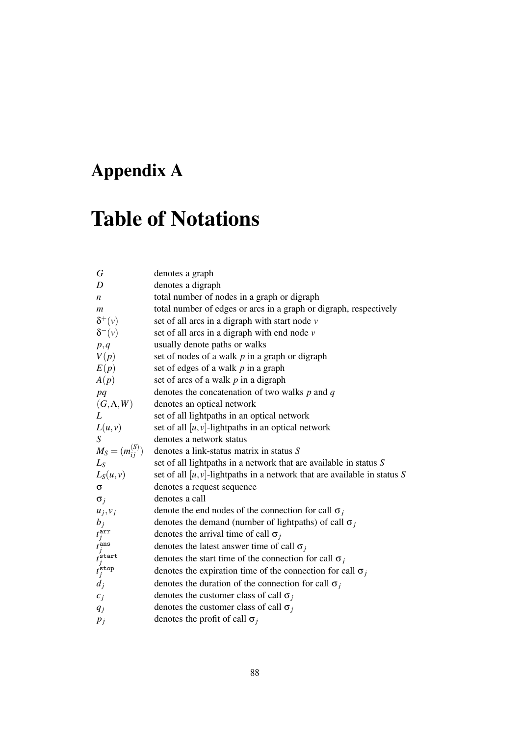# **Appendix A**

# **Table of Notations**

| G                                                                                                | denotes a graph                                                             |
|--------------------------------------------------------------------------------------------------|-----------------------------------------------------------------------------|
| D                                                                                                | denotes a digraph                                                           |
| $\boldsymbol{n}$                                                                                 | total number of nodes in a graph or digraph                                 |
| $\boldsymbol{m}$                                                                                 | total number of edges or arcs in a graph or digraph, respectively           |
| $\delta^+(\nu)$                                                                                  | set of all arcs in a digraph with start node $\nu$                          |
| $\delta^-(v)$                                                                                    | set of all arcs in a digraph with end node $\nu$                            |
| p, q                                                                                             | usually denote paths or walks                                               |
| V(p)                                                                                             | set of nodes of a walk $p$ in a graph or digraph                            |
| E(p)                                                                                             | set of edges of a walk $p$ in a graph                                       |
| A(p)                                                                                             | set of arcs of a walk $p$ in a digraph                                      |
| pq                                                                                               | denotes the concatenation of two walks $p$ and $q$                          |
| $(G,\Lambda,W)$                                                                                  | denotes an optical network                                                  |
| L                                                                                                | set of all lightpaths in an optical network                                 |
| L(u, v)                                                                                          | set of all $[u, v]$ -lightpaths in an optical network                       |
| S                                                                                                | denotes a network status                                                    |
| $M_S = (m_{ij}^{(S)})$                                                                           | denotes a link-status matrix in status S                                    |
| $L_S$                                                                                            | set of all lightpaths in a network that are available in status S           |
| $L_S(u,v)$                                                                                       | set of all $[u, v]$ -lightpaths in a network that are available in status S |
| $\sigma$                                                                                         | denotes a request sequence                                                  |
| $\sigma_i$                                                                                       | denotes a call                                                              |
| $u_j, v_j$                                                                                       | denote the end nodes of the connection for call $\sigma_i$                  |
|                                                                                                  | denotes the demand (number of lightpaths) of call $\sigma_i$                |
|                                                                                                  | denotes the arrival time of call $\sigma_i$                                 |
|                                                                                                  | denotes the latest answer time of call $\sigma_j$                           |
|                                                                                                  | denotes the start time of the connection for call $\sigma_j$                |
| $b_j$<br>$t_j^{\text{arr}}$<br>$t_j^{\text{ans}}$<br>$t_j^{\text{start}}$<br>$t_j^{\text{stop}}$ | denotes the expiration time of the connection for call $\sigma_j$           |
| $d_j$                                                                                            | denotes the duration of the connection for call $\sigma_j$                  |
| $c_j$                                                                                            | denotes the customer class of call $\sigma_j$                               |
| $q_j$                                                                                            | denotes the customer class of call $\sigma_i$                               |
| $p_j$                                                                                            | denotes the profit of call $\sigma_j$                                       |
|                                                                                                  |                                                                             |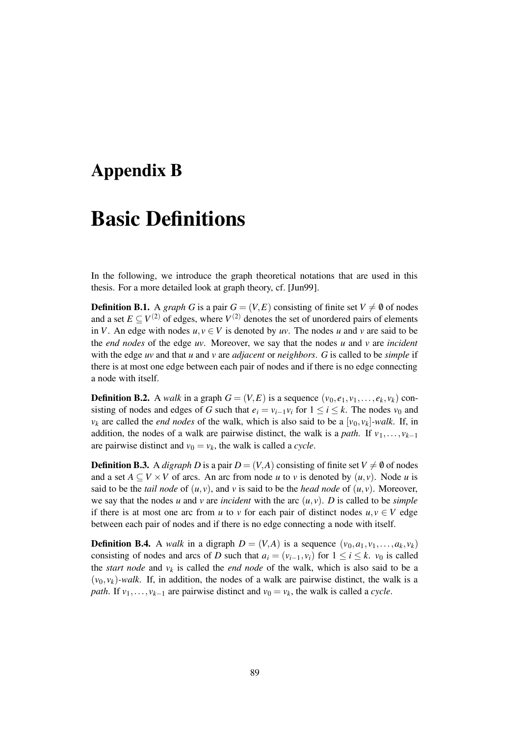### **Appendix B**

## **Basic Definitions**

In the following, we introduce the graph theoretical notations that are used in this thesis. For a more detailed look at graph theory, cf. [Jun99].

**Definition B.1.** A *graph G* is a pair  $G = (V, E)$  consisting of finite set  $V \neq \emptyset$  of nodes and a set  $E \subseteq V^{(2)}$  of edges, where  $V^{(2)}$  denotes the set of unordered pairs of elements in *V*. An edge with nodes  $u, v \in V$  is denoted by *uv*. The nodes *u* and *v* are said to be the *end nodes* of the edge *uv*. Moreover, we say that the nodes *u* and *v* are *incident* with the edge *uv* and that *u* and *v* are *adjacent* or *neighbors*. *G* is called to be *simple* if there is at most one edge between each pair of nodes and if there is no edge connecting a node with itself.

**Definition B.2.** A *walk* in a graph  $G = (V, E)$  is a sequence  $(v_0, e_1, v_1, \ldots, e_k, v_k)$  consisting of nodes and edges of *G* such that  $e_i = v_{i-1}v_i$  for  $1 \le i \le k$ . The nodes  $v_0$  and  $v_k$  are called the *end nodes* of the walk, which is also said to be a  $[v_0, v_k]$ *-walk*. If, in addition, the nodes of a walk are pairwise distinct, the walk is a *path*. If  $v_1, \ldots, v_{k-1}$ are pairwise distinct and  $v_0 = v_k$ , the walk is called a *cycle*.

**Definition B.3.** A *digraph D* is a pair  $D = (V, A)$  consisting of finite set  $V \neq \emptyset$  of nodes and a set  $A \subseteq V \times V$  of arcs. An arc from node *u* to *v* is denoted by  $(u, v)$ . Node *u* is said to be the *tail node* of  $(u, v)$ , and  $v$  is said to be the *head node* of  $(u, v)$ . Moreover, we say that the nodes *u* and *v* are *incident* with the arc  $(u, v)$ . *D* is called to be *simple* if there is at most one arc from *u* to *v* for each pair of distinct nodes  $u, v \in V$  edge between each pair of nodes and if there is no edge connecting a node with itself.

**Definition B.4.** A *walk* in a digraph  $D = (V, A)$  is a sequence  $(v_0, a_1, v_1, \ldots, a_k, v_k)$ consisting of nodes and arcs of *D* such that  $a_i = (v_{i-1}, v_i)$  for  $1 \le i \le k$ .  $v_0$  is called the *start* node and  $v_k$  is called the *end* node of the walk, which is also said to be a  $(v_0, v_k)$ -walk. If, in addition, the nodes of a walk are pairwise distinct, the walk is a *path*. If  $v_1, \ldots, v_{k-1}$  are pairwise distinct and  $v_0 = v_k$ , the walk is called a *cycle*.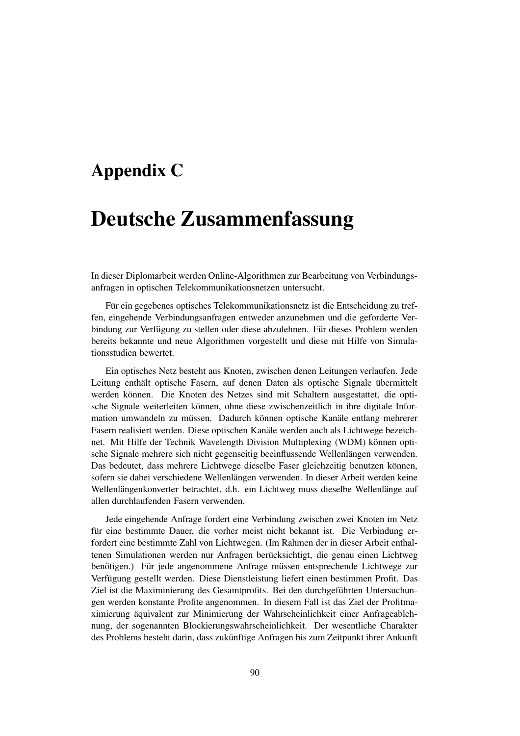### **Appendix C**

# **Deutsche Zusammenfassung**

In dieser Diplomarbeit werden Online-Algorithmen zur Bearbeitung von Verbindungsanfragen in optischen Telekommunikationsnetzen untersucht.

Für ein gegebenes optisches Telekommunikationsnetz ist die Entscheidung zu treffen, eingehende Verbindungsanfragen entweder anzunehmen und die geforderte Verbindung zur Verfügung zu stellen oder diese abzulehnen. Für dieses Problem werden bereits bekannte und neue Algorithmen vorgestellt und diese mit Hilfe von Simulationsstudien bewertet.

Ein optisches Netz besteht aus Knoten, zwischen denen Leitungen verlaufen. Jede Leitung enthält optische Fasern, auf denen Daten als optische Signale übermittelt werden können. Die Knoten des Netzes sind mit Schaltern ausgestattet, die optische Signale weiterleiten können, ohne diese zwischenzeitlich in ihre digitale Information umwandeln zu müssen. Dadurch können optische Kanäle entlang mehrerer Fasern realisiert werden. Diese optischen Kanale werden auch als Lichtwege bezeichnet. Mit Hilfe der Technik Wavelength Division Multiplexing (WDM) können optische Signale mehrere sich nicht gegenseitig beeinflussende Wellenlängen verwenden. Das bedeutet, dass mehrere Lichtwege dieselbe Faser gleichzeitig benutzen können, sofern sie dabei verschiedene Wellenlängen verwenden. In dieser Arbeit werden keine Wellenlängenkonverter betrachtet, d.h. ein Lichtweg muss dieselbe Wellenlänge auf allen durchlaufenden Fasern verwenden.

Jede eingehende Anfrage fordert eine Verbindung zwischen zwei Knoten im Netz für eine bestimmte Dauer, die vorher meist nicht bekannt ist. Die Verbindung erfordert eine bestimmte Zahl von Lichtwegen. (Im Rahmen der in dieser Arbeit enthaltenen Simulationen werden nur Anfragen berücksichtigt, die genau einen Lichtweg benötigen.) Für jede angenommene Anfrage müssen entsprechende Lichtwege zur Verfügung gestellt werden. Diese Dienstleistung liefert einen bestimmen Profit. Das Ziel ist die Maximinierung des Gesamtprofits. Bei den durchgeführten Untersuchungen werden konstante Profite angenommen. In diesem Fall ist das Ziel der Profitmaximierung äquivalent zur Minimierung der Wahrscheinlichkeit einer Anfrageablehnung, der sogenannten Blockierungswahrscheinlichkeit. Der wesentliche Charakter des Problems besteht darin, dass zukünftige Anfragen bis zum Zeitpunkt ihrer Ankunft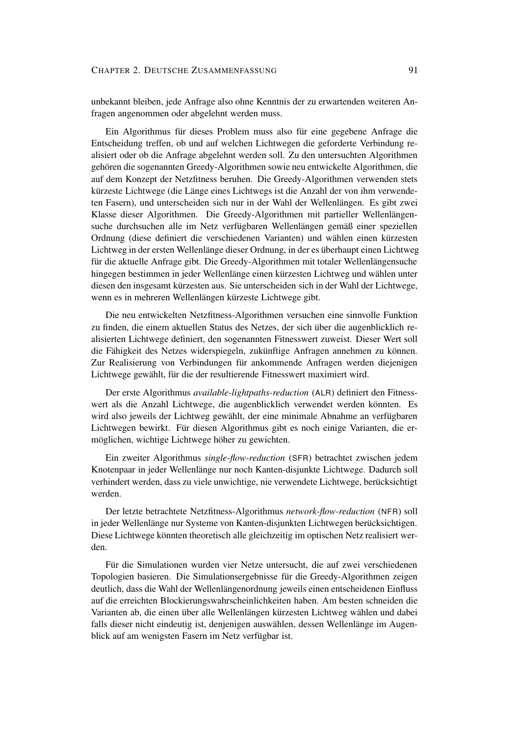unbekannt bleiben, jede Anfrage also ohne Kenntnis der zu erwartenden weiteren Anfragen angenommen oder abgelehnt werden muss.

Ein Algorithmus für dieses Problem muss also für eine gegebene Anfrage die Entscheidung treffen, ob und auf welchen Lichtwegen die geforderte Verbindung realisiert oder ob die Anfrage abgelehnt werden soll. Zu den untersuchten Algorithmen gehören die sogenannten Greedy-Algorithmen sowie neu entwickelte Algorithmen, die auf dem Konzept der Netzfitness beruhen. Die Greedy-Algorithmen verwenden stets kürzeste Lichtwege (die Länge eines Lichtwegs ist die Anzahl der von ihm verwendeten Fasern), und unterscheiden sich nur in der Wahl der Wellenlängen. Es gibt zwei Klasse dieser Algorithmen. Die Greedy-Algorithmen mit partieller Wellenlängensuche durchsuchen alle im Netz verfügbaren Wellenlängen gemäß einer speziellen Ordnung (diese definiert die verschiedenen Varianten) und wählen einen kürzesten Lichtweg in der ersten Wellenlänge dieser Ordnung, in der es überhaupt einen Lichtweg für die aktuelle Anfrage gibt. Die Greedy-Algorithmen mit totaler Wellenlängensuche hingegen bestimmen in jeder Wellenlänge einen kürzesten Lichtweg und wählen unter diesen den insgesamt kürzesten aus. Sie unterscheiden sich in der Wahl der Lichtwege, wenn es in mehreren Wellenlängen kürzeste Lichtwege gibt.

Die neu entwickelten Netzfitness-Algorithmen versuchen eine sinnvolle Funktion zu finden, die einem aktuellen Status des Netzes, der sich über die augenblicklich realisierten Lichtwege definiert, den sogenannten Fitnesswert zuweist. Dieser Wert soll die Fähigkeit des Netzes widerspiegeln, zukünftige Anfragen annehmen zu können. Zur Realisierung von Verbindungen für ankommende Anfragen werden diejenigen Lichtwege gewählt, für die der resultierende Fitnesswert maximiert wird.

Der erste Algorithmus *available-lightpaths-reduction* (ALR) definiert den Fitnesswert als die Anzahl Lichtwege, die augenblicklich verwendet werden könnten. Es wird also jeweils der Lichtweg gewählt, der eine minimale Abnahme an verfügbaren Lichtwegen bewirkt. Für diesen Algorithmus gibt es noch einige Varianten, die ermöglichen, wichtige Lichtwege höher zu gewichten.

Ein zweiter Algorithmus *single-flow-reduction* (SFR) betrachtet zwischen jedem Knotenpaar in jeder Wellenlänge nur noch Kanten-disjunkte Lichtwege. Dadurch soll verhindert werden, dass zu viele unwichtige, nie verwendete Lichtwege, berücksichtigt werden.

Der letzte betrachtete Netzfitness-Algorithmus *network-flow-reduction* (NFR) soll in jeder Wellenlänge nur Systeme von Kanten-disjunkten Lichtwegen berücksichtigen. Diese Lichtwege könnten theoretisch alle gleichzeitig im optischen Netz realisiert werden.

Für die Simulationen wurden vier Netze untersucht, die auf zwei verschiedenen Topologien basieren. Die Simulationsergebnisse für die Greedy-Algorithmen zeigen deutlich, dass die Wahl der Wellenlängenordnung jeweils einen entscheidenen Einfluss auf die erreichten Blockierungswahrscheinlichkeiten haben. Am besten schneiden die Varianten ab, die einen über alle Wellenlängen kürzesten Lichtweg wählen und dabei falls dieser nicht eindeutig ist, denjenigen auswählen, dessen Wellenlänge im Augenblick auf am wenigsten Fasern im Netz verfügbar ist.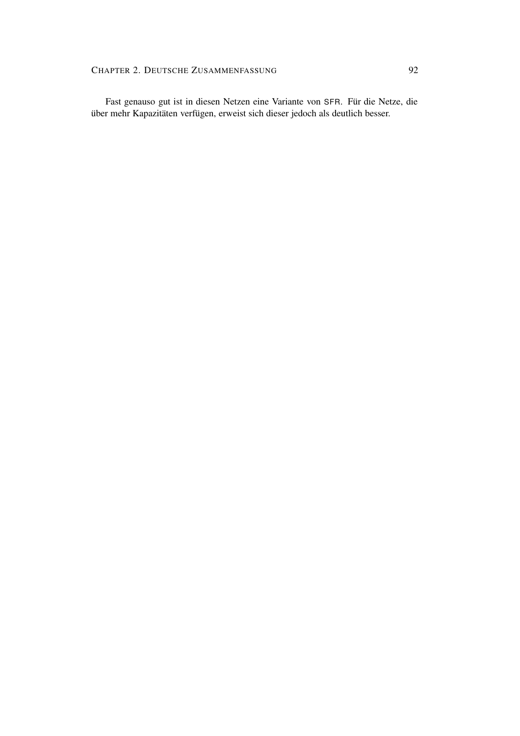Fast genauso gut ist in diesen Netzen eine Variante von SFR. Für die Netze, die über mehr Kapazitäten verfügen, erweist sich dieser jedoch als deutlich besser.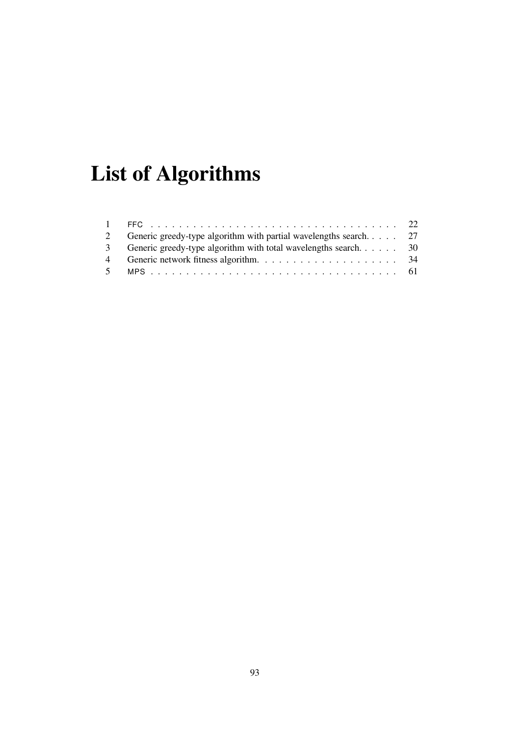# **List of Algorithms**

|   | Generic greedy-type algorithm with partial wavelengths search 27 |  |
|---|------------------------------------------------------------------|--|
|   | 3 Generic greedy-type algorithm with total wavelengths search 30 |  |
| 4 |                                                                  |  |
|   |                                                                  |  |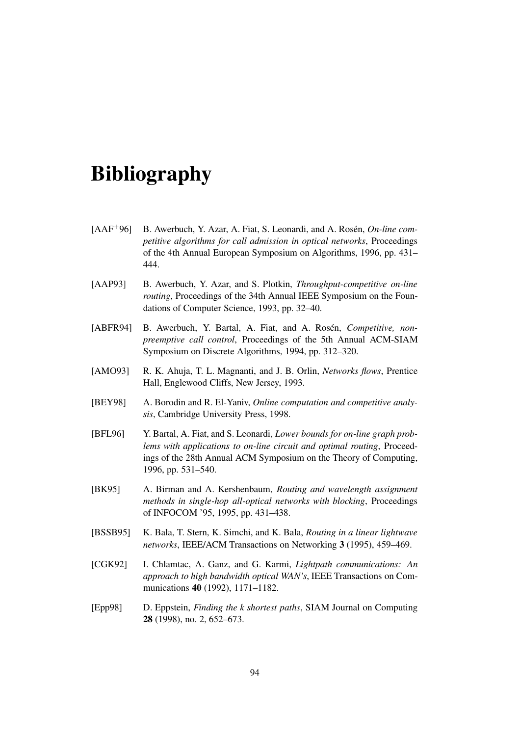# **Bibliography**

- [AAF<sup>+96]</sup> B. Awerbuch, Y. Azar, A. Fiat, S. Leonardi, and A. Rosén, *On-line competitive algorithms for call admission in optical networks*, Proceedings of the 4th Annual European Symposium on Algorithms, 1996, pp. 431– 444.
- [AAP93] B. Awerbuch, Y. Azar, and S. Plotkin, *Throughput-competitive on-line routing*, Proceedings of the 34th Annual IEEE Symposium on the Foundations of Computer Science, 1993, pp. 32–40.
- [ABFR94] B. Awerbuch, Y. Bartal, A. Fiat, and A. Rosén, *Competitive*, *nonpreemptive call control*, Proceedings of the 5th Annual ACM-SIAM Symposium on Discrete Algorithms, 1994, pp. 312–320.
- [AMO93] R. K. Ahuja, T. L. Magnanti, and J. B. Orlin, *Networks flows*, Prentice Hall, Englewood Cliffs, New Jersey, 1993.
- [BEY98] A. Borodin and R. El-Yaniv, *Online computation and competitive analysis*, Cambridge University Press, 1998.
- [BFL96] Y. Bartal, A. Fiat, and S. Leonardi, *Lower bounds for on-line graph problems with applications to on-line circuit and optimal routing*, Proceedings of the 28th Annual ACM Symposium on the Theory of Computing, 1996, pp. 531–540.
- [BK95] A. Birman and A. Kershenbaum, *Routing and wavelength assignment methods in single-hop all-optical networks with blocking*, Proceedings of INFOCOM '95, 1995, pp. 431–438.
- [BSSB95] K. Bala, T. Stern, K. Simchi, and K. Bala, *Routing in a linear lightwave networks*, IEEE/ACM Transactions on Networking **3** (1995), 459–469.
- [CGK92] I. Chlamtac, A. Ganz, and G. Karmi, *Lightpath communications: An approach to high bandwidth optical WAN's*, IEEE Transactions on Communications **40** (1992), 1171–1182.
- [Epp98] D. Eppstein, *Finding the k shortest paths*, SIAM Journal on Computing **28** (1998), no. 2, 652–673.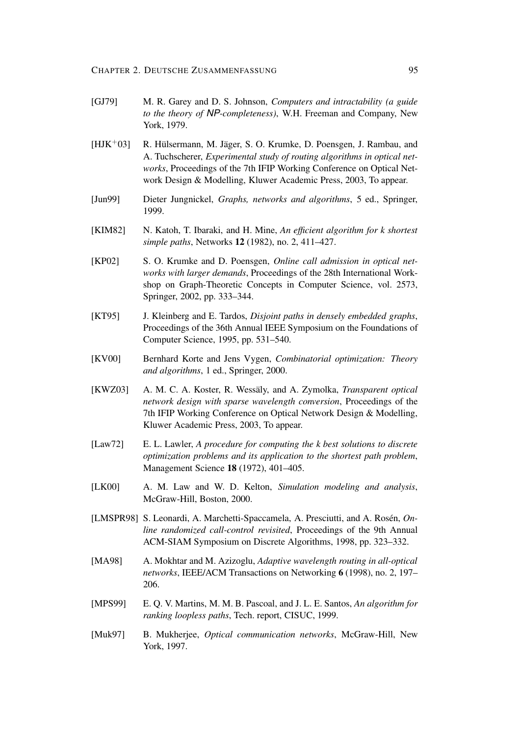- [GJ79] M. R. Garey and D. S. Johnson, *Computers and intractability (a guide to the theory of* NP*-completeness)*, W.H. Freeman and Company, New York, 1979.
- $[HJK^+03]$  R. Hülsermann, M. Jäger, S. O. Krumke, D. Poensgen, J. Rambau, and A. Tuchscherer, *Experimental study of routing algorithms in optical networks*, Proceedings of the 7th IFIP Working Conference on Optical Network Design & Modelling, Kluwer Academic Press, 2003, To appear.
- [Jun99] Dieter Jungnickel, *Graphs, networks and algorithms*, 5 ed., Springer, 1999.
- [KIM82] N. Katoh, T. Ibaraki, and H. Mine, *An efficient algorithm for k shortest simple paths*, Networks **12** (1982), no. 2, 411–427.
- [KP02] S. O. Krumke and D. Poensgen, *Online call admission in optical networks with larger demands*, Proceedings of the 28th International Workshop on Graph-Theoretic Concepts in Computer Science, vol. 2573, Springer, 2002, pp. 333–344.
- [KT95] J. Kleinberg and E. Tardos, *Disjoint paths in densely embedded graphs*, Proceedings of the 36th Annual IEEE Symposium on the Foundations of Computer Science, 1995, pp. 531–540.
- [KV00] Bernhard Korte and Jens Vygen, *Combinatorial optimization: Theory and algorithms*, 1 ed., Springer, 2000.
- [KWZ03] A. M. C. A. Koster, R. Wessäly, and A. Zymolka, *Transparent optical network design with sparse wavelength conversion*, Proceedings of the 7th IFIP Working Conference on Optical Network Design & Modelling, Kluwer Academic Press, 2003, To appear.
- [Law72] E. L. Lawler, *A procedure for computing the k best solutions to discrete optimization problems and its application to the shortest path problem*, Management Science **18** (1972), 401–405.
- [LK00] A. M. Law and W. D. Kelton, *Simulation modeling and analysis*, McGraw-Hill, Boston, 2000.
- [LMSPR98] S. Leonardi, A. Marchetti-Spaccamela, A. Presciutti, and A. Rosén, On*line randomized call-control revisited*, Proceedings of the 9th Annual ACM-SIAM Symposium on Discrete Algorithms, 1998, pp. 323–332.
- [MA98] A. Mokhtar and M. Azizoglu, *Adaptive wavelength routing in all-optical networks*, IEEE/ACM Transactions on Networking **6** (1998), no. 2, 197– 206.
- [MPS99] E. Q. V. Martins, M. M. B. Pascoal, and J. L. E. Santos, *An algorithm for ranking loopless paths*, Tech. report, CISUC, 1999.
- [Muk97] B. Mukherjee, *Optical communication networks*, McGraw-Hill, New York, 1997.